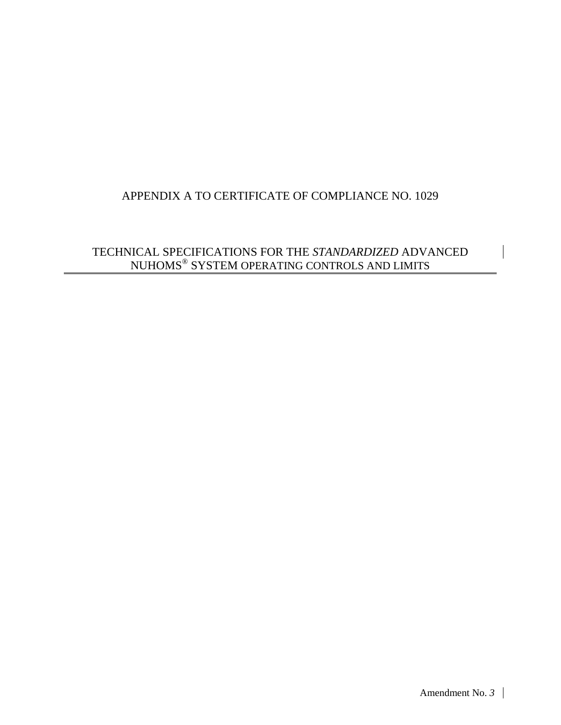## APPENDIX A TO CERTIFICATE OF COMPLIANCE NO. 1029

## TECHNICAL SPECIFICATIONS FOR THE *STANDARDIZED* ADVANCED NUHOMS $^\circledast$  SYSTEM OPERATING CONTROLS AND LIMITS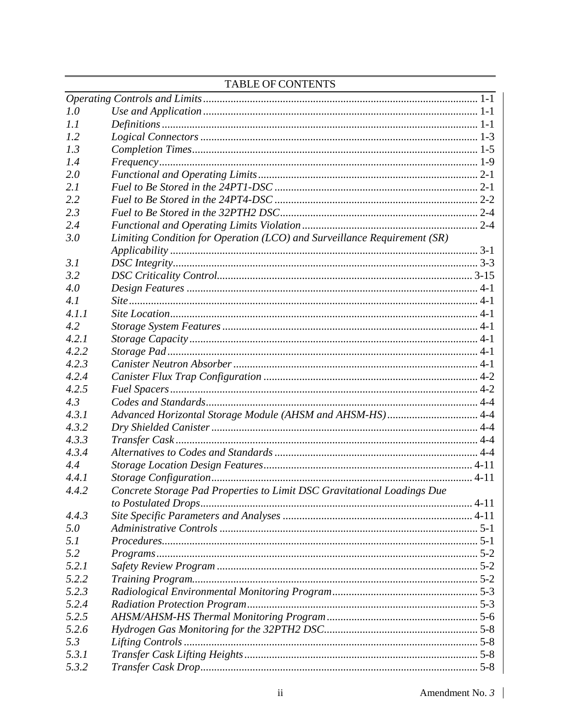|       | <u> 21110 - De la Branchet de la Branchet de la Branchet de la Branchet de la Branchet de la Branchet de la Branchet de la Branchet de la Branchet de la Branchet de la Branchet de la Branchet de la Branchet de la Branchet de</u> |  |
|-------|--------------------------------------------------------------------------------------------------------------------------------------------------------------------------------------------------------------------------------------|--|
|       |                                                                                                                                                                                                                                      |  |
| 1.0   |                                                                                                                                                                                                                                      |  |
| 1.1   |                                                                                                                                                                                                                                      |  |
| 1.2   |                                                                                                                                                                                                                                      |  |
| 1.3   |                                                                                                                                                                                                                                      |  |
| 1.4   |                                                                                                                                                                                                                                      |  |
| 2.0   |                                                                                                                                                                                                                                      |  |
| 2.1   |                                                                                                                                                                                                                                      |  |
| 2.2   |                                                                                                                                                                                                                                      |  |
| 2.3   |                                                                                                                                                                                                                                      |  |
| 2.4   |                                                                                                                                                                                                                                      |  |
| 3.0   | Limiting Condition for Operation (LCO) and Surveillance Requirement (SR)                                                                                                                                                             |  |
|       |                                                                                                                                                                                                                                      |  |
| 3.1   |                                                                                                                                                                                                                                      |  |
| 3.2   |                                                                                                                                                                                                                                      |  |
| 4.0   |                                                                                                                                                                                                                                      |  |
| 4.1   |                                                                                                                                                                                                                                      |  |
| 4.1.1 |                                                                                                                                                                                                                                      |  |
| 4.2   |                                                                                                                                                                                                                                      |  |
| 4.2.1 |                                                                                                                                                                                                                                      |  |
| 4.2.2 |                                                                                                                                                                                                                                      |  |
| 4.2.3 |                                                                                                                                                                                                                                      |  |
|       |                                                                                                                                                                                                                                      |  |
| 4.2.4 |                                                                                                                                                                                                                                      |  |
| 4.2.5 |                                                                                                                                                                                                                                      |  |
| 4.3   |                                                                                                                                                                                                                                      |  |
| 4.3.1 | Advanced Horizontal Storage Module (AHSM and AHSM-HS) 4-4                                                                                                                                                                            |  |
| 4.3.2 |                                                                                                                                                                                                                                      |  |
| 4.3.3 |                                                                                                                                                                                                                                      |  |
| 4.3.4 |                                                                                                                                                                                                                                      |  |
| 4.4   |                                                                                                                                                                                                                                      |  |
| 4.4.1 |                                                                                                                                                                                                                                      |  |
| 4.4.2 | Concrete Storage Pad Properties to Limit DSC Gravitational Loadings Due                                                                                                                                                              |  |
| 4.4.3 |                                                                                                                                                                                                                                      |  |
| 5.0   |                                                                                                                                                                                                                                      |  |
| 5.1   |                                                                                                                                                                                                                                      |  |
| 5.2   |                                                                                                                                                                                                                                      |  |
| 5.2.1 |                                                                                                                                                                                                                                      |  |
| 5.2.2 |                                                                                                                                                                                                                                      |  |
| 5.2.3 |                                                                                                                                                                                                                                      |  |
| 5.2.4 |                                                                                                                                                                                                                                      |  |
| 5.2.5 |                                                                                                                                                                                                                                      |  |
| 5.2.6 |                                                                                                                                                                                                                                      |  |
|       |                                                                                                                                                                                                                                      |  |
| 5.3   |                                                                                                                                                                                                                                      |  |
| 5.3.1 |                                                                                                                                                                                                                                      |  |
| 5.3.2 |                                                                                                                                                                                                                                      |  |

## **TABLE OF CONTENTS**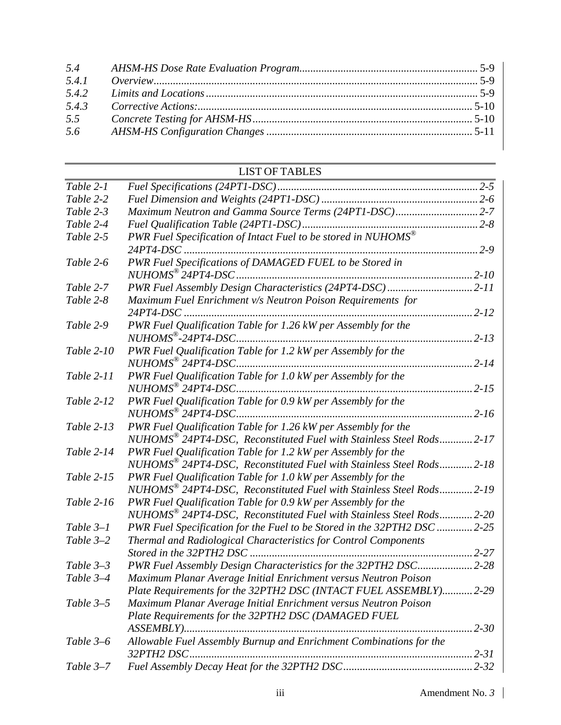| 5.4   |  |
|-------|--|
| 5.4.1 |  |
| 5.4.2 |  |
| 5.4.3 |  |
| 5.5   |  |
| 5.6   |  |

## LIST OF TABLES

| Table 2-1   |                                                                             |          |
|-------------|-----------------------------------------------------------------------------|----------|
| Table 2-2   |                                                                             |          |
| Table 2-3   | Maximum Neutron and Gamma Source Terms (24PT1-DSC)2-7                       |          |
| Table 2-4   |                                                                             | $ 2-8$   |
| Table 2-5   | PWR Fuel Specification of Intact Fuel to be stored in NUHOMS $^{\circledR}$ |          |
|             | $24PT4-DSC$                                                                 | $2 - 9$  |
| Table 2-6   | PWR Fuel Specifications of DAMAGED FUEL to be Stored in                     |          |
|             |                                                                             | $2 - 10$ |
| Table 2-7   | PWR Fuel Assembly Design Characteristics (24PT4-DSC)                        | $2 - 11$ |
| Table 2-8   | Maximum Fuel Enrichment v/s Neutron Poison Requirements for                 |          |
|             | $24PT4-DSC$                                                                 | $2 - 12$ |
| Table 2-9   | PWR Fuel Qualification Table for 1.26 kW per Assembly for the               |          |
|             |                                                                             | $2 - 13$ |
| Table 2-10  | PWR Fuel Qualification Table for 1.2 kW per Assembly for the                |          |
|             |                                                                             | $2 - 14$ |
| Table 2-11  | PWR Fuel Qualification Table for 1.0 kW per Assembly for the                |          |
|             | $NUHOMS^{\circledR}$ 24PT4-DSC.                                             | $2 - 15$ |
| Table 2-12  | PWR Fuel Qualification Table for 0.9 kW per Assembly for the                |          |
|             |                                                                             | $2 - 16$ |
| Table 2-13  | PWR Fuel Qualification Table for 1.26 kW per Assembly for the               |          |
|             | NUHOMS <sup>®</sup> 24PT4-DSC, Reconstituted Fuel with Stainless Steel Rods | $2 - 17$ |
| Table 2-14  | PWR Fuel Qualification Table for 1.2 kW per Assembly for the                |          |
|             | NUHOMS <sup>®</sup> 24PT4-DSC, Reconstituted Fuel with Stainless Steel Rods | $2 - 18$ |
| Table 2-15  | PWR Fuel Qualification Table for 1.0 kW per Assembly for the                |          |
|             | NUHOMS <sup>®</sup> 24PT4-DSC, Reconstituted Fuel with Stainless Steel Rods | $2 - 19$ |
| Table 2-16  | PWR Fuel Qualification Table for 0.9 kW per Assembly for the                |          |
|             | NUHOMS <sup>®</sup> 24PT4-DSC, Reconstituted Fuel with Stainless Steel Rods | $2 - 20$ |
| Table $3-1$ | PWR Fuel Specification for the Fuel to be Stored in the 32PTH2 DSC  2-25    |          |
| Table $3-2$ | Thermal and Radiological Characteristics for Control Components             |          |
|             |                                                                             | $2 - 27$ |
| Table $3-3$ | PWR Fuel Assembly Design Characteristics for the 32PTH2 DSC 2-28            |          |
| Table 3-4   | Maximum Planar Average Initial Enrichment versus Neutron Poison             |          |
|             | Plate Requirements for the 32PTH2 DSC (INTACT FUEL ASSEMBLY) 2-29           |          |
| Table $3-5$ | Maximum Planar Average Initial Enrichment versus Neutron Poison             |          |
|             | Plate Requirements for the 32PTH2 DSC (DAMAGED FUEL                         |          |
|             |                                                                             |          |
| Table 3–6   | Allowable Fuel Assembly Burnup and Enrichment Combinations for the          |          |
|             | 32PTH2 DSC.                                                                 |          |
| Table $3-7$ |                                                                             |          |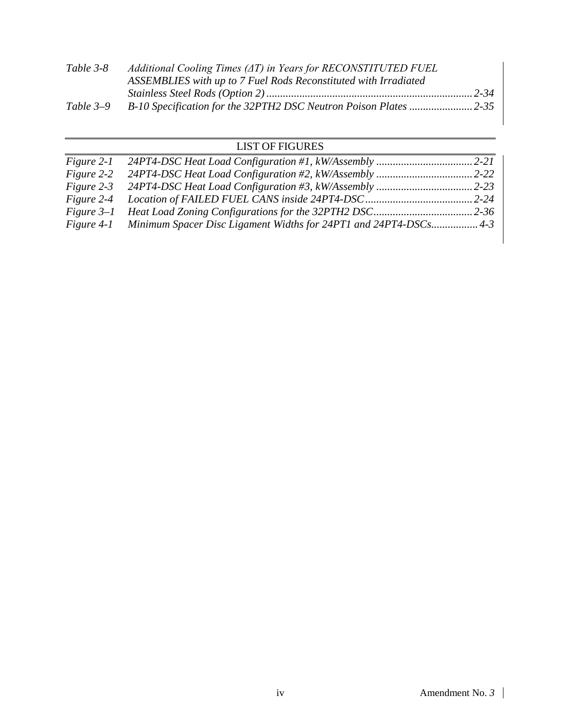| Table 3-8   | Additional Cooling Times $(\Delta T)$ in Years for RECONSTITUTED FUEL |  |
|-------------|-----------------------------------------------------------------------|--|
|             | ASSEMBLIES with up to 7 Fuel Rods Reconstituted with Irradiated       |  |
|             |                                                                       |  |
| Table $3-9$ |                                                                       |  |

## LIST OF FIGURES

| Figure 2-1 |                                                                             |  |
|------------|-----------------------------------------------------------------------------|--|
| Figure 2-2 |                                                                             |  |
|            |                                                                             |  |
|            |                                                                             |  |
|            |                                                                             |  |
|            | Figure 4-1 Minimum Spacer Disc Ligament Widths for 24PT1 and 24PT4-DSCs 4-3 |  |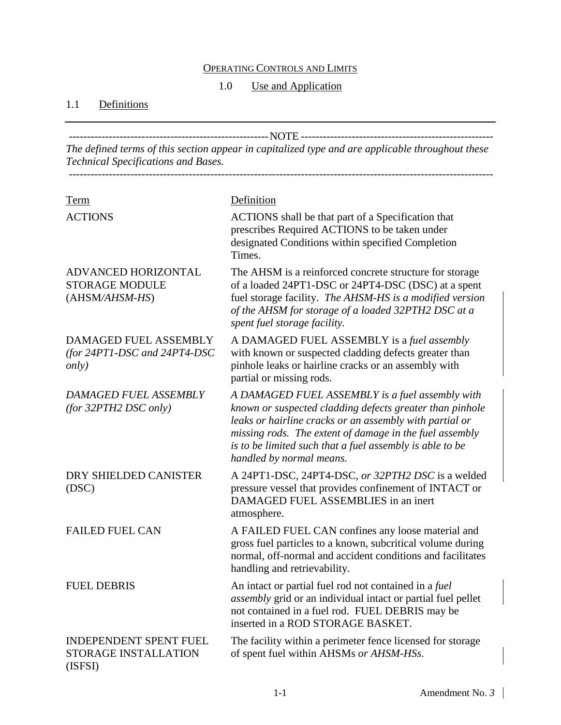## OPERATING CONTROLS AND LIMITS

#### 1.0 Use and Application

## <span id="page-4-2"></span><span id="page-4-1"></span><span id="page-4-0"></span>1.1 Definitions

-------------------------------------------------------NOTE ----------------------------------------------------- *The defined terms of this section appear in capitalized type and are applicable throughout these Technical Specifications and Bases.* ---------------------------------------------------------------------------------------------------------------------

| Term                                                                         | Definition                                                                                                                                                                                                                                                                                                                |
|------------------------------------------------------------------------------|---------------------------------------------------------------------------------------------------------------------------------------------------------------------------------------------------------------------------------------------------------------------------------------------------------------------------|
| <b>ACTIONS</b>                                                               | ACTIONS shall be that part of a Specification that<br>prescribes Required ACTIONS to be taken under<br>designated Conditions within specified Completion<br>Times.                                                                                                                                                        |
| ADVANCED HORIZONTAL<br><b>STORAGE MODULE</b><br>(AHSM/AHSM-HS)               | The AHSM is a reinforced concrete structure for storage<br>of a loaded 24PT1-DSC or 24PT4-DSC (DSC) at a spent<br>fuel storage facility. The AHSM-HS is a modified version<br>of the AHSM for storage of a loaded 32PTH2 DSC at a<br>spent fuel storage facility.                                                         |
| DAMAGED FUEL ASSEMBLY<br>(for $24PT1$ -DSC and $24PT4$ -DSC<br><i>only</i> ) | A DAMAGED FUEL ASSEMBLY is a fuel assembly<br>with known or suspected cladding defects greater than<br>pinhole leaks or hairline cracks or an assembly with<br>partial or missing rods.                                                                                                                                   |
| <b>DAMAGED FUEL ASSEMBLY</b><br>(for 32PTH2 DSC only)                        | A DAMAGED FUEL ASSEMBLY is a fuel assembly with<br>known or suspected cladding defects greater than pinhole<br>leaks or hairline cracks or an assembly with partial or<br>missing rods. The extent of damage in the fuel assembly<br>is to be limited such that a fuel assembly is able to be<br>handled by normal means. |
| DRY SHIELDED CANISTER<br>(DSC)                                               | A 24PT1-DSC, 24PT4-DSC, or 32PTH2 DSC is a welded<br>pressure vessel that provides confinement of INTACT or<br>DAMAGED FUEL ASSEMBLIES in an inert<br>atmosphere.                                                                                                                                                         |
| <b>FAILED FUEL CAN</b>                                                       | A FAILED FUEL CAN confines any loose material and<br>gross fuel particles to a known, subcritical volume during<br>normal, off-normal and accident conditions and facilitates<br>handling and retrievability.                                                                                                             |
| <b>FUEL DEBRIS</b>                                                           | An intact or partial fuel rod not contained in a fuel<br>assembly grid or an individual intact or partial fuel pellet<br>not contained in a fuel rod. FUEL DEBRIS may be<br>inserted in a ROD STORAGE BASKET.                                                                                                             |
| <b>INDEPENDENT SPENT FUEL</b><br>STORAGE INSTALLATION<br>(ISFSI)             | The facility within a perimeter fence licensed for storage<br>of spent fuel within AHSMs or AHSM-HSs.                                                                                                                                                                                                                     |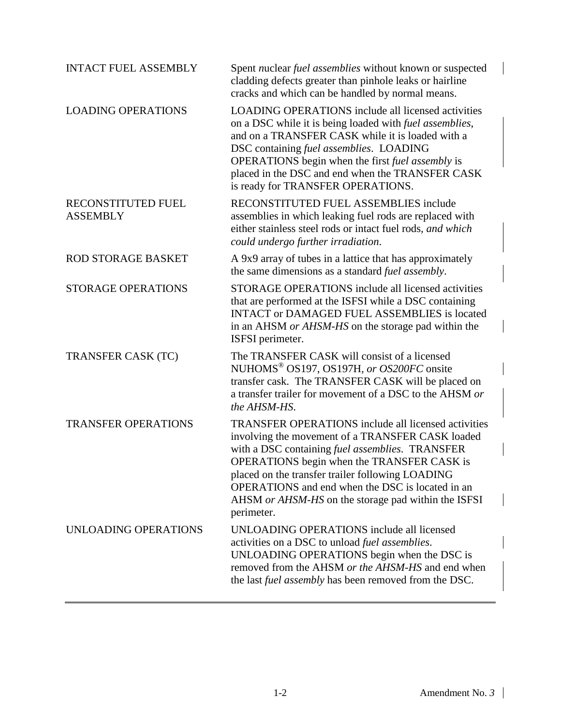| <b>INTACT FUEL ASSEMBLY</b>           | Spent nuclear fuel assemblies without known or suspected<br>cladding defects greater than pinhole leaks or hairline<br>cracks and which can be handled by normal means.                                                                                                                                                                                                                      |
|---------------------------------------|----------------------------------------------------------------------------------------------------------------------------------------------------------------------------------------------------------------------------------------------------------------------------------------------------------------------------------------------------------------------------------------------|
| <b>LOADING OPERATIONS</b>             | <b>LOADING OPERATIONS include all licensed activities</b><br>on a DSC while it is being loaded with <i>fuel assemblies</i> ,<br>and on a TRANSFER CASK while it is loaded with a<br>DSC containing fuel assemblies. LOADING<br>OPERATIONS begin when the first fuel assembly is<br>placed in the DSC and end when the TRANSFER CASK<br>is ready for TRANSFER OPERATIONS.                     |
| RECONSTITUTED FUEL<br><b>ASSEMBLY</b> | RECONSTITUTED FUEL ASSEMBLIES include<br>assemblies in which leaking fuel rods are replaced with<br>either stainless steel rods or intact fuel rods, and which<br>could undergo further irradiation.                                                                                                                                                                                         |
| <b>ROD STORAGE BASKET</b>             | A 9x9 array of tubes in a lattice that has approximately<br>the same dimensions as a standard fuel assembly.                                                                                                                                                                                                                                                                                 |
| <b>STORAGE OPERATIONS</b>             | STORAGE OPERATIONS include all licensed activities<br>that are performed at the ISFSI while a DSC containing<br><b>INTACT or DAMAGED FUEL ASSEMBLIES is located</b><br>in an AHSM or AHSM-HS on the storage pad within the<br>ISFSI perimeter.                                                                                                                                               |
| <b>TRANSFER CASK (TC)</b>             | The TRANSFER CASK will consist of a licensed<br>NUHOMS <sup>®</sup> OS197, OS197H, or OS200FC onsite<br>transfer cask. The TRANSFER CASK will be placed on<br>a transfer trailer for movement of a DSC to the AHSM or<br>the AHSM-HS.                                                                                                                                                        |
| <b>TRANSFER OPERATIONS</b>            | <b>TRANSFER OPERATIONS include all licensed activities</b><br>involving the movement of a TRANSFER CASK loaded<br>with a DSC containing fuel assemblies. TRANSFER<br>OPERATIONS begin when the TRANSFER CASK is<br>placed on the transfer trailer following LOADING<br>OPERATIONS and end when the DSC is located in an<br>AHSM or AHSM-HS on the storage pad within the ISFSI<br>perimeter. |
| UNLOADING OPERATIONS                  | UNLOADING OPERATIONS include all licensed<br>activities on a DSC to unload fuel assemblies.<br>UNLOADING OPERATIONS begin when the DSC is<br>removed from the AHSM or the AHSM-HS and end when<br>the last <i>fuel assembly</i> has been removed from the DSC.                                                                                                                               |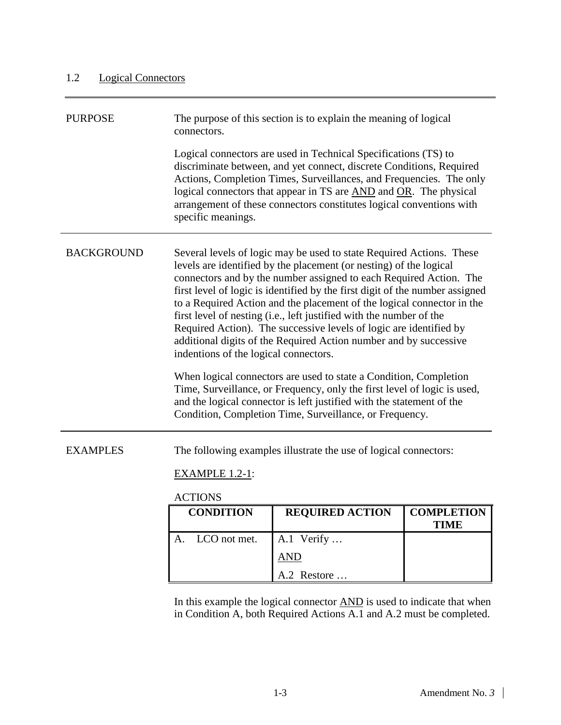## <span id="page-6-0"></span>1.2 Logical Connectors

| <b>PURPOSE</b>    | The purpose of this section is to explain the meaning of logical<br>connectors.<br>Logical connectors are used in Technical Specifications (TS) to<br>discriminate between, and yet connect, discrete Conditions, Required<br>Actions, Completion Times, Surveillances, and Frequencies. The only<br>logical connectors that appear in TS are AND and OR. The physical<br>arrangement of these connectors constitutes logical conventions with<br>specific meanings.                                                                                                                                                                                                                                                                                                                                                                                                                                                       |  |
|-------------------|----------------------------------------------------------------------------------------------------------------------------------------------------------------------------------------------------------------------------------------------------------------------------------------------------------------------------------------------------------------------------------------------------------------------------------------------------------------------------------------------------------------------------------------------------------------------------------------------------------------------------------------------------------------------------------------------------------------------------------------------------------------------------------------------------------------------------------------------------------------------------------------------------------------------------|--|
| <b>BACKGROUND</b> | Several levels of logic may be used to state Required Actions. These<br>levels are identified by the placement (or nesting) of the logical<br>connectors and by the number assigned to each Required Action. The<br>first level of logic is identified by the first digit of the number assigned<br>to a Required Action and the placement of the logical connector in the<br>first level of nesting (i.e., left justified with the number of the<br>Required Action). The successive levels of logic are identified by<br>additional digits of the Required Action number and by successive<br>indentions of the logical connectors.<br>When logical connectors are used to state a Condition, Completion<br>Time, Surveillance, or Frequency, only the first level of logic is used,<br>and the logical connector is left justified with the statement of the<br>Condition, Completion Time, Surveillance, or Frequency. |  |
| <b>EXAMPLES</b>   | The following examples illustrate the use of logical connectors:<br><b>EXAMPLE 1.2-1:</b><br><b>ACTIONS</b>                                                                                                                                                                                                                                                                                                                                                                                                                                                                                                                                                                                                                                                                                                                                                                                                                |  |
|                   | <b>REQUIRED ACTION</b><br>COMPLETION<br>CONDITION                                                                                                                                                                                                                                                                                                                                                                                                                                                                                                                                                                                                                                                                                                                                                                                                                                                                          |  |

|    | <b>CONDITION</b> | <b>REQUIRED ACTION</b> | <b>COMPLETION</b><br>TIME |
|----|------------------|------------------------|---------------------------|
| A. | LCO not met.     | A.1 Verify $\ldots$    |                           |
|    |                  | AND                    |                           |
|    |                  | A.2 Restore            |                           |

In this example the logical connector AND is used to indicate that when in Condition A, both Required Actions A.1 and A.2 must be completed.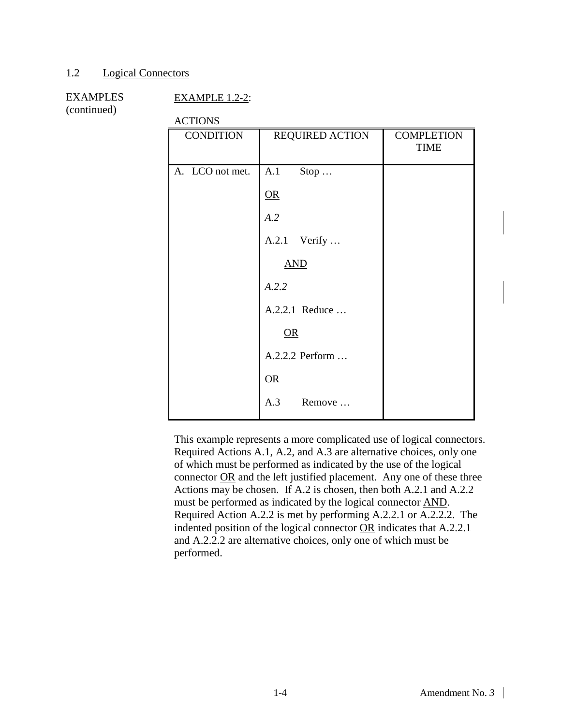#### [1.2](#page-6-0) [Logical Connectors](#page-6-0)

## EXAMPLES

#### EXAMPLE 1.2-2:

(continued)

**ACTIONS** 

| <b>CONDITION</b> | <b>REQUIRED ACTION</b> | <b>COMPLETION</b><br><b>TIME</b> |
|------------------|------------------------|----------------------------------|
| A. LCO not met.  | A.1<br>$Stop \dots$    |                                  |
|                  | $\overline{\text{OR}}$ |                                  |
|                  | A.2                    |                                  |
|                  | A.2.1 Verify           |                                  |
|                  | <b>AND</b>             |                                  |
|                  | A.2.2                  |                                  |
|                  | A.2.2.1 Reduce         |                                  |
|                  | OR                     |                                  |
|                  | A.2.2.2 Perform        |                                  |
|                  | $OR$                   |                                  |
|                  | A.3<br>Remove          |                                  |

This example represents a more complicated use of logical connectors. Required Actions A.1, A.2, and A.3 are alternative choices, only one of which must be performed as indicated by the use of the logical connector OR and the left justified placement. Any one of these three Actions may be chosen. If A.2 is chosen, then both A.2.1 and A.2.2 must be performed as indicated by the logical connector AND. Required Action A.2.2 is met by performing A.2.2.1 or A.2.2.2. The indented position of the logical connector OR indicates that A.2.2.1 and A.2.2.2 are alternative choices, only one of which must be performed.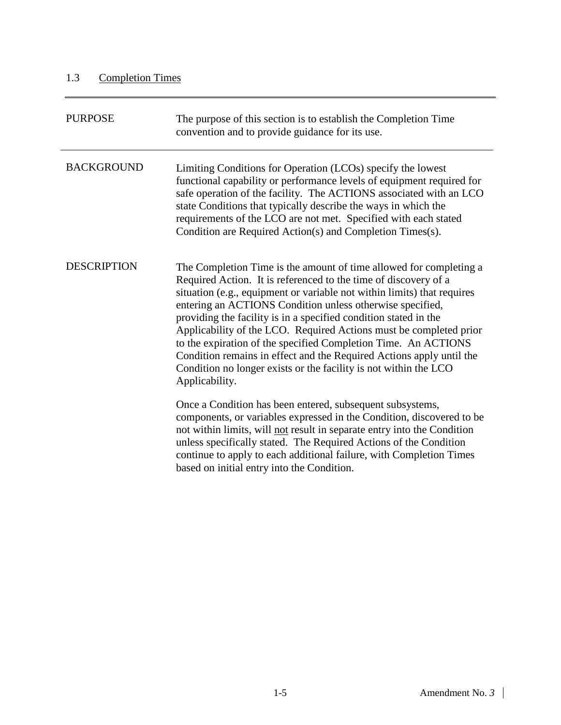## <span id="page-8-0"></span>1.3 Completion Times

| <b>PURPOSE</b>     | The purpose of this section is to establish the Completion Time<br>convention and to provide guidance for its use.                                                                                                                                                                                                                                                                                                                                                                                                                                                                                                                                      |
|--------------------|---------------------------------------------------------------------------------------------------------------------------------------------------------------------------------------------------------------------------------------------------------------------------------------------------------------------------------------------------------------------------------------------------------------------------------------------------------------------------------------------------------------------------------------------------------------------------------------------------------------------------------------------------------|
| <b>BACKGROUND</b>  | Limiting Conditions for Operation (LCOs) specify the lowest<br>functional capability or performance levels of equipment required for<br>safe operation of the facility. The ACTIONS associated with an LCO<br>state Conditions that typically describe the ways in which the<br>requirements of the LCO are not met. Specified with each stated<br>Condition are Required Action(s) and Completion Times(s).                                                                                                                                                                                                                                            |
| <b>DESCRIPTION</b> | The Completion Time is the amount of time allowed for completing a<br>Required Action. It is referenced to the time of discovery of a<br>situation (e.g., equipment or variable not within limits) that requires<br>entering an ACTIONS Condition unless otherwise specified,<br>providing the facility is in a specified condition stated in the<br>Applicability of the LCO. Required Actions must be completed prior<br>to the expiration of the specified Completion Time. An ACTIONS<br>Condition remains in effect and the Required Actions apply until the<br>Condition no longer exists or the facility is not within the LCO<br>Applicability. |
|                    | Once a Condition has been entered, subsequent subsystems,<br>components, or variables expressed in the Condition, discovered to be<br>not within limits, will not result in separate entry into the Condition<br>unless specifically stated. The Required Actions of the Condition<br>continue to apply to each additional failure, with Completion Times<br>based on initial entry into the Condition.                                                                                                                                                                                                                                                 |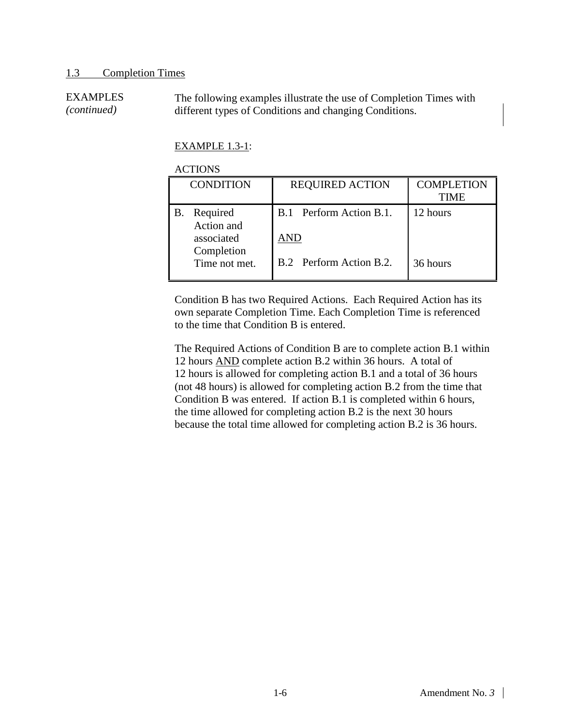#### [1.3](#page-8-0) [Completion Times](#page-8-0)

EXAMPLES *(continued)* The following examples illustrate the use of Completion Times with different types of Conditions and changing Conditions.

#### EXAMPLE 1.3-1:

#### ACTIONS

| <b>CONDITION</b>                                                           |                                                    |                           |
|----------------------------------------------------------------------------|----------------------------------------------------|---------------------------|
|                                                                            | <b>REQUIRED ACTION</b>                             | <b>COMPLETION</b><br>TIME |
| Required<br>Action and<br>associated<br>AND<br>Completion<br>Time not met. | B.1 Perform Action B.1.<br>B.2 Perform Action B.2. | 12 hours<br>36 hours      |

Condition B has two Required Actions. Each Required Action has its own separate Completion Time. Each Completion Time is referenced to the time that Condition B is entered.

The Required Actions of Condition B are to complete action B.1 within 12 hours AND complete action B.2 within 36 hours. A total of 12 hours is allowed for completing action B.1 and a total of 36 hours (not 48 hours) is allowed for completing action B.2 from the time that Condition B was entered. If action B.1 is completed within 6 hours, the time allowed for completing action B.2 is the next 30 hours because the total time allowed for completing action B.2 is 36 hours.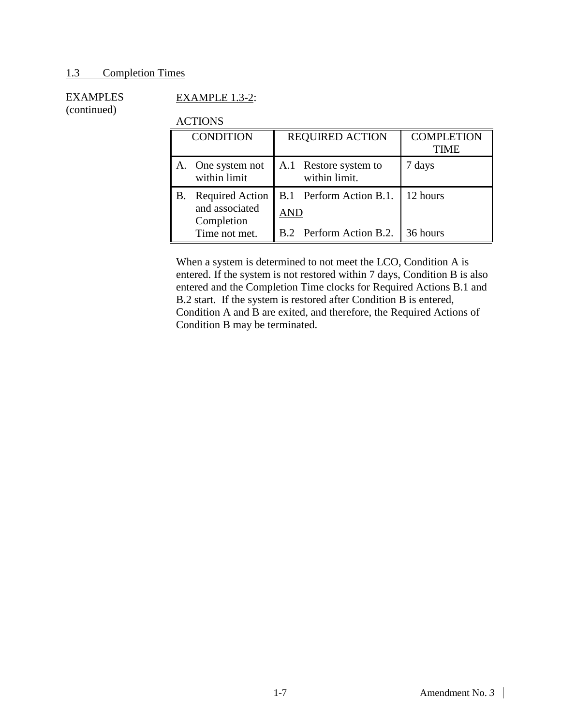#### [1.3](#page-8-0) [Completion Times](#page-8-0)

#### EXAMPLES (continued)

## EXAMPLE 1.3-2:

#### ACTIONS

| <b>CONDITION</b> |                                                        | <b>REQUIRED ACTION</b> |                                        | <b>COMPLETION</b><br><b>TIME</b> |
|------------------|--------------------------------------------------------|------------------------|----------------------------------------|----------------------------------|
|                  | A. One system not<br>within limit                      |                        | A.1 Restore system to<br>within limit. | 7 days                           |
| В.               | <b>Required Action</b><br>and associated<br>Completion | AND                    | B.1 Perform Action B.1.                | 12 hours                         |
|                  | Time not met.                                          |                        | B.2 Perform Action B.2.                | 36 hours                         |

When a system is determined to not meet the LCO, Condition A is entered. If the system is not restored within 7 days, Condition B is also entered and the Completion Time clocks for Required Actions B.1 and B.2 start. If the system is restored after Condition B is entered, Condition A and B are exited, and therefore, the Required Actions of Condition B may be terminated.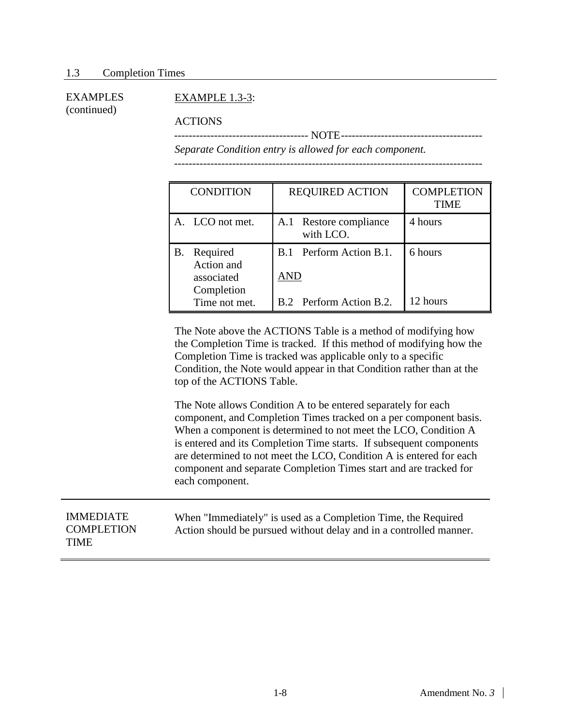#### EXAMPLE 1.3-3:

ACTIONS

------------------------------------- NOTE--------------------------------------- *Separate Condition entry is allowed for each component.*

-------------------------------------------------------------------------------------

| <b>CONDITION</b>                                         | <b>REQUIRED ACTION</b>              | <b>COMPLETION</b><br><b>TIME</b> |
|----------------------------------------------------------|-------------------------------------|----------------------------------|
| A. LCO not met.                                          | A.1 Restore compliance<br>with LCO. | 4 hours                          |
| Required<br>В.<br>Action and<br>associated<br>Completion | Perform Action B.1.<br>B.1<br>AND   | 6 hours                          |
| Time not met.                                            | B.2 Perform Action B.2.             | 12 hours                         |

The Note above the ACTIONS Table is a method of modifying how the Completion Time is tracked. If this method of modifying how the Completion Time is tracked was applicable only to a specific Condition, the Note would appear in that Condition rather than at the top of the ACTIONS Table.

The Note allows Condition A to be entered separately for each component, and Completion Times tracked on a per component basis. When a component is determined to not meet the LCO, Condition A is entered and its Completion Time starts. If subsequent components are determined to not meet the LCO, Condition A is entered for each component and separate Completion Times start and are tracked for each component.

| <b>IMMEDIATE</b><br>When "Immediately" is used as a Completion Time, the Required<br><b>COMPLETION</b><br>Action should be pursued without delay and in a controlled manner.<br><b>TIME</b> |  |
|---------------------------------------------------------------------------------------------------------------------------------------------------------------------------------------------|--|
|---------------------------------------------------------------------------------------------------------------------------------------------------------------------------------------------|--|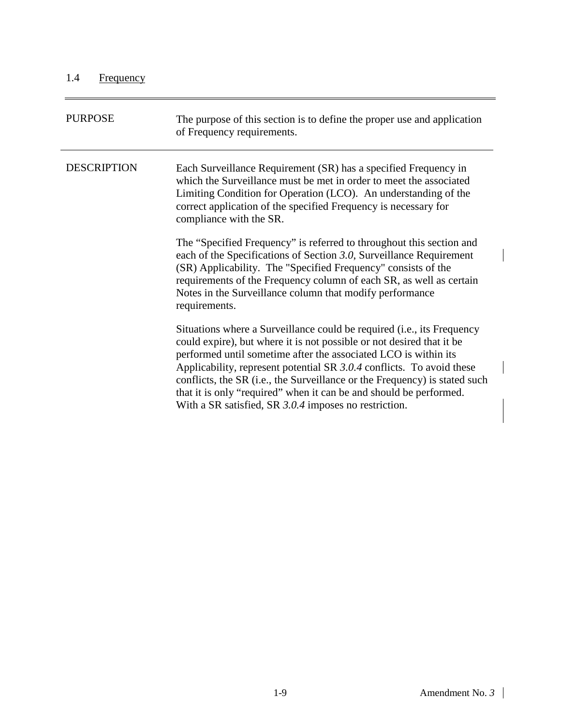<span id="page-12-0"></span>

| <b>PURPOSE</b>     | The purpose of this section is to define the proper use and application<br>of Frequency requirements.                                                                                                                                                                                                                                                                                                                                                                                                             |
|--------------------|-------------------------------------------------------------------------------------------------------------------------------------------------------------------------------------------------------------------------------------------------------------------------------------------------------------------------------------------------------------------------------------------------------------------------------------------------------------------------------------------------------------------|
| <b>DESCRIPTION</b> | Each Surveillance Requirement (SR) has a specified Frequency in<br>which the Surveillance must be met in order to meet the associated<br>Limiting Condition for Operation (LCO). An understanding of the<br>correct application of the specified Frequency is necessary for<br>compliance with the SR.                                                                                                                                                                                                            |
|                    | The "Specified Frequency" is referred to throughout this section and<br>each of the Specifications of Section 3.0, Surveillance Requirement<br>(SR) Applicability. The "Specified Frequency" consists of the<br>requirements of the Frequency column of each SR, as well as certain<br>Notes in the Surveillance column that modify performance<br>requirements.                                                                                                                                                  |
|                    | Situations where a Surveillance could be required ( <i>i.e.</i> , its Frequency<br>could expire), but where it is not possible or not desired that it be<br>performed until sometime after the associated LCO is within its<br>Applicability, represent potential SR 3.0.4 conflicts. To avoid these<br>conflicts, the SR (i.e., the Surveillance or the Frequency) is stated such<br>that it is only "required" when it can be and should be performed.<br>With a SR satisfied, SR 3.0.4 imposes no restriction. |

 $\overline{\phantom{a}}$ 

 $\overline{\phantom{a}}$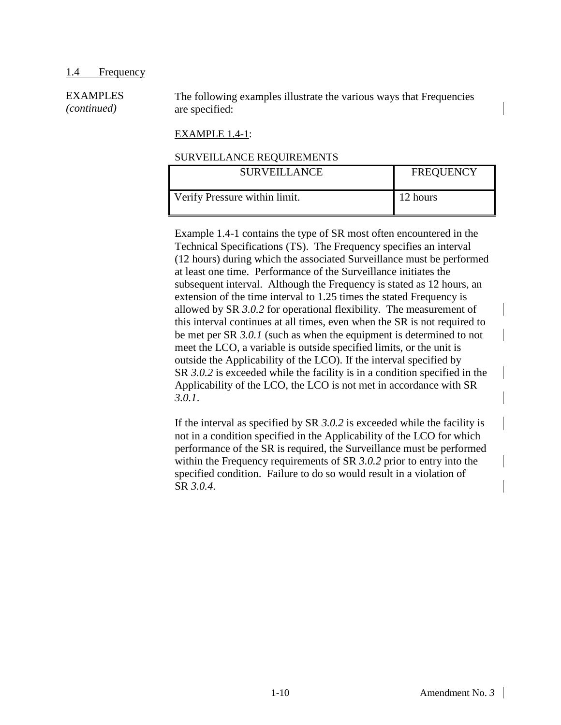The following examples illustrate the various ways that Frequencies are specified:

#### EXAMPLE 1.4-1:

#### SURVEILLANCE REQUIREMENTS

| <b>SURVEILLANCE</b>           | <b>FREQUENCY</b> |  |
|-------------------------------|------------------|--|
| Verify Pressure within limit. | 12 hours         |  |

Example 1.4-1 contains the type of SR most often encountered in the Technical Specifications (TS). The Frequency specifies an interval (12 hours) during which the associated Surveillance must be performed at least one time. Performance of the Surveillance initiates the subsequent interval. Although the Frequency is stated as 12 hours, an extension of the time interval to 1.25 times the stated Frequency is allowed by SR *3.0.2* for operational flexibility. The measurement of this interval continues at all times, even when the SR is not required to be met per SR *3.0.1* (such as when the equipment is determined to not meet the LCO, a variable is outside specified limits, or the unit is outside the Applicability of the LCO). If the interval specified by SR *3.0.2* is exceeded while the facility is in a condition specified in the Applicability of the LCO, the LCO is not met in accordance with SR *3.0.1*.

If the interval as specified by SR *3.0.2* is exceeded while the facility is not in a condition specified in the Applicability of the LCO for which performance of the SR is required, the Surveillance must be performed within the Frequency requirements of SR *3.0.2* prior to entry into the specified condition. Failure to do so would result in a violation of SR *3.0.4*.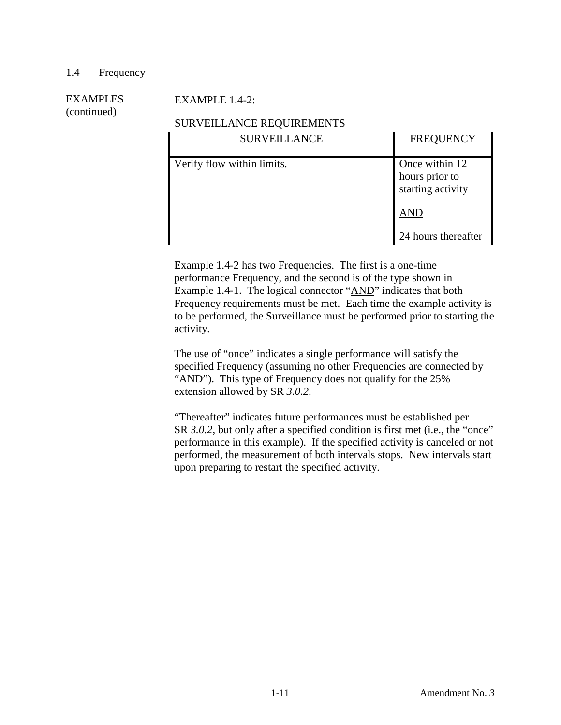#### EXAMPLE 1.4-2:

#### SURVEILLANCE REQUIREMENTS

| <b>SURVEILLANCE</b>        | <b>FREQUENCY</b>                                      |
|----------------------------|-------------------------------------------------------|
| Verify flow within limits. | Once within 12<br>hours prior to<br>starting activity |
|                            | AND                                                   |
|                            | 24 hours thereafter                                   |

Example 1.4-2 has two Frequencies. The first is a one-time performance Frequency, and the second is of the type shown in Example 1.4-1. The logical connector "AND" indicates that both Frequency requirements must be met. Each time the example activity is to be performed, the Surveillance must be performed prior to starting the activity.

The use of "once" indicates a single performance will satisfy the specified Frequency (assuming no other Frequencies are connected by "AND"). This type of Frequency does not qualify for the 25% extension allowed by SR *3.0.2*.

"Thereafter" indicates future performances must be established per SR 3.0.2, but only after a specified condition is first met (i.e., the "once" performance in this example). If the specified activity is canceled or not performed, the measurement of both intervals stops. New intervals start upon preparing to restart the specified activity.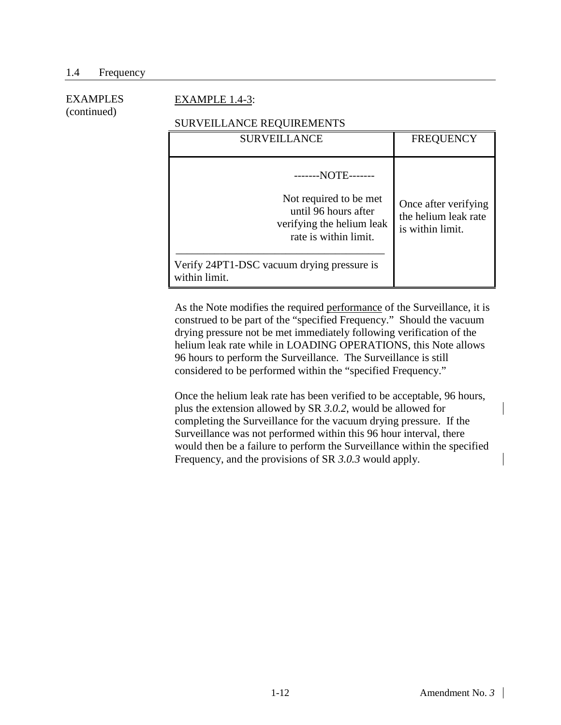#### EXAMPLE 1.4-3:

#### SURVEILLANCE REQUIREMENTS

| <b>SURVEILLANCE</b>                                                                                                                                                                  | <b>FREQUENCY</b>                                                 |
|--------------------------------------------------------------------------------------------------------------------------------------------------------------------------------------|------------------------------------------------------------------|
| --NOTE-------<br>Not required to be met<br>until 96 hours after<br>verifying the helium leak<br>rate is within limit.<br>Verify 24PT1-DSC vacuum drying pressure is<br>within limit. | Once after verifying<br>the helium leak rate<br>is within limit. |

As the Note modifies the required performance of the Surveillance, it is construed to be part of the "specified Frequency." Should the vacuum drying pressure not be met immediately following verification of the helium leak rate while in LOADING OPERATIONS, this Note allows 96 hours to perform the Surveillance. The Surveillance is still considered to be performed within the "specified Frequency."

Once the helium leak rate has been verified to be acceptable, 96 hours, plus the extension allowed by SR *3.0.2*, would be allowed for completing the Surveillance for the vacuum drying pressure. If the Surveillance was not performed within this 96 hour interval, there would then be a failure to perform the Surveillance within the specified Frequency, and the provisions of SR *3.0.3* would apply.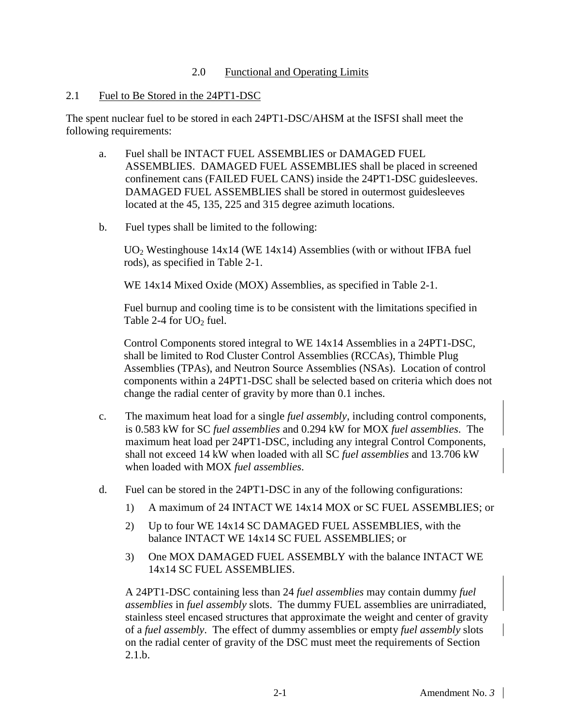#### 2.0 Functional and Operating Limits

#### <span id="page-16-1"></span><span id="page-16-0"></span>2.1 Fuel to Be Stored in the 24PT1-DSC

The spent nuclear fuel to be stored in each 24PT1-DSC/AHSM at the ISFSI shall meet the following requirements:

- a. Fuel shall be INTACT FUEL ASSEMBLIES or DAMAGED FUEL ASSEMBLIES. DAMAGED FUEL ASSEMBLIES shall be placed in screened confinement cans (FAILED FUEL CANS) inside the 24PT1-DSC guidesleeves. DAMAGED FUEL ASSEMBLIES shall be stored in outermost guidesleeves located at the 45, 135, 225 and 315 degree azimuth locations.
- b. Fuel types shall be limited to the following:

UO2 Westinghouse 14x14 (WE 14x14) Assemblies (with or without IFBA fuel rods), as specified in Table 2-1.

WE 14x14 Mixed Oxide (MOX) Assemblies, as specified in Table 2-1.

Fuel burnup and cooling time is to be consistent with the limitations specified in Table 2-4 for  $UO<sub>2</sub>$  fuel.

Control Components stored integral to WE 14x14 Assemblies in a 24PT1-DSC, shall be limited to Rod Cluster Control Assemblies (RCCAs), Thimble Plug Assemblies (TPAs), and Neutron Source Assemblies (NSAs). Location of control components within a 24PT1-DSC shall be selected based on criteria which does not change the radial center of gravity by more than 0.1 inches.

- c. The maximum heat load for a single *fuel assembly*, including control components, is 0.583 kW for SC *fuel assemblies* and 0.294 kW for MOX *fuel assemblies*. The maximum heat load per 24PT1-DSC, including any integral Control Components, shall not exceed 14 kW when loaded with all SC *fuel assemblies* and 13.706 kW when loaded with MOX *fuel assemblies*.
- d. Fuel can be stored in the 24PT1-DSC in any of the following configurations:
	- 1) A maximum of 24 INTACT WE 14x14 MOX or SC FUEL ASSEMBLIES; or
	- 2) Up to four WE 14x14 SC DAMAGED FUEL ASSEMBLIES, with the balance INTACT WE 14x14 SC FUEL ASSEMBLIES; or
	- 3) One MOX DAMAGED FUEL ASSEMBLY with the balance INTACT WE 14x14 SC FUEL ASSEMBLIES.

A 24PT1-DSC containing less than 24 *fuel assemblies* may contain dummy *fuel assemblies* in *fuel assembly* slots. The dummy FUEL assemblies are unirradiated, stainless steel encased structures that approximate the weight and center of gravity of a *fuel assembly*. The effect of dummy assemblies or empty *fuel assembly* slots on the radial center of gravity of the DSC must meet the requirements of Section  $2.1.h.$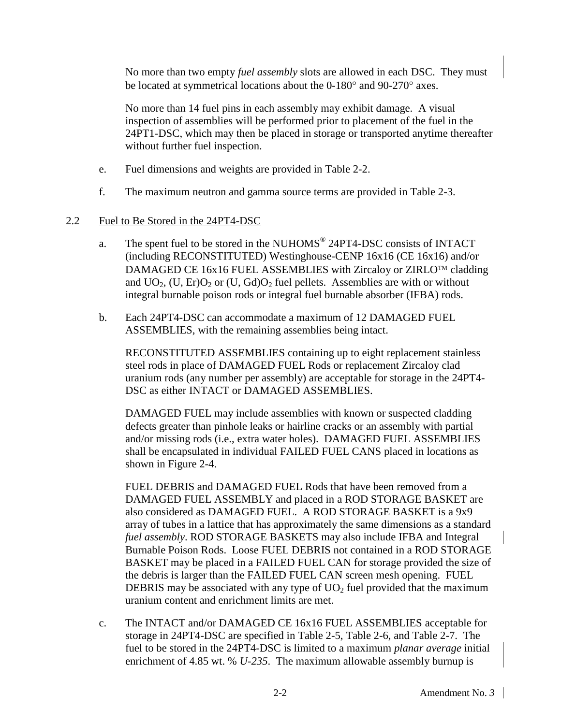No more than two empty *fuel assembly* slots are allowed in each DSC. They must be located at symmetrical locations about the 0-180° and 90-270° axes.

No more than 14 fuel pins in each assembly may exhibit damage. A visual inspection of assemblies will be performed prior to placement of the fuel in the 24PT1-DSC, which may then be placed in storage or transported anytime thereafter without further fuel inspection.

- e. Fuel dimensions and weights are provided in Table 2-2.
- f. The maximum neutron and gamma source terms are provided in Table 2-3.

#### <span id="page-17-0"></span>2.2 Fuel to Be Stored in the 24PT4-DSC

- a. The spent fuel to be stored in the NUHOMS<sup>®</sup> 24PT4-DSC consists of INTACT (including RECONSTITUTED) Westinghouse-CENP 16x16 (CE 16x16) and/or DAMAGED CE 16x16 FUEL ASSEMBLIES with Zircaloy or ZIRLO<sup>TM</sup> cladding and  $UO_2$ , (U, Er) $O_2$  or (U, Gd) $O_2$  fuel pellets. Assemblies are with or without integral burnable poison rods or integral fuel burnable absorber (IFBA) rods.
- b. Each 24PT4-DSC can accommodate a maximum of 12 DAMAGED FUEL ASSEMBLIES, with the remaining assemblies being intact.

RECONSTITUTED ASSEMBLIES containing up to eight replacement stainless steel rods in place of DAMAGED FUEL Rods or replacement Zircaloy clad uranium rods (any number per assembly) are acceptable for storage in the 24PT4- DSC as either INTACT or DAMAGED ASSEMBLIES.

DAMAGED FUEL may include assemblies with known or suspected cladding defects greater than pinhole leaks or hairline cracks or an assembly with partial and/or missing rods (i.e., extra water holes). DAMAGED FUEL ASSEMBLIES shall be encapsulated in individual FAILED FUEL CANS placed in locations as shown in Figure 2-4.

FUEL DEBRIS and DAMAGED FUEL Rods that have been removed from a DAMAGED FUEL ASSEMBLY and placed in a ROD STORAGE BASKET are also considered as DAMAGED FUEL. A ROD STORAGE BASKET is a 9x9 array of tubes in a lattice that has approximately the same dimensions as a standard *fuel assembly*. ROD STORAGE BASKETS may also include IFBA and Integral Burnable Poison Rods. Loose FUEL DEBRIS not contained in a ROD STORAGE BASKET may be placed in a FAILED FUEL CAN for storage provided the size of the debris is larger than the FAILED FUEL CAN screen mesh opening. FUEL DEBRIS may be associated with any type of  $UO<sub>2</sub>$  fuel provided that the maximum uranium content and enrichment limits are met.

c. The INTACT and/or DAMAGED CE 16x16 FUEL ASSEMBLIES acceptable for storage in 24PT4-DSC are specified in Table 2-5, Table 2-6, and Table 2-7. The fuel to be stored in the 24PT4-DSC is limited to a maximum *planar average* initial enrichment of 4.85 wt. % *U-235*. The maximum allowable assembly burnup is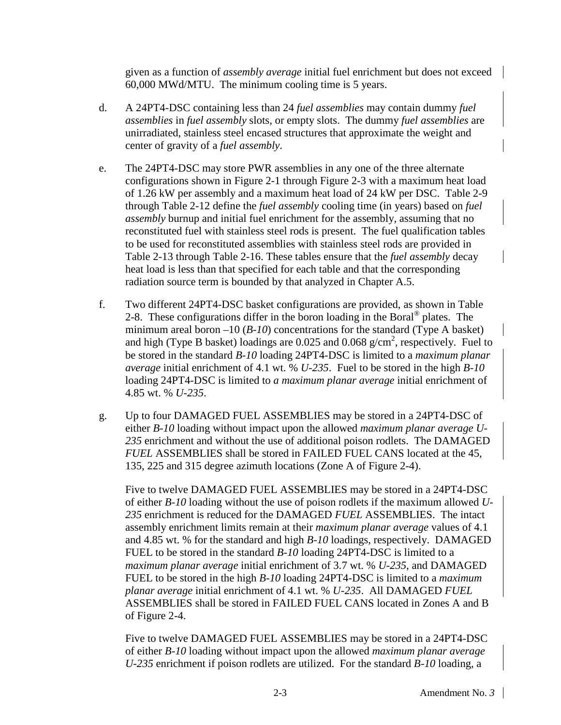given as a function of *assembly average* initial fuel enrichment but does not exceed 60,000 MWd/MTU. The minimum cooling time is 5 years.

- d. A 24PT4-DSC containing less than 24 *fuel assemblies* may contain dummy *fuel assemblies* in *fuel assembly* slots, or empty slots. The dummy *fuel assemblies* are unirradiated, stainless steel encased structures that approximate the weight and center of gravity of a *fuel assembly*.
- e. The 24PT4-DSC may store PWR assemblies in any one of the three alternate configurations shown in Figure 2-1 through Figure 2-3 with a maximum heat load of 1.26 kW per assembly and a maximum heat load of 24 kW per DSC. Table 2-9 through Table 2-12 define the *fuel assembly* cooling time (in years) based on *fuel assembly* burnup and initial fuel enrichment for the assembly, assuming that no reconstituted fuel with stainless steel rods is present. The fuel qualification tables to be used for reconstituted assemblies with stainless steel rods are provided in Table 2-13 through Table 2-16. These tables ensure that the *fuel assembly* decay heat load is less than that specified for each table and that the corresponding radiation source term is bounded by that analyzed in Chapter A.5.
- f. Two different 24PT4-DSC basket configurations are provided, as shown in Table 2-8. These configurations differ in the boron loading in the Boral<sup>®</sup> plates. The minimum areal boron –10 (*B-10*) concentrations for the standard (Type A basket) and high (Type B basket) loadings are 0.025 and 0.068  $g/cm^2$ , respectively. Fuel to be stored in the standard *B-10* loading 24PT4-DSC is limited to a *maximum planar average* initial enrichment of 4.1 wt. % *U-235*. Fuel to be stored in the high *B-10* loading 24PT4-DSC is limited to *a maximum planar average* initial enrichment of 4.85 wt. % *U-235*.
- g. Up to four DAMAGED FUEL ASSEMBLIES may be stored in a 24PT4-DSC of either *B-10* loading without impact upon the allowed *maximum planar average U-235* enrichment and without the use of additional poison rodlets. The DAMAGED *FUEL* ASSEMBLIES shall be stored in FAILED FUEL CANS located at the 45, 135, 225 and 315 degree azimuth locations (Zone A of Figure 2-4).

Five to twelve DAMAGED FUEL ASSEMBLIES may be stored in a 24PT4-DSC of either *B-10* loading without the use of poison rodlets if the maximum allowed *U-235* enrichment is reduced for the DAMAGED *FUEL* ASSEMBLIES. The intact assembly enrichment limits remain at their *maximum planar average* values of 4.1 and 4.85 wt. % for the standard and high *B-10* loadings, respectively. DAMAGED FUEL to be stored in the standard *B-10* loading 24PT4-DSC is limited to a *maximum planar average* initial enrichment of 3.7 wt. % *U-235*, and DAMAGED FUEL to be stored in the high *B-10* loading 24PT4-DSC is limited to a *maximum planar average* initial enrichment of 4.1 wt. % *U-235*. All DAMAGED *FUEL*  ASSEMBLIES shall be stored in FAILED FUEL CANS located in Zones A and B of Figure 2-4.

Five to twelve DAMAGED FUEL ASSEMBLIES may be stored in a 24PT4-DSC of either *B-10* loading without impact upon the allowed *maximum planar average U-235* enrichment if poison rodlets are utilized. For the standard *B-10* loading, a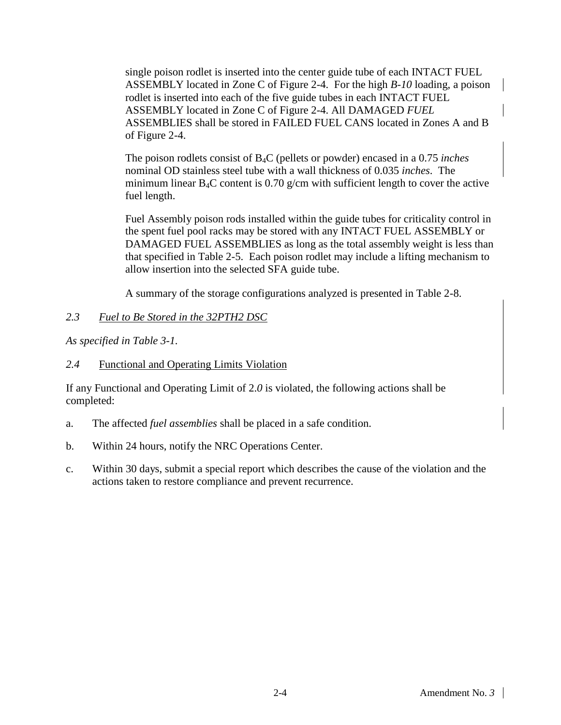single poison rodlet is inserted into the center guide tube of each INTACT FUEL ASSEMBLY located in Zone C of Figure 2-4. For the high *B-10* loading, a poison rodlet is inserted into each of the five guide tubes in each INTACT FUEL ASSEMBLY located in Zone C of Figure 2-4. All DAMAGED *FUEL*  ASSEMBLIES shall be stored in FAILED FUEL CANS located in Zones A and B of Figure 2-4.

The poison rodlets consist of B4C (pellets or powder) encased in a 0.75 *inches* nominal OD stainless steel tube with a wall thickness of 0.035 *inches*. The minimum linear  $B_4C$  content is 0.70 g/cm with sufficient length to cover the active fuel length.

Fuel Assembly poison rods installed within the guide tubes for criticality control in the spent fuel pool racks may be stored with any INTACT FUEL ASSEMBLY or DAMAGED FUEL ASSEMBLIES as long as the total assembly weight is less than that specified in Table 2-5. Each poison rodlet may include a lifting mechanism to allow insertion into the selected SFA guide tube.

A summary of the storage configurations analyzed is presented in Table 2-8.

### <span id="page-19-0"></span>*2.3 Fuel to Be Stored in the 32PTH2 DSC*

<span id="page-19-1"></span>*As specified in Table 3-1.*

#### *2.4* Functional and Operating Limits Violation

If any Functional and Operating Limit of 2.*0* is violated, the following actions shall be completed:

- a. The affected *fuel assemblies* shall be placed in a safe condition.
- b. Within 24 hours, notify the NRC Operations Center.
- c. Within 30 days, submit a special report which describes the cause of the violation and the actions taken to restore compliance and prevent recurrence.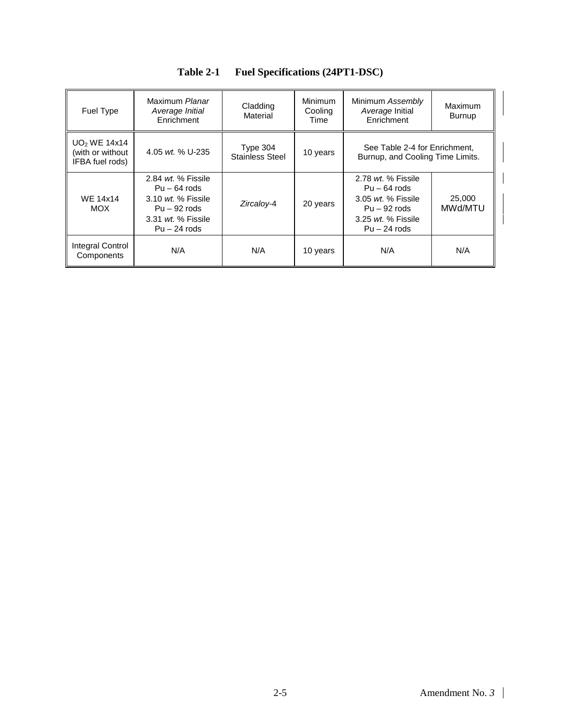<span id="page-20-0"></span>

| Fuel Type                                                       | Maximum Planar<br>Average Initial<br>Enrichment                                                                                           | Cladding<br>Material                 | <b>Minimum</b><br>Cooling<br>Time | Minimum Assembly<br>Average Initial<br>Enrichment                                                                               | Maximum<br><b>Burnup</b> |
|-----------------------------------------------------------------|-------------------------------------------------------------------------------------------------------------------------------------------|--------------------------------------|-----------------------------------|---------------------------------------------------------------------------------------------------------------------------------|--------------------------|
| UO <sub>2</sub> WE 14x14<br>(with or without<br>IFBA fuel rods) | 4.05 wt. % U-235                                                                                                                          | Type $304$<br><b>Stainless Steel</b> | 10 years                          | See Table 2-4 for Enrichment,<br>Burnup, and Cooling Time Limits.                                                               |                          |
| <b>WE 14x14</b><br><b>MOX</b>                                   | 2.84 <i>wt.</i> % Fissile<br>$Pu - 64$ rods<br>3.10 <i>wt.</i> % Fissile<br>$Pu - 92$ rods<br>3.31 <i>wt.</i> % Fissile<br>$Pu - 24$ rods | Zircalov-4                           | 20 years                          | 2.78 <i>wt.</i> % Fissile<br>$Pu - 64$ rods<br>$3.05$ wt. % Fissile<br>$Pu - 92$ rods<br>$3.25$ wt. % Fissile<br>$Pu - 24$ rods | 25,000<br>MWd/MTU        |
| Integral Control<br>Components                                  | N/A                                                                                                                                       | N/A                                  | 10 years                          | N/A                                                                                                                             | N/A                      |

| Table 2-1 | <b>Fuel Specifications (24PT1-DSC)</b> |  |
|-----------|----------------------------------------|--|
|-----------|----------------------------------------|--|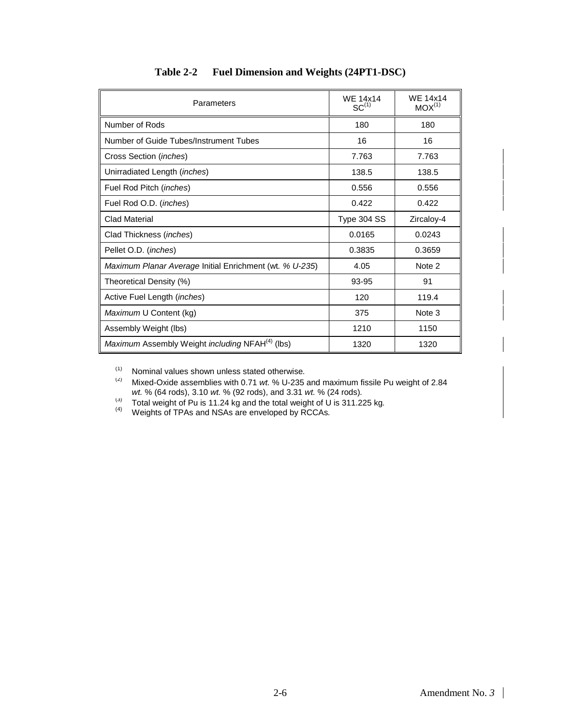<span id="page-21-0"></span>

| Parameters                                                  | <b>WE 14x14</b><br>$SC^{(1)}$ | <b>WE 14x14</b><br>$MOX^{(1)}$ |
|-------------------------------------------------------------|-------------------------------|--------------------------------|
| Number of Rods                                              | 180                           | 180                            |
| Number of Guide Tubes/Instrument Tubes                      | 16                            | 16                             |
| Cross Section ( <i>inches</i> )                             | 7.763                         | 7.763                          |
| Unirradiated Length (inches)                                | 138.5                         | 138.5                          |
| Fuel Rod Pitch (inches)                                     | 0.556                         | 0.556                          |
| Fuel Rod O.D. ( <i>inches</i> )                             | 0.422                         | 0.422                          |
| <b>Clad Material</b>                                        | Type 304 SS                   | Zircaloy-4                     |
| Clad Thickness ( <i>inches</i> )                            | 0.0165                        | 0.0243                         |
| Pellet O.D. (inches)                                        | 0.3835                        | 0.3659                         |
| Maximum Planar Average Initial Enrichment (wt. % U-235)     | 4.05                          | Note 2                         |
| Theoretical Density (%)                                     | 93-95                         | 91                             |
| Active Fuel Length ( <i>inches</i> )                        | 120                           | 119.4                          |
| Maximum U Content (kg)                                      | 375                           | Note 3                         |
| Assembly Weight (lbs)                                       | 1210                          | 1150                           |
| Maximum Assembly Weight including NFAH <sup>(4)</sup> (lbs) | 1320                          | 1320                           |

### **Table 2-2 Fuel Dimension and Weights (24PT1-DSC)**

(1) Nominal values shown unless stated otherwise*.*

- (2) Mixed-Oxide assemblies with 0.71 *wt.* % U-235 and maximum fissile Pu weight of 2.84 *wt.* % (64 rods), 3.10 *wt.* % (92 rods), and 3.31 *wt.* % (24 rods)*.*
- (3) Total weight of Pu is 11.24 kg and the total weight of U is 311.225 kg*.* (4) Weights of TPAs and NSAs are enveloped by RCCAs*.*
-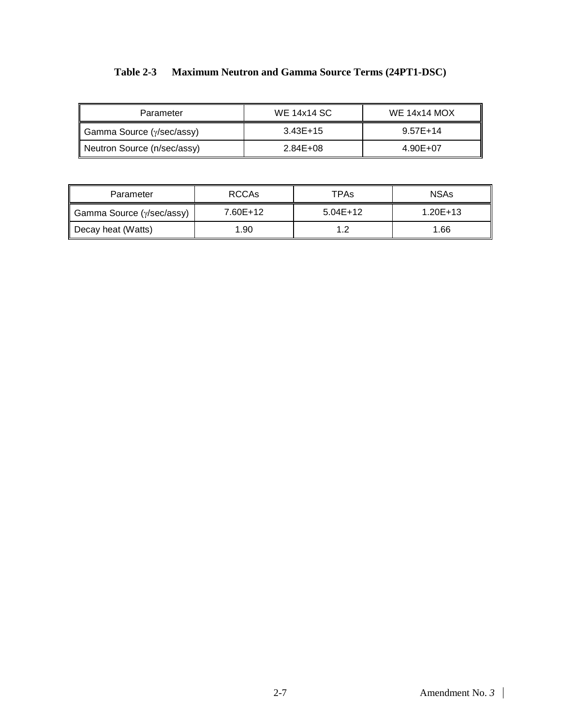|  | Table 2-3 Maximum Neutron and Gamma Source Terms (24PT1-DSC) |  |
|--|--------------------------------------------------------------|--|
|--|--------------------------------------------------------------|--|

<span id="page-22-0"></span>

| Parameter                   | <b>WE 14x14 SC</b> | <b>WE 14x14 MOX</b> |
|-----------------------------|--------------------|---------------------|
| Gamma Source (γ/sec/assy)   | $3.43E+15$         | $9.57E+14$          |
| Neutron Source (n/sec/assy) | 2.84E+08           | 4.90E+07            |

| Parameter                 | RCCA <sub>s</sub> | TPAs       | <b>NSAs</b>  |
|---------------------------|-------------------|------------|--------------|
| Gamma Source (y/sec/assy) | 7.60E+12          | $5.04E+12$ | $1.20E + 13$ |
| Decay heat (Watts)        | 1.90              | 1 ລ        | 1.66         |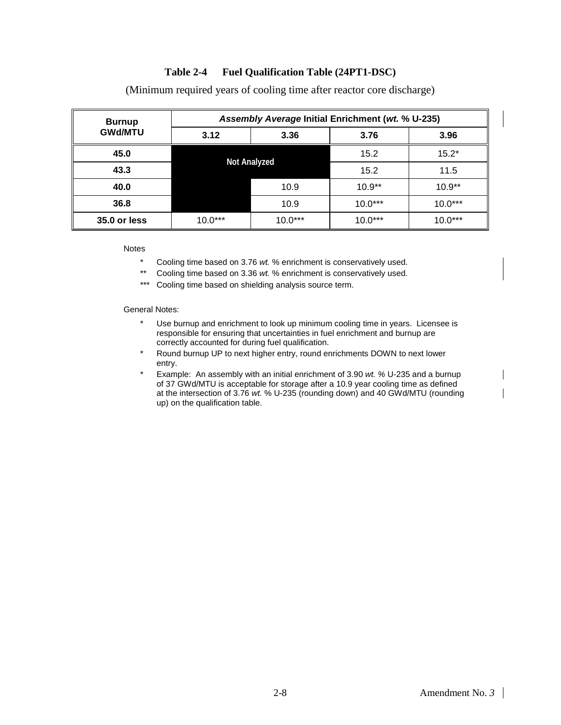#### **Table 2-4 Fuel Qualification Table (24PT1-DSC)**

<span id="page-23-0"></span>

| <b>Burnup</b>  |                     | Assembly Average Initial Enrichment (wt. % U-235) |           |           |
|----------------|---------------------|---------------------------------------------------|-----------|-----------|
| <b>GWd/MTU</b> | 3.12                | 3.36                                              | 3.76      | 3.96      |
| 45.0           |                     |                                                   | 15.2      | $15.2*$   |
| 43.3           | <b>Not Analyzed</b> |                                                   | 15.2      | 11.5      |
| 40.0           |                     | 10.9                                              | $10.9**$  | $10.9**$  |
| 36.8           |                     | 10.9                                              | $10.0***$ | $10.0***$ |
| 35.0 or less   | $10.0***$           | $10.0***$                                         | $10.0***$ | $10.0***$ |

(Minimum required years of cooling time after reactor core discharge)

Notes

- \* Cooling time based on 3.76 *wt.* % enrichment is conservatively used.
- \*\* Cooling time based on 3.36 *wt.* % enrichment is conservatively used.
- \*\*\* Cooling time based on shielding analysis source term.

General Notes:

- \* Use burnup and enrichment to look up minimum cooling time in years. Licensee is responsible for ensuring that uncertainties in fuel enrichment and burnup are correctly accounted for during fuel qualification.
- \* Round burnup UP to next higher entry, round enrichments DOWN to next lower entry.
- \* Example: An assembly with an initial enrichment of 3.90 *wt. %* U-235 and a burnup of 37 GWd/MTU is acceptable for storage after a 10.9 year cooling time as defined at the intersection of 3.76 *wt.* % U-235 (rounding down) and 40 GWd/MTU (rounding up) on the qualification table.

 $\mathsf{l}$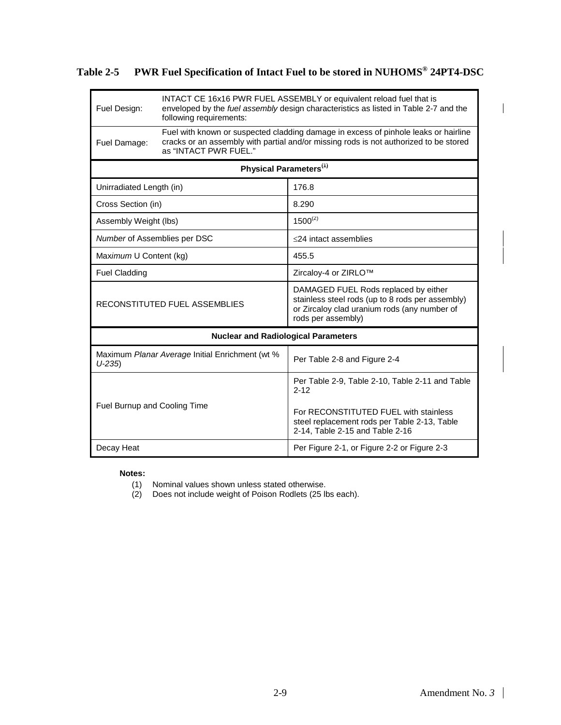<span id="page-24-0"></span>**Table 2-5 PWR Fuel Specification of Intact Fuel to be stored in NUHOMS® 24PT4-DSC** 

| Fuel Design:                 | following requirements:                         | INTACT CE 16x16 PWR FUEL ASSEMBLY or equivalent reload fuel that is<br>enveloped by the fuel assembly design characteristics as listed in Table 2-7 and the                  |
|------------------------------|-------------------------------------------------|------------------------------------------------------------------------------------------------------------------------------------------------------------------------------|
| Fuel Damage:                 | as "INTACT PWR FUEL."                           | Fuel with known or suspected cladding damage in excess of pinhole leaks or hairline<br>cracks or an assembly with partial and/or missing rods is not authorized to be stored |
|                              | Physical Parameters <sup>(1)</sup>              |                                                                                                                                                                              |
| Unirradiated Length (in)     |                                                 | 176.8                                                                                                                                                                        |
| Cross Section (in)           |                                                 | 8.290                                                                                                                                                                        |
| Assembly Weight (lbs)        |                                                 | $1500^{(2)}$                                                                                                                                                                 |
| Number of Assemblies per DSC |                                                 | $\leq$ 24 intact assemblies                                                                                                                                                  |
| Maximum U Content (kg)       |                                                 | 455.5                                                                                                                                                                        |
| <b>Fuel Cladding</b>         |                                                 | Zircaloy-4 or ZIRLO™                                                                                                                                                         |
|                              | RECONSTITUTED FUEL ASSEMBLIES                   | DAMAGED FUEL Rods replaced by either<br>stainless steel rods (up to 8 rods per assembly)<br>or Zircaloy clad uranium rods (any number of<br>rods per assembly)               |
|                              | <b>Nuclear and Radiological Parameters</b>      |                                                                                                                                                                              |
| $U-235$                      | Maximum Planar Average Initial Enrichment (wt % | Per Table 2-8 and Figure 2-4                                                                                                                                                 |
|                              |                                                 | Per Table 2-9, Table 2-10, Table 2-11 and Table<br>$2 - 12$                                                                                                                  |
| Fuel Burnup and Cooling Time |                                                 | For RECONSTITUTED FUEL with stainless<br>steel replacement rods per Table 2-13, Table<br>2-14, Table 2-15 and Table 2-16                                                     |
| Decay Heat                   |                                                 | Per Figure 2-1, or Figure 2-2 or Figure 2-3                                                                                                                                  |

#### **Notes:**

(1) Nominal values shown unless stated otherwise.

(2) Does not include weight of Poison Rodlets (25 lbs each).

 $\mathbf{I}$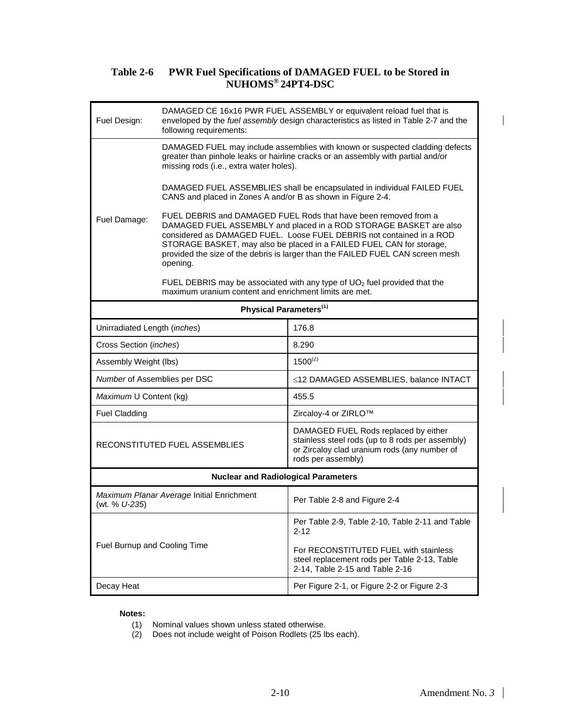#### **Table 2-6 PWR Fuel Specifications of DAMAGED FUEL to be Stored in NUHOMS® 24PT4-DSC**

<span id="page-25-0"></span>

| Fuel Design:                 | following requirements:                                     | DAMAGED CE 16x16 PWR FUEL ASSEMBLY or equivalent reload fuel that is<br>enveloped by the fuel assembly design characteristics as listed in Table 2-7 and the                                                                                                                                                                                                           |
|------------------------------|-------------------------------------------------------------|------------------------------------------------------------------------------------------------------------------------------------------------------------------------------------------------------------------------------------------------------------------------------------------------------------------------------------------------------------------------|
|                              | missing rods (i.e., extra water holes).                     | DAMAGED FUEL may include assemblies with known or suspected cladding defects<br>greater than pinhole leaks or hairline cracks or an assembly with partial and/or                                                                                                                                                                                                       |
|                              | CANS and placed in Zones A and/or B as shown in Figure 2-4. | DAMAGED FUEL ASSEMBLIES shall be encapsulated in individual FAILED FUEL                                                                                                                                                                                                                                                                                                |
| Fuel Damage:                 | opening.                                                    | FUEL DEBRIS and DAMAGED FUEL Rods that have been removed from a<br>DAMAGED FUEL ASSEMBLY and placed in a ROD STORAGE BASKET are also<br>considered as DAMAGED FUEL. Loose FUEL DEBRIS not contained in a ROD<br>STORAGE BASKET, may also be placed in a FAILED FUEL CAN for storage,<br>provided the size of the debris is larger than the FAILED FUEL CAN screen mesh |
|                              | maximum uranium content and enrichment limits are met.      | FUEL DEBRIS may be associated with any type of $UO2$ fuel provided that the                                                                                                                                                                                                                                                                                            |
|                              | Physical Parameters <sup>(1)</sup>                          |                                                                                                                                                                                                                                                                                                                                                                        |
| Unirradiated Length (inches) |                                                             | 176.8                                                                                                                                                                                                                                                                                                                                                                  |
| Cross Section (inches)       |                                                             | 8.290                                                                                                                                                                                                                                                                                                                                                                  |
| Assembly Weight (lbs)        |                                                             | $1500^{(2)}$                                                                                                                                                                                                                                                                                                                                                           |
| Number of Assemblies per DSC |                                                             | ≤12 DAMAGED ASSEMBLIES, balance INTACT                                                                                                                                                                                                                                                                                                                                 |
| Maximum U Content (kg)       |                                                             | 455.5                                                                                                                                                                                                                                                                                                                                                                  |
| <b>Fuel Cladding</b>         |                                                             | Zircaloy-4 or ZIRLO™                                                                                                                                                                                                                                                                                                                                                   |
|                              | RECONSTITUTED FUEL ASSEMBLIES                               | DAMAGED FUEL Rods replaced by either<br>stainless steel rods (up to 8 rods per assembly)<br>or Zircaloy clad uranium rods (any number of<br>rods per assembly)                                                                                                                                                                                                         |
|                              | <b>Nuclear and Radiological Parameters</b>                  |                                                                                                                                                                                                                                                                                                                                                                        |
| (wt <i>.</i> % U-235)        | Maximum Planar Average Initial Enrichment                   | Per Table 2-8 and Figure 2-4                                                                                                                                                                                                                                                                                                                                           |
|                              |                                                             | Per Table 2-9, Table 2-10, Table 2-11 and Table<br>$2 - 12$                                                                                                                                                                                                                                                                                                            |
| Fuel Burnup and Cooling Time |                                                             | For RECONSTITUTED FUEL with stainless<br>steel replacement rods per Table 2-13, Table<br>2-14, Table 2-15 and Table 2-16                                                                                                                                                                                                                                               |
| Decay Heat                   |                                                             | Per Figure 2-1, or Figure 2-2 or Figure 2-3                                                                                                                                                                                                                                                                                                                            |

#### **Notes:**

- (1) Nominal values shown unless stated otherwise.
- (2) Does not include weight of Poison Rodlets (25 lbs each).

 $\overline{\phantom{a}}$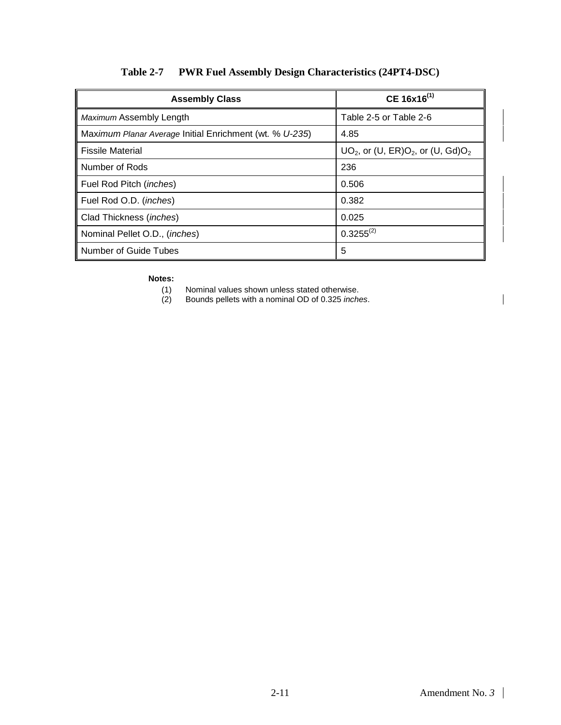<span id="page-26-0"></span>

| <b>Assembly Class</b>                                   | $CE 16x16^{(1)}$                          |
|---------------------------------------------------------|-------------------------------------------|
| Maximum Assembly Length                                 | Table 2-5 or Table 2-6                    |
| Maximum Planar Average Initial Enrichment (wt. % U-235) | 4.85                                      |
| <b>Fissile Material</b>                                 | $UO2$ , or (U, ER) $O2$ , or (U, Gd) $O2$ |
| Number of Rods                                          | 236                                       |
| Fuel Rod Pitch ( <i>inches</i> )                        | 0.506                                     |
| Fuel Rod O.D. ( <i>inches</i> )                         | 0.382                                     |
| Clad Thickness (inches)                                 | 0.025                                     |
| Nominal Pellet O.D., (inches)                           | $0.3255^{(2)}$                            |
| <b>Number of Guide Tubes</b>                            | 5                                         |

## **Table 2-7 PWR Fuel Assembly Design Characteristics (24PT4-DSC)**

# **Notes:**<br>(1)<br>(2)

- Nominal values shown unless stated otherwise.
- (2) Bounds pellets with a nominal OD of 0.325 *inches*.

 $\overline{\phantom{a}}$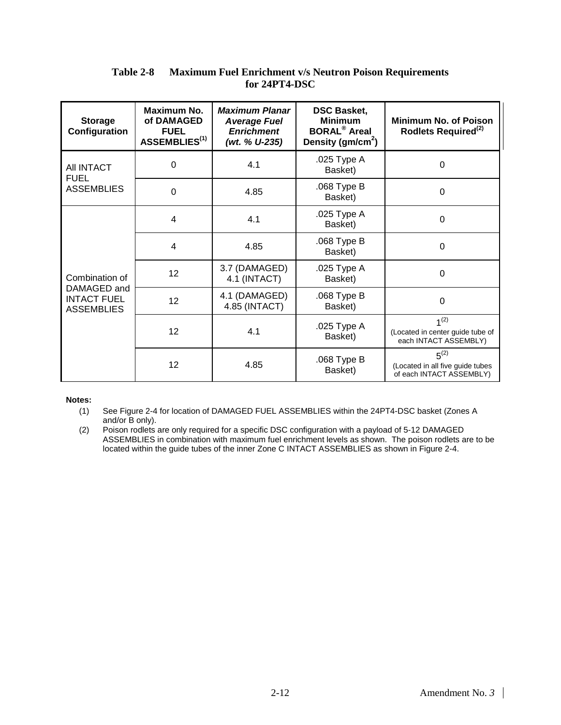#### **Table 2-8 Maximum Fuel Enrichment v/s Neutron Poison Requirements for 24PT4-DSC**

<span id="page-27-0"></span>

| <b>Storage</b><br>Configuration                        | Maximum No.<br>of DAMAGED<br><b>FUEL</b><br>ASSEMBLIES <sup>(1)</sup> | <b>Maximum Planar</b><br><b>Average Fuel</b><br><b>Enrichment</b><br>(wt. % U-235) | <b>DSC Basket,</b><br><b>Minimum</b><br><b>BORAL<sup>®</sup></b> Areal<br>Density (gm/cm <sup>2</sup> ) | <b>Minimum No. of Poison</b><br>Rodlets Required <sup>(2)</sup>               |
|--------------------------------------------------------|-----------------------------------------------------------------------|------------------------------------------------------------------------------------|---------------------------------------------------------------------------------------------------------|-------------------------------------------------------------------------------|
| AII INTACT<br><b>FUEL</b>                              | $\Omega$                                                              | 4.1                                                                                | .025 Type A<br>Basket)                                                                                  | $\Omega$                                                                      |
| <b>ASSEMBLIES</b>                                      | 0                                                                     | 4.85                                                                               | .068 Type B<br>Basket)                                                                                  | $\Omega$                                                                      |
|                                                        | 4                                                                     | 4.1                                                                                | .025 Type A<br>Basket)                                                                                  | $\Omega$                                                                      |
|                                                        | 4                                                                     | 4.85                                                                               | .068 Type B<br>Basket)                                                                                  | $\Omega$                                                                      |
| Combination of                                         | 12                                                                    | 3.7 (DAMAGED)<br>4.1 (INTACT)                                                      | .025 Type A<br>Basket)                                                                                  | $\Omega$                                                                      |
| DAMAGED and<br><b>INTACT FUEL</b><br><b>ASSEMBLIES</b> | 12                                                                    | 4.1 (DAMAGED)<br>4.85 (INTACT)                                                     | .068 Type B<br>Basket)                                                                                  | $\Omega$                                                                      |
|                                                        | 12                                                                    | 4.1                                                                                | .025 Type A<br>Basket)                                                                                  | 1 <sup>(2)</sup><br>(Located in center guide tube of<br>each INTACT ASSEMBLY) |
|                                                        | 12                                                                    | 4.85                                                                               | .068 Type B<br>Basket)                                                                                  | $5^{(2)}$<br>(Located in all five guide tubes<br>of each INTACT ASSEMBLY)     |

#### **Notes:**

(1) See Figure 2-4 for location of DAMAGED FUEL ASSEMBLIES within the 24PT4-DSC basket (Zones A and/or B only).

(2) Poison rodlets are only required for a specific DSC configuration with a payload of 5-12 DAMAGED ASSEMBLIES in combination with maximum fuel enrichment levels as shown. The poison rodlets are to be located within the guide tubes of the inner Zone C INTACT ASSEMBLIES as shown in Figure 2-4.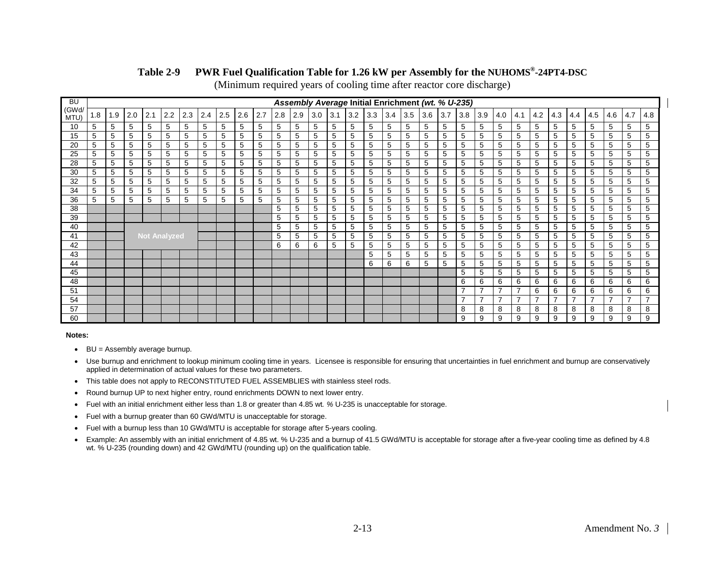#### **Table 2-9 PWR Fuel Qualification Table for 1.26 kW per Assembly for the NUHOMS®-24PT4-DSC**

(Minimum required years of cooling time after reactor core discharge)

| <b>BU</b>     |     |     |     |                     |     |     |     |     |     |     |     |     |     |     |     |     | Assembly Average Initial Enrichment (wt. % U-235) |     |     |     |     |     |     |                          |                |                |                |     |     |     |     |
|---------------|-----|-----|-----|---------------------|-----|-----|-----|-----|-----|-----|-----|-----|-----|-----|-----|-----|---------------------------------------------------|-----|-----|-----|-----|-----|-----|--------------------------|----------------|----------------|----------------|-----|-----|-----|-----|
| (GWd/<br>MTU) | 1.8 | 1.9 | 2.0 | 2.1                 | 2.2 | 2.3 | 2.4 | 2.5 | 2.6 | 2.7 | 2.8 | 2.9 | 3.0 | 3.1 | 3.2 | 3.3 | 3.4                                               | 3.5 | 3.6 | 3.7 | 3.8 | 3.9 | 4.0 | 4.1                      | 4.2            | 4.3            | 4.4            | 4.5 | 4.6 | 4.7 | 4.8 |
| 10            | 5   | 5   | 5   | 5                   | 5   | 5   | 5   | 5   | 5   | 5   | 5   | 5   | 5   | 5   | 5   | 5   | 5                                                 | 5   | 5   | 5   | 5   | 5   | 5   | 5                        | 5              | 5              | 5              | 5   | 5   | 5   | 5   |
| 15            | 5   | 5   | 5   | 5                   | 5   | 5   | 5   | 5   | 5   | 5   | 5   | 5   | 5   | 5   | 5   | 5   | 5                                                 | 5   | 5   | 5   | 5   | 5   | 5   | 5                        | 5              | 5              | 5              | 5   | 5   | 5   | 5   |
| 20            | 5   | 5   | 5   | 5                   | 5   | 5   | 5   | 5   | 5   | 5   | 5   | 5   | 5   | 5   | 5   | 5   | 5                                                 | 5   | 5   | 5   | 5   | 5   | 5   | 5                        | 5              | 5              | 5              | 5   | 5   | 5   | 5   |
| 25            | 5   | 5   | 5   | 5                   | 5   | 5   | 5   | 5   | 5   | 5   | 5   | 5   | 5   | 5   | 5   | 5   | 5                                                 | 5   | 5   | 5   | 5   | 5   | 5   | 5                        | 5              | 5              | 5              | 5   | 5   | 5   | 5   |
| 28            | 5   | 5   | 5   | 5                   | 5   | 5   | 5   | 5   | 5   | 5   | 5   | 5   | 5   | 5   | 5   | 5   | 5                                                 | 5   | 5   | 5   | 5   | 5   | 5   | 5                        | 5              | 5              | 5              | 5   | 5   | 5   | 5   |
| 30            | 5   | 5   | 5   | 5                   | 5   | 5   | 5   | 5   | 5   | 5   | 5   | 5   | 5   | 5   | 5   | 5   | 5                                                 | 5   | 5   | 5   | 5   | 5   | 5   | 5                        | 5              | 5              | 5              | 5   | 5   | 5   | 5   |
| 32            | 5   | 5   | 5   | 5                   | 5   | 5   | 5   | 5   | 5   | 5   | 5   | 5   | 5   | 5   | 5   | 5   | 5                                                 | 5   | 5   | 5   | 5   | 5   | 5   | 5                        | 5              | 5              | 5              | 5   | 5   | 5   | 5   |
| 34            | 5   | 5   | 5   | 5                   | 5   | 5   | 5   | 5   | 5   | 5   | 5   | 5   | 5   | 5   | 5   | 5   | 5                                                 | 5   | 5   | 5   | 5   | 5   | 5   | 5                        | 5              | 5              | 5              | 5   | 5   | 5   | 5   |
| 36            | 5   | 5   | 5   | 5                   | 5   | 5   | 5   | 5   | 5   | 5   | 5   | 5   | 5   | 5   | 5   | 5   | 5                                                 | 5   | 5   | 5   | 5   | 5   | 5   | 5                        | 5              | 5              | 5              | 5   | 5   | 5   | 5   |
| 38            |     |     |     |                     |     |     |     |     |     |     | 5   | 5   | 5   | 5   | 5   | 5   | 5                                                 | 5   | 5   | 5   | 5   | 5   | 5   | 5                        | 5              | 5              | 5              | 5   | 5   | 5   | 5   |
| 39            |     |     |     |                     |     |     |     |     |     |     | 5   | 5   | 5   | 5   | 5   | 5   | 5                                                 | 5   | 5   | 5   | 5   | 5   | 5   | 5                        | 5              | 5              | 5              | 5   | 5   | 5   | 5   |
| 40            |     |     |     |                     |     |     |     |     |     |     | 5   | 5   | 5   | 5   | 5   | 5   | 5                                                 | 5   | 5   | 5   | 5   | 5   | 5   | 5                        | 5              | 5              | 5              | 5   | 5   | 5   | 5   |
| 41            |     |     |     | <b>Not Analyzed</b> |     |     |     |     |     |     | 5   | 5   | 5   | 5   | 5   | 5   | 5                                                 | 5   | 5   | 5   | 5   | 5   | 5   | 5                        | 5              | 5              | 5              | 5   | 5   | 5   | 5   |
| 42            |     |     |     |                     |     |     |     |     |     |     | 6   | 6   | 6   | 5   | 5   | 5   | 5                                                 | 5   | 5   | 5   | 5   | 5   | 5   | 5                        | 5              | 5              | 5              | 5   | 5   | 5   | 5   |
| 43            |     |     |     |                     |     |     |     |     |     |     |     |     |     |     |     | 5   | 5                                                 | 5   | 5   | 5   | 5   | 5   | 5   | 5                        | 5              | 5              | 5              | 5   | 5   | 5   | 5   |
| 44            |     |     |     |                     |     |     |     |     |     |     |     |     |     |     |     | 6   | 6                                                 | 6   | 5   | 5   | 5   | 5   | 5   | 5                        | 5              | 5              | 5              | 5   | 5   | 5   | 5   |
| 45            |     |     |     |                     |     |     |     |     |     |     |     |     |     |     |     |     |                                                   |     |     |     | 5   | 5   | 5   | 5                        | 5              | 5              | 5              | 5   | 5   | 5   | 5   |
| 48            |     |     |     |                     |     |     |     |     |     |     |     |     |     |     |     |     |                                                   |     |     |     | 6   | 6   | 6   | 6                        | 6              | 6              | 6              | 6   | 6   | 6   | 6   |
| 51            |     |     |     |                     |     |     |     |     |     |     |     |     |     |     |     |     |                                                   |     |     |     | 7   |     |     | -                        | 6              | 6              | 6              | 6   | 6   | 6   | 6   |
| 54            |     |     |     |                     |     |     |     |     |     |     |     |     |     |     |     |     |                                                   |     |     |     | 7   | ⇁   | 7   | $\overline{\phantom{a}}$ | $\overline{ }$ | $\overline{7}$ | $\overline{ }$ | 7   | ⇁   | ⇁   | ⇁   |
| 57            |     |     |     |                     |     |     |     |     |     |     |     |     |     |     |     |     |                                                   |     |     |     | 8   | 8   | 8   | 8                        | 8              | 8              | 8              | 8   | 8   | 8   | 8   |
| 60            |     |     |     |                     |     |     |     |     |     |     |     |     |     |     |     |     |                                                   |     |     |     | 9   | 9   | 9   | 9                        | 9              | 9              | 9              | 9   | 9   | 9   | 9   |

- <span id="page-28-0"></span>• BU = Assembly average burnup.
- Use burnup and enrichment to lookup minimum cooling time in years. Licensee is responsible for ensuring that uncertainties in fuel enrichment and burnup are conservatively applied in determination of actual values for these two parameters.
- This table does not apply to RECONSTITUTED FUEL ASSEMBLIES with stainless steel rods.
- Round burnup UP to next higher entry, round enrichments DOWN to next lower entry.
- Fuel with an initial enrichment either less than 1.8 or greater than 4.85 wt*. %* U-235 is unacceptable for storage.
- Fuel with a burnup greater than 60 GWd/MTU is unacceptable for storage.
- Fuel with a burnup less than 10 GWd/MTU is acceptable for storage after 5-years cooling.
- Example: An assembly with an initial enrichment of 4.85 wt. % U-235 and a burnup of 41.5 GWd/MTU is acceptable for storage after a five-year cooling time as defined by 4.8 wt. % U-235 (rounding down) and 42 GWd/MTU (rounding up) on the qualification table.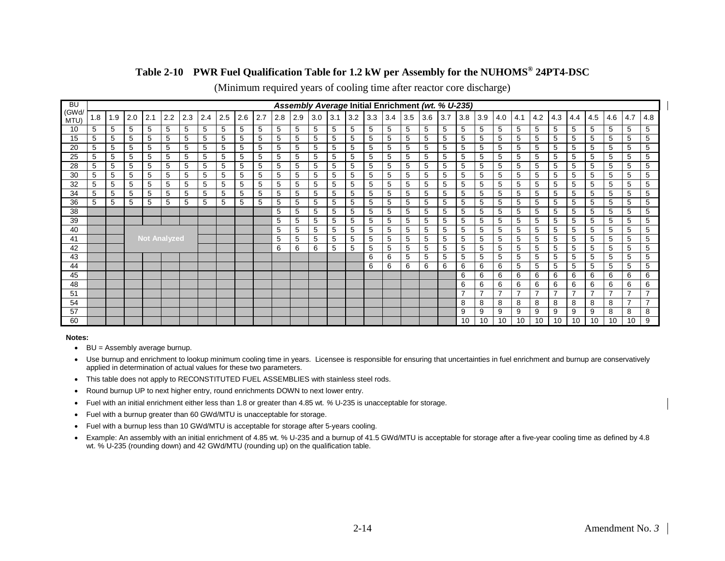#### **Table 2-10 PWR Fuel Qualification Table for 1.2 kW per Assembly for the NUHOMS® 24PT4-DSC**

| <b>BU</b>     |    |     |     |                     |     |     |     |     |     |     |     |     |     |     |     |     |     | Assembly Average Initial Enrichment (wt. % U-235) |     |     |                          |                |                |     |                          |                |                |     |     |     |                          |
|---------------|----|-----|-----|---------------------|-----|-----|-----|-----|-----|-----|-----|-----|-----|-----|-----|-----|-----|---------------------------------------------------|-----|-----|--------------------------|----------------|----------------|-----|--------------------------|----------------|----------------|-----|-----|-----|--------------------------|
| (GWd/<br>MTU) | .8 | 1.9 | 2.0 | 2.1                 | 2.2 | 2.3 | 2.4 | 2.5 | 2.6 | 2.7 | 2.8 | 2.9 | 3.0 | 3.1 | 3.2 | 3.3 | 3.4 | 3.5                                               | 3.6 | 3.7 | 3.8                      | 3.9            | 4.0            | 4.1 | 4.2                      | 4.3            | 4.4            | 4.5 | 4.6 | 4.7 | 4.8                      |
| 10            | 5  | 5   | 5   | 5                   | 5   | 5   | 5   | 5   | 5   | 5   | 5   | 5   | 5   | 5   | 5   | 5   | 5   | 5                                                 | 5   | 5   | 5                        | 5              | 5              | 5   | 5                        | 5              | 5              | 5   | 5   | 5   | 5                        |
| 15            | 5  | 5   | 5   | 5                   | 5   | 5   | 5   | 5   | 5   | 5   | 5   | 5   | 5   | 5   | 5   | 5   | 5   | 5                                                 | 5   | 5   | 5                        | 5              | 5              | 5   | 5                        | 5              | 5              | 5   | 5   | 5   | 5                        |
| 20            | 5  | 5   | 5   | 5                   | 5   | 5   | 5   | 5   | 5   | 5   | 5   | 5   | 5   | 5   | 5   | 5   | 5   | 5                                                 | 5   | 5   | 5                        | 5              | 5              | 5   | 5                        | 5              | 5              | 5   | 5   | 5   | 5                        |
| 25            | 5  | 5   | 5   | 5                   | 5   | 5   | 5   | 5   | 5   | 5   | 5   | 5   | 5   | 5   | 5   | 5   | 5   | 5                                                 | 5   | 5   | 5                        | 5              | 5              | 5   | 5                        | 5              | 5              | 5   | 5   | 5   | 5                        |
| 28            | 5  | 5   | 5   | 5                   | 5   | 5   | 5   | 5   | 5   | 5   | 5   | 5   | 5   | 5   | 5   | 5   | 5   | 5                                                 | 5   | 5   | 5                        | 5              | 5              | 5   | 5                        | 5              | 5              | 5   | 5   | 5   | 5                        |
| 30            | 5  | 5   | 5   | 5                   | 5   | 5   | 5   | 5   | 5   | 5   | 5   | 5   | 5   | 5   | 5   | 5   | 5   | 5                                                 | 5   | 5   | 5                        | 5              | 5              | 5   | 5                        | 5              | 5              | 5   | 5   | 5   | 5                        |
| 32            | 5  | 5   | 5   | 5                   | 5   | 5   | 5   | 5   | 5   | 5   | 5   | 5   | 5   | 5   | 5   | 5   | 5   | 5                                                 | 5   | 5   | 5                        | 5              | 5              | 5   | 5                        | 5              | 5              | 5   | 5   | 5   | 5                        |
| 34            | 5  | 5   | 5   | 5                   | 5   | 5   | 5   | 5   | 5   | 5   | 5   | 5   | 5   | 5   | 5   | 5   | 5   | 5                                                 | 5   | 5   | 5                        | 5              | 5              | 5   | 5                        | 5              | 5              | 5   | 5   | 5   | 5                        |
| 36            | 5  | 5   | 5   | 5                   | 5   | 5   | 5   | 5   | 5   | 5   | 5   | 5   | 5   | 5   | 5   | 5   | 5   | 5                                                 | 5   | 5   | 5                        | 5              | 5              | 5   | 5                        | 5              | 5              | 5   | 5   | 5   | 5                        |
| 38            |    |     |     |                     |     |     |     |     |     |     | 5   | 5   | 5   | 5   | 5   | 5   | 5   | 5                                                 | 5   | 5   | 5                        | 5              | 5              | 5   | 5                        | 5              | 5              | 5   | 5   | 5   | 5                        |
| 39            |    |     |     |                     |     |     |     |     |     |     | 5   | 5   | 5   | 5   | 5   | 5   | 5   | 5                                                 | 5   | 5   | 5                        | 5              | 5              | 5   | 5                        | 5              | 5              | 5   | 5   | 5   | 5                        |
| 40            |    |     |     |                     |     |     |     |     |     |     | 5   | 5   | 5   | 5   | 5   | 5   | 5   | 5                                                 | 5   | 5   | 5                        | 5              | 5              | 5   | 5                        | 5              | 5              | 5   | 5   | 5   | 5                        |
| 41            |    |     |     | <b>Not Analyzed</b> |     |     |     |     |     |     | 5   | 5   | 5   | 5   | 5   | 5   | 5   | 5                                                 | 5   | 5   | 5                        | 5              | 5              | 5   | 5                        | 5              | 5              | 5   | 5   | 5   | 5                        |
| 42            |    |     |     |                     |     |     |     |     |     |     | 6   | 6   | 6   | 5   | 5   | 5   | 5   | 5                                                 | 5   | 5   | 5                        | 5              | 5              | 5   | 5                        | 5              | 5              | 5   | 5   | 5   | 5                        |
| 43            |    |     |     |                     |     |     |     |     |     |     |     |     |     |     |     | 6   | 6   | 5                                                 | 5   | 5   | 5                        | 5              | 5              | 5   | 5                        | 5              | 5              | 5   | 5   | 5   | 5                        |
| 44            |    |     |     |                     |     |     |     |     |     |     |     |     |     |     |     | 6   | 6   | 6                                                 | 6   | 6   | 6                        | 6              | 6              | 5   | 5                        | 5              | 5              | 5   | 5   | 5   | 5                        |
| 45            |    |     |     |                     |     |     |     |     |     |     |     |     |     |     |     |     |     |                                                   |     |     | 6                        | 6              | 6              | 6   | 6                        | 6              | 6              | 6   | 6   | 6   | 6                        |
| 48            |    |     |     |                     |     |     |     |     |     |     |     |     |     |     |     |     |     |                                                   |     |     | 6                        | 6              | 6              | 6   | 6                        | 6              | 6              | 6   | 6   | 6   | 6                        |
| 51            |    |     |     |                     |     |     |     |     |     |     |     |     |     |     |     |     |     |                                                   |     |     | $\overline{\phantom{a}}$ | $\overline{7}$ | $\overline{ }$ | 7   | $\overline{\phantom{0}}$ | $\overline{7}$ | $\overline{ }$ | 7   | 7   |     | $\overline{\phantom{a}}$ |
| 54            |    |     |     |                     |     |     |     |     |     |     |     |     |     |     |     |     |     |                                                   |     |     | 8                        | 8              | 8              | 8   | 8                        | 8              | 8              | 8   | 8   |     |                          |
| 57            |    |     |     |                     |     |     |     |     |     |     |     |     |     |     |     |     |     |                                                   |     |     | 9                        | 9              | 9              | 9   | 9                        | 9              | 9              | 9   | 8   | 8   | 8                        |
| 60            |    |     |     |                     |     |     |     |     |     |     |     |     |     |     |     |     |     |                                                   |     |     | 10                       | 10             | 10             | 10  | 10                       | 10             | 10             | 10  | 10  | 10  | 9                        |

(Minimum required years of cooling time after reactor core discharge)

- <span id="page-29-0"></span>• BU = Assembly average burnup.
- Use burnup and enrichment to lookup minimum cooling time in years. Licensee is responsible for ensuring that uncertainties in fuel enrichment and burnup are conservatively applied in determination of actual values for these two parameters.
- This table does not apply to RECONSTITUTED FUEL ASSEMBLIES with stainless steel rods.
- Round burnup UP to next higher entry, round enrichments DOWN to next lower entry.
- Fuel with an initial enrichment either less than 1.8 or greater than 4.85 wt*. %* U-235 is unacceptable for storage.
- Fuel with a burnup greater than 60 GWd/MTU is unacceptable for storage.
- Fuel with a burnup less than 10 GWd/MTU is acceptable for storage after 5-years cooling.
- Example: An assembly with an initial enrichment of 4.85 wt. % U-235 and a burnup of 41.5 GWd/MTU is acceptable for storage after a five-year cooling time as defined by 4.8 wt. % U-235 (rounding down) and 42 GWd/MTU (rounding up) on the qualification table.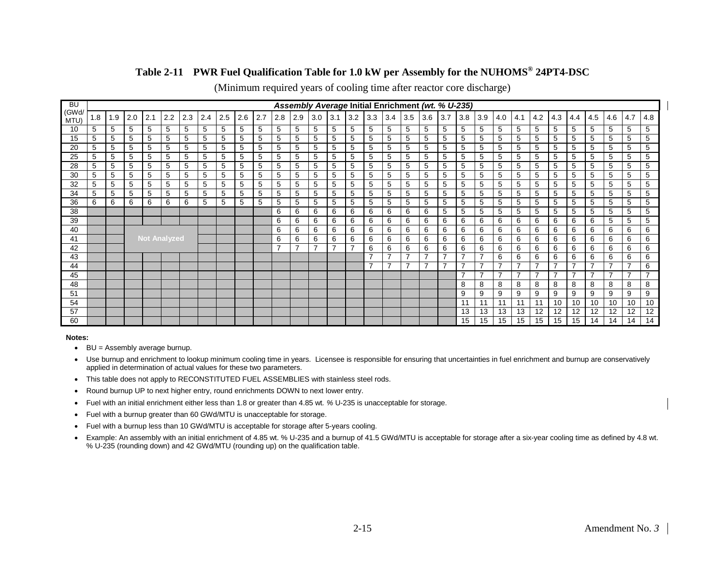#### **Table 2-11 PWR Fuel Qualification Table for 1.0 kW per Assembly for the NUHOMS® 24PT4-DSC**

| <b>BU</b>     |    |     |     |                     |     |     |     |     |     |     |     |     |                          |     |     |                          |                          | Assembly Average Initial Enrichment (wt. % U-235) |                |                |     |                |     |     |     |                |                |     |     |     |                          |
|---------------|----|-----|-----|---------------------|-----|-----|-----|-----|-----|-----|-----|-----|--------------------------|-----|-----|--------------------------|--------------------------|---------------------------------------------------|----------------|----------------|-----|----------------|-----|-----|-----|----------------|----------------|-----|-----|-----|--------------------------|
| (GWd/<br>MTU) | .8 | 1.9 | 2.0 | 2.1                 | 2.2 | 2.3 | 2.4 | 2.5 | 2.6 | 2.7 | 2.8 | 2.9 | 3.0                      | 3.1 | 3.2 | 3.3                      | 3.4                      | 3.5                                               | 3.6            | 3.7            | 3.8 | 3.9            | 4.0 | 4.1 | 4.2 | 4.3            | 4.4            | 4.5 | 4.6 | 4.7 | 4.8                      |
| 10            | 5  | 5   | 5   | 5                   | 5   | 5   | 5   | 5   | 5   | 5   | 5   | 5   | 5                        | 5   | 5   | 5                        | 5                        | 5                                                 | 5              | 5              | 5   | 5              | 5   | 5   | 5   | 5              | 5              | 5   | 5   | 5   | 5                        |
| 15            | 5  | 5   | 5   | 5                   | 5   | 5   | 5   | 5   | 5   | 5   | 5   | 5   | 5                        | 5   | 5   | 5                        | 5                        | 5                                                 | 5              | 5              | 5   | 5              | 5   | 5   | 5   | 5              | 5              | 5   | 5   | 5   | 5                        |
| 20            | 5  | 5   | 5   | 5                   | 5   | 5   | 5   | 5   | 5   | 5   | 5   | 5   | 5                        | 5   | 5   | 5                        | 5                        | 5                                                 | 5              | 5              | 5   | 5              | 5   | 5   | 5   | 5              | 5              | 5   | 5   | 5   | 5                        |
| 25            | 5  | 5   | 5   | 5                   | 5   | 5   | 5   | 5   | 5   | 5   | 5   | 5   | 5                        | 5   | 5   | 5                        | 5                        | 5                                                 | 5              | 5              | 5   | 5              | 5   | 5   | 5   | 5              | 5              | 5   | 5   | 5   | 5                        |
| 28            | 5  | 5   | 5   | 5                   | 5   | 5   | 5   | 5   | 5   | 5   | 5   | 5   | 5                        | 5   | 5   | 5                        | 5                        | 5                                                 | 5              | 5              | 5   | 5              | 5   | 5   | 5   | 5              | 5              | 5   | 5   | 5   | 5                        |
| 30            | 5  | 5   | 5   | 5                   | 5   | 5   | 5   | 5   | 5   | 5   | 5   | 5   | 5                        | 5   | 5   | 5                        | 5                        | 5                                                 | 5              | 5              | 5   | 5              | 5   | 5   | 5   | 5              | 5              | 5   | 5   | 5   | 5                        |
| 32            | 5  | 5   | 5   | 5                   | 5   | 5   | 5   | 5   | 5   | 5   | 5   | 5   | 5                        | 5   | 5   | 5                        | 5                        | 5                                                 | 5              | 5              | 5   | 5              | 5   | 5   | 5   | 5              | 5              | 5   | 5   | 5   | 5                        |
| 34            | 5  | 5   | 5   | 5                   | 5   | 5   | 5   | 5   | 5   | 5   | 5   | 5   | 5                        | 5   | 5   | 5                        | 5                        | 5                                                 | 5              | 5              | 5   | 5              | 5   | 5   | 5   | 5              | 5              | 5   | 5   | 5   | 5                        |
| 36            | 6  | 6   | 6   | 6                   | 6   | 6   | 5   | 5   | 5   | 5   | 5   | 5   | 5                        | 5   | 5   | 5                        | 5                        | 5                                                 | 5              | 5              | 5   | 5              | 5   | 5   | 5   | 5              | 5              | 5   | 5   | 5   | 5                        |
| 38            |    |     |     |                     |     |     |     |     |     |     | 6   | 6   | 6                        | 6   | 6   | 6                        | 6                        | 6                                                 | 6              | 5              | 5   | 5              | 5   | 5   | 5   | 5              | 5              | 5   | 5   | 5   | 5                        |
| 39            |    |     |     |                     |     |     |     |     |     |     | 6   | 6   | 6                        | 6   | 6   | 6                        | 6                        | 6                                                 | 6              | 6              | 6   | 6              | 6   | 6   | 6   | 6              | 6              | 6   | 5   | 5   | 5                        |
| 40            |    |     |     |                     |     |     |     |     |     |     | 6   | 6   | 6                        | 6   | 6   | 6                        | 6                        | 6                                                 | 6              | 6              | 6   | 6              | 6   | 6   | 6   | 6              | 6              | 6   | 6   | 6   | 6                        |
| 41            |    |     |     | <b>Not Analyzed</b> |     |     |     |     |     |     | 6   | 6   | 6                        | 6   | 6   | 6                        | 6                        | 6                                                 | 6              | 6              | 6   | 6              | 6   | 6   | 6   | 6              | 6              | 6   | 6   | 6   | 6                        |
| 42            |    |     |     |                     |     |     |     |     |     |     |     | 7   | $\overline{\phantom{a}}$ | 7   |     | 6                        | 6                        | 6                                                 | 6              | 6              | 6   | 6              | 6   | 6   | 6   | 6              | 6              | 6   | 6   | 6   | 6                        |
| 43            |    |     |     |                     |     |     |     |     |     |     |     |     |                          |     |     | $\overline{\phantom{a}}$ | $\overline{\phantom{0}}$ | $\overline{ }$                                    | $\overline{7}$ | $\overline{ }$ | ⇁   | $\overline{7}$ | 6   | 6   | 6   | 6              | 6              | 6   | 6   | 6   | 6                        |
| 44            |    |     |     |                     |     |     |     |     |     |     |     |     |                          |     |     |                          |                          |                                                   |                |                |     | 7              |     |     |     |                |                |     |     |     | 6                        |
| 45            |    |     |     |                     |     |     |     |     |     |     |     |     |                          |     |     |                          |                          |                                                   |                |                | –   | $\overline{7}$ | 7   | 7   | ⇁   | $\overline{7}$ | $\overline{ }$ | 7   | 7   |     | $\overline{\phantom{a}}$ |
| 48            |    |     |     |                     |     |     |     |     |     |     |     |     |                          |     |     |                          |                          |                                                   |                |                | 8   | 8              | 8   | 8   | 8   | 8              | 8              | 8   | 8   | 8   | 8                        |
| 51            |    |     |     |                     |     |     |     |     |     |     |     |     |                          |     |     |                          |                          |                                                   |                |                | 9   | 9              | 9   | 9   | 9   | 9              | 9              | 9   | 9   | 9   | 9                        |
| 54            |    |     |     |                     |     |     |     |     |     |     |     |     |                          |     |     |                          |                          |                                                   |                |                |     | 11             | 11  | 11  | 11  | 10             | 10             | 10  | 10  | 10  | 10                       |
| 57            |    |     |     |                     |     |     |     |     |     |     |     |     |                          |     |     |                          |                          |                                                   |                |                | 13  | 13             | 13  | 13  | 12  | 12             | 12             | 12  | 12  | 12  | 12                       |
| 60            |    |     |     |                     |     |     |     |     |     |     |     |     |                          |     |     |                          |                          |                                                   |                |                | 15  | 15             | 15  | 15  | 15  | 15             | 15             | 14  | 14  | 14  |                          |

(Minimum required years of cooling time after reactor core discharge)

- <span id="page-30-0"></span>• BU = Assembly average burnup.
- Use burnup and enrichment to lookup minimum cooling time in years. Licensee is responsible for ensuring that uncertainties in fuel enrichment and burnup are conservatively applied in determination of actual values for these two parameters.
- This table does not apply to RECONSTITUTED FUEL ASSEMBLIES with stainless steel rods.
- Round burnup UP to next higher entry, round enrichments DOWN to next lower entry.
- Fuel with an initial enrichment either less than 1.8 or greater than 4.85 wt*. %* U-235 is unacceptable for storage.
- Fuel with a burnup greater than 60 GWd/MTU is unacceptable for storage.
- Fuel with a burnup less than 10 GWd/MTU is acceptable for storage after 5-years cooling.
- Example: An assembly with an initial enrichment of 4.85 wt. % U-235 and a burnup of 41.5 GWd/MTU is acceptable for storage after a six-year cooling time as defined by 4.8 wt. % U-235 (rounding down) and 42 GWd/MTU (rounding up) on the qualification table.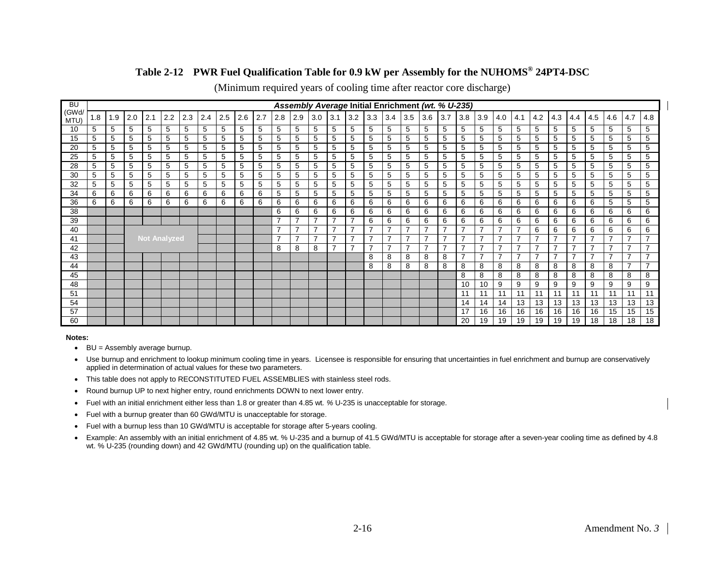#### **Table 2-12 PWR Fuel Qualification Table for 0.9 kW per Assembly for the NUHOMS® 24PT4-DSC**

| <b>BU</b>     |    |     |     |                     |     |     |     |     |     |     |     |                |                          |                |                          |     |     | Assembly Average Initial Enrichment (wt. % U-235) |     |     |                          |                |     |     |                          |     |                |     |     |     |                          |
|---------------|----|-----|-----|---------------------|-----|-----|-----|-----|-----|-----|-----|----------------|--------------------------|----------------|--------------------------|-----|-----|---------------------------------------------------|-----|-----|--------------------------|----------------|-----|-----|--------------------------|-----|----------------|-----|-----|-----|--------------------------|
| (GWd/<br>MTU) | .8 | 1.9 | 2.0 | 2.1                 | 2.2 | 2.3 | 2.4 | 2.5 | 2.6 | 2.7 | 2.8 | 2.9            | 3.0                      | 3.1            | 3.2                      | 3.3 | 3.4 | 3.5                                               | 3.6 | 3.7 | 3.8                      | 3.9            | 4.0 | 4.1 | 4.2                      | 4.3 | 4.4            | 4.5 | 4.6 | 4.7 | 4.8                      |
| 10            | 5  | 5   | 5   | 5                   | 5   | 5   | 5   | 5   | 5   | 5   | 5   | 5              | 5                        | 5              | 5                        | 5   | 5   | 5                                                 | 5   | 5   | 5                        | 5              | 5   | 5   | 5                        | 5   | 5              | 5   | 5   | 5   | 5                        |
| 15            | 5  | 5   | 5   | 5                   | 5   | 5   | 5   | 5   | 5   | 5   | 5   | 5              | 5                        | 5              | 5                        | 5   | 5   | 5                                                 | 5   | 5   | 5                        | 5              | 5   | 5   | 5                        | 5   | 5              | 5   | 5   | 5   | 5                        |
| 20            | 5  | 5   | 5   | 5                   | 5   | 5   | 5   | 5   | 5   | 5   | 5   | 5              | 5                        | 5              | 5                        | 5   | 5   | 5                                                 | 5   | 5   | 5                        | 5              | 5   | 5   | 5                        | 5   | 5              | 5   | 5   | 5   | 5                        |
| 25            | 5  | 5   | 5   | 5                   | 5   | 5   | 5   | 5   | 5   | 5   | 5   | 5              | 5                        | 5              | 5                        | 5   | 5   | 5                                                 | 5   | 5   | 5                        | 5              | 5   | 5   | 5                        | 5   | 5              | 5   | 5   | 5   | 5                        |
| 28            | 5  | 5   | 5   | 5                   | 5   | 5   | 5   | 5   | 5   | 5   | 5   | 5              | 5                        | 5              | 5                        | 5   | 5   | 5                                                 | 5   | 5   | 5                        | 5              | 5   | 5   | 5                        | 5   | 5              | 5   | 5   | 5   | 5                        |
| 30            | 5  | 5   | 5   | 5                   | 5   | 5   | 5   | 5   | 5   | 5   | 5   | 5              | 5                        | 5              | 5                        | 5   | 5   | 5                                                 | 5   | 5   | 5                        | 5              | 5   | 5   | 5                        | 5   | 5              | 5   | 5   | 5   | 5                        |
| 32            | 5  | 5   | 5   | 5                   | 5   | 5   | 5   | 5   | 5   | 5   | 5   | 5              | 5                        | 5              | 5                        | 5   | 5   | 5                                                 | 5   | 5   | 5                        | 5              | 5   | 5   | 5                        | 5   | 5              | 5   | 5   | 5   | 5                        |
| 34            | 6  | 6   | 6   | 6                   | 6   | 6   | 6   | 6   | 6   | 6   | 5   | 5              | 5                        | 5              | 5                        | 5   | 5   | 5                                                 | 5   | 5   | 5                        | 5              | 5   | 5   | 5                        | 5   | 5              | 5   | 5   | 5   | 5                        |
| 36            | 6  | 6   | 6   | 6                   | 6   | 6   | 6   | 6   | 6   | 6   | 6   | 6              | 6                        | 6              | 6                        | 6   | 6   | 6                                                 | 6   | 6   | 6                        | 6              | 6   | 6   | 6                        | 6   | 6              | 6   | 5   | 5   | 5                        |
| 38            |    |     |     |                     |     |     |     |     |     |     | 6   | 6              | 6                        | 6              | 6                        | 6   | 6   | 6                                                 | 6   | 6   | 6                        | 6              | 6   | 6   | 6                        | 6   | 6              | 6   | 6   | 6   | 6                        |
| 39            |    |     |     |                     |     |     |     |     |     |     |     | 7              | $\overline{\phantom{a}}$ | 7              | ⇁                        | 6   | 6   | 6                                                 | 6   | 6   | 6                        | 6              | 6   | 6   | 6                        | 6   | 6              | 6   | 6   | 6   | 6                        |
| 40            |    |     |     |                     |     |     |     |     |     |     |     | 7              | $\overline{7}$           | $\overline{7}$ |                          |     |     | $\overline{\phantom{a}}$                          |     |     |                          | $\overline{7}$ |     |     | 6                        | 6   | 6              | 6   | 6   | 6   | 6                        |
| 41            |    |     |     | <b>Not Analyzed</b> |     |     |     |     |     |     |     | $\overline{7}$ | $\overline{\phantom{a}}$ | 7              | $\overline{\phantom{0}}$ | 7   | ⇁   | $\overline{ }$                                    | 7   | ⇁   | ⇁                        | $\overline{7}$ | ⇁   | 7   | $\overline{\phantom{0}}$ | 7   | 7              | ⇁   | 7   |     | $\overline{\phantom{a}}$ |
| 42            |    |     |     |                     |     |     |     |     |     |     | 8   | 8              | 8                        | 7              |                          |     |     | $\overline{ }$                                    | 7   |     |                          | 7              |     |     |                          |     |                |     |     |     |                          |
| 43            |    |     |     |                     |     |     |     |     |     |     |     |                |                          |                |                          | 8   | 8   | 8                                                 | 8   | 8   | $\overline{\phantom{a}}$ | $\overline{7}$ | 7   | 7   | $\overline{\phantom{0}}$ | 7   | $\overline{7}$ | 7   | 7   |     | $\overline{\phantom{a}}$ |
| 44            |    |     |     |                     |     |     |     |     |     |     |     |                |                          |                |                          | 8   | 8   | 8                                                 | 8   | 8   | 8                        | 8              | 8   | 8   | 8                        | 8   | 8              | 8   | 8   |     |                          |
| 45            |    |     |     |                     |     |     |     |     |     |     |     |                |                          |                |                          |     |     |                                                   |     |     | 8                        | 8              | 8   | 8   | 8                        | 8   | 8              | 8   | 8   | 8   | 8                        |
| 48            |    |     |     |                     |     |     |     |     |     |     |     |                |                          |                |                          |     |     |                                                   |     |     | 10                       | 10             | 9   | 9   | 9                        | 9   | 9              | 9   | 9   | 9   | 9                        |
| 51            |    |     |     |                     |     |     |     |     |     |     |     |                |                          |                |                          |     |     |                                                   |     |     | 11                       | 11             | 11  | 11  | 11                       | 11  | 11             | 11  | 11  | 11  | 11                       |
| 54            |    |     |     |                     |     |     |     |     |     |     |     |                |                          |                |                          |     |     |                                                   |     |     | 14                       | 14             | 14  | 13  | 13                       | 13  | 13             | 13  | 13  | 13  | 13                       |
| 57            |    |     |     |                     |     |     |     |     |     |     |     |                |                          |                |                          |     |     |                                                   |     |     | 17                       | 16             | 16  | 16  | 16                       | 16  | 16             | 16  | 15  | 15  | 15                       |
| 60            |    |     |     |                     |     |     |     |     |     |     |     |                |                          |                |                          |     |     |                                                   |     |     | 20                       | 19             | 19  | 19  | 19                       | 19  | 19             | 18  | 18  | 18  | 18                       |

(Minimum required years of cooling time after reactor core discharge)

- <span id="page-31-0"></span>• BU = Assembly average burnup.
- Use burnup and enrichment to lookup minimum cooling time in years. Licensee is responsible for ensuring that uncertainties in fuel enrichment and burnup are conservatively applied in determination of actual values for these two parameters.
- This table does not apply to RECONSTITUTED FUEL ASSEMBLIES with stainless steel rods.
- Round burnup UP to next higher entry, round enrichments DOWN to next lower entry.
- Fuel with an initial enrichment either less than 1.8 or greater than 4.85 wt*. %* U-235 is unacceptable for storage.
- Fuel with a burnup greater than 60 GWd/MTU is unacceptable for storage.
- Fuel with a burnup less than 10 GWd/MTU is acceptable for storage after 5-years cooling.
- Example: An assembly with an initial enrichment of 4.85 wt. % U-235 and a burnup of 41.5 GWd/MTU is acceptable for storage after a seven-year cooling time as defined by 4.8 wt. % U-235 (rounding down) and 42 GWd/MTU (rounding up) on the qualification table.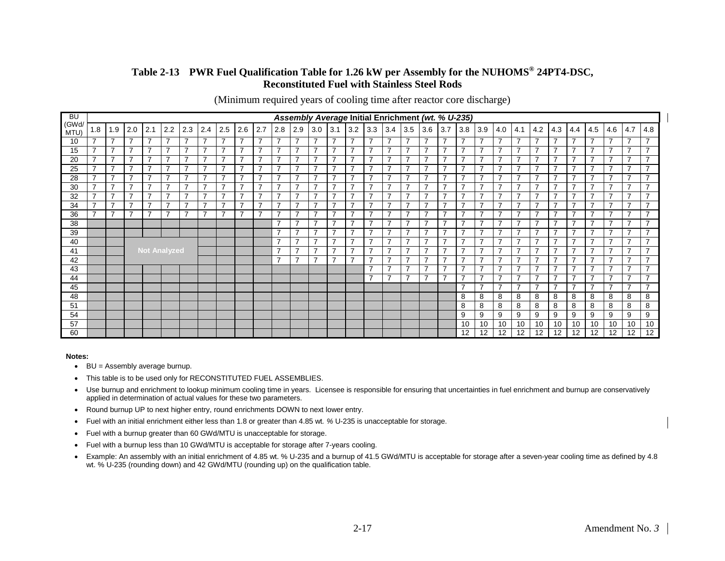#### **Table 2-13 PWR Fuel Qualification Table for 1.26 kW per Assembly for the NUHOMS® 24PT4-DSC, Reconstituted Fuel with Stainless Steel Rods**

(Minimum required years of cooling time after reactor core discharge)

<span id="page-32-0"></span>

| <b>BU</b>     |                          |                |                |                     |                |                          |                |                          |                          |                          |                          |                          |                          |                          |                          |                          |                | Assembly Average Initial Enrichment (wt. % U-235) |                |                          |                          |                |                          |                          |                |                          |                |                          |                |                          |                          |
|---------------|--------------------------|----------------|----------------|---------------------|----------------|--------------------------|----------------|--------------------------|--------------------------|--------------------------|--------------------------|--------------------------|--------------------------|--------------------------|--------------------------|--------------------------|----------------|---------------------------------------------------|----------------|--------------------------|--------------------------|----------------|--------------------------|--------------------------|----------------|--------------------------|----------------|--------------------------|----------------|--------------------------|--------------------------|
| (GWd/<br>MTU) | 1.8                      | 1.9            | 2.0            | 2.1                 | 2.2            | 2.3                      | 2.4            | 2.5                      | 2.6                      | 2.7                      | 2.8                      | 2.9                      | $3.0$ 3.1                |                          | 3.2                      | 3.3                      | 3.4            | 3.5                                               | 3.6            | 3.7                      | 3.8                      | 3.9            | 4.0                      | 4.1                      | 4.2            | 4.3                      | 4.4            | 4.5                      | 4.6            | 4.7                      | 4.8                      |
| 10            | $\overline{\phantom{a}}$ | $\overline{7}$ | 7              | $\overline{7}$      | $\overline{7}$ | $\overline{7}$           | $\overline{7}$ | $\overline{\phantom{a}}$ | $\overline{7}$           | $\overline{7}$           | $\overline{\phantom{a}}$ | $\overline{7}$           | $\overline{ }$           | $\overline{\phantom{a}}$ | $\overline{7}$           | $\overline{ }$           | $\overline{7}$ | 7                                                 | $\overline{7}$ | $\overline{ }$           | $\overline{ }$           | $\overline{7}$ | $\overline{\phantom{a}}$ | $\overline{\phantom{a}}$ | $\overline{7}$ | 7                        | $\overline{7}$ | $\overline{\phantom{a}}$ | $\overline{7}$ | $\overline{7}$           | $\overline{\phantom{a}}$ |
| 15            | $\overline{\phantom{a}}$ | $\overline{7}$ | $\overline{ }$ | $\overline{7}$      | $\overline{ }$ | $\overline{\phantom{a}}$ | 7              | $\overline{\phantom{a}}$ | $\overline{7}$           | $\overline{\phantom{a}}$ | $\overline{\phantom{a}}$ | $\overline{7}$           | $\overline{\phantom{a}}$ | $\overline{\phantom{a}}$ | $\overline{ }$           | $\overline{7}$           | $\overline{7}$ | $\overline{\phantom{a}}$                          | $\overline{7}$ | $\overline{\phantom{a}}$ | $\overline{\phantom{a}}$ | $\overline{7}$ | ⇁                        | $\overline{\phantom{a}}$ | $\overline{7}$ | $\overline{\phantom{a}}$ | $\overline{7}$ | $\overline{ }$           | $\overline{7}$ | $\overline{\phantom{a}}$ | $\overline{\phantom{a}}$ |
| 20            | $\overline{\phantom{a}}$ | 7              | ⇁              | 7                   | 7              | $\overline{\phantom{a}}$ | 7              | ⇁                        | 7                        | $\overline{\phantom{a}}$ | $\overline{\phantom{a}}$ | $\overline{7}$           | –                        | ⇁                        | $\overline{7}$           | $\overline{ }$           | $\overline{7}$ | –                                                 | $\overline{7}$ | $\overline{\phantom{a}}$ | $\overline{ }$           | $\overline{7}$ |                          | $\overline{\phantom{a}}$ | 7              | $\overline{\phantom{a}}$ | $\overline{7}$ | ⇁                        | $\overline{7}$ | $\overline{ }$           | $\overline{\phantom{a}}$ |
| 25            | $\overline{\phantom{a}}$ | $\overline{7}$ | ⇁              | 7                   | $\overline{ }$ | $\overline{ }$           | $\overline{7}$ | $\overline{\phantom{a}}$ | $\overline{7}$           | $\overline{ }$           | $\overline{\phantom{a}}$ | $\overline{7}$           | 7                        | 7                        | $\overline{7}$           | $\overline{7}$           | $\overline{7}$ | $\overline{\phantom{a}}$                          | $\overline{7}$ | $\overline{\phantom{a}}$ | $\overline{ }$           | $\overline{7}$ | ⇁                        | $\overline{\phantom{a}}$ | $\overline{7}$ | 7                        | $\overline{7}$ | <u>—</u>                 | $\overline{7}$ | $\overline{7}$           | $\overline{\phantom{a}}$ |
| 28            | $\overline{\phantom{a}}$ | $\overline{7}$ | ⇁              | 7                   | $\overline{ }$ | $\overline{\phantom{a}}$ | 7              | $\overline{\phantom{0}}$ | 7                        | $\overline{\phantom{a}}$ | ⇁                        | $\overline{7}$           | $\overline{ }$           | ⇁                        | $\overline{7}$           | $\overline{\phantom{a}}$ | $\overline{7}$ | $\overline{\phantom{a}}$                          | $\overline{7}$ | $\overline{\phantom{a}}$ | $\overline{\phantom{a}}$ | $\overline{7}$ | ⇁                        | ⇁                        | $\overline{7}$ | ⇁                        | $\overline{7}$ | $\overline{ }$           | $\overline{7}$ | $\overline{\phantom{a}}$ | $\rightarrow$            |
| 30            | $\overline{\phantom{a}}$ | $\overline{7}$ | ⇁              | 7                   | $\overline{ }$ | $\overline{\phantom{a}}$ | 7              | $\overline{\phantom{a}}$ | $\overline{\phantom{a}}$ | $\overline{\phantom{a}}$ | $\overline{\phantom{a}}$ | $\overline{ }$           | 7                        | ⇁                        | $\overline{\phantom{a}}$ | $\overline{\phantom{a}}$ | $\overline{7}$ | $\overline{\phantom{a}}$                          | $\overline{7}$ | $\overline{\phantom{a}}$ | $\overline{\phantom{a}}$ | 7              | ⇁                        | ⇁                        | $\overline{7}$ | ⇁                        | $\overline{7}$ | $\overline{\phantom{a}}$ | $\overline{7}$ | $\overline{\phantom{a}}$ | ⇁                        |
| 32            | $\overline{\phantom{a}}$ | $\overline{7}$ | ⇁              | 7                   | $\overline{ }$ | $\overline{\phantom{a}}$ | 7              | ⇁                        | 7                        | $\overline{\phantom{a}}$ | $\overline{ }$           | $\overline{7}$           | –                        | ⇁                        | $\overline{7}$           | $\overline{ }$           | $\overline{7}$ | $\overline{\phantom{a}}$                          | $\overline{7}$ | $\overline{\phantom{a}}$ | ⇁                        | $\overline{7}$ |                          | –                        | $\overline{7}$ | ⇁                        | $\overline{7}$ | ⇁                        | $\overline{7}$ | $\overline{7}$           | $\rightarrow$            |
| 34            | $\overline{\phantom{a}}$ | $\overline{7}$ | ⇁              | $\overline{7}$      | $\overline{ }$ | $\overline{\phantom{a}}$ | 7              | $\overline{ }$           | $\overline{7}$           | $\overline{\phantom{a}}$ | $\overline{\phantom{a}}$ | $\overline{7}$           | $\overline{\phantom{a}}$ | ⇁                        | $\overline{7}$           | $\overline{\phantom{a}}$ | $\overline{7}$ | $\overline{\phantom{a}}$                          | $\overline{7}$ | ⇁                        | $\overline{\phantom{a}}$ | 7              | ⇁                        | ⇁                        | $\overline{7}$ | ⇁                        | 7              | $\overline{ }$           | $\overline{7}$ | $\overline{\phantom{a}}$ | $\rightarrow$            |
| 36            | $\overline{\phantom{a}}$ | $\overline{7}$ | ⇁              | 7                   | ⇁              | $\overline{\phantom{a}}$ | 7              | ⇁                        |                          | ⇁                        | ⇁                        | $\overline{7}$           | 7                        |                          | $\overline{\phantom{a}}$ | $\overline{\phantom{a}}$ | $\overline{7}$ | ⇁                                                 | 7              | ⇁                        | ⇁                        | 7              |                          | ⇁                        | $\overline{7}$ | ⇁                        | $\overline{7}$ | ⇁                        | $\overline{7}$ | $\overline{\phantom{a}}$ | $\overline{\phantom{a}}$ |
| 38            |                          |                |                |                     |                |                          |                |                          |                          |                          | $\overline{\phantom{a}}$ | $\overline{\phantom{a}}$ | $\overline{ }$           | $\overline{ }$           | $\overline{7}$           | $\overline{\phantom{a}}$ | $\overline{7}$ | $\overline{\phantom{a}}$                          | $\overline{7}$ | $\overline{\phantom{a}}$ | $\overline{\phantom{a}}$ | 7              | ⇁                        | $\overline{\phantom{a}}$ | $\overline{7}$ | $\overline{\phantom{a}}$ | $\overline{7}$ | $\overline{ }$           | $\overline{7}$ | $\overline{\phantom{a}}$ | $\overline{ }$           |
| 39            |                          |                |                |                     |                |                          |                |                          |                          |                          | $\overline{\phantom{a}}$ | $\overline{\phantom{a}}$ | 7                        |                          | $\overline{\phantom{a}}$ | $\overline{\phantom{a}}$ | 7              | ⇁                                                 |                | <u>т</u>                 | ⇁                        | ⇁              |                          | ⇁                        | $\overline{7}$ | ⇁                        | 7              | ⇁                        | 7              | $\overline{\phantom{a}}$ | -                        |
| 40            |                          |                |                |                     |                |                          |                |                          |                          |                          | $\overline{\phantom{a}}$ | ⇁                        | 7                        | ⇁                        | $\overline{\phantom{a}}$ | ⇁                        | $\overline{7}$ | $\overline{\phantom{a}}$                          | 7              | -                        | ⇁                        | 7              | ⇁                        | ⇁                        | 7              | ⇁                        | 7              | ⇁                        | $\overline{7}$ | 7                        |                          |
| 41            |                          |                |                | <b>Not Analyzed</b> |                |                          |                |                          |                          |                          | $\overline{\phantom{a}}$ | 7                        | 7                        |                          | $\overline{\phantom{a}}$ | $\overline{\phantom{a}}$ | $\overline{7}$ | ⇁                                                 |                | 7                        | 7                        | 7              |                          |                          | $\overline{7}$ | ⇁                        | 7              |                          | $\overline{7}$ | $\overline{\phantom{a}}$ | ⇁                        |
| 42            |                          |                |                |                     |                |                          |                |                          |                          |                          | ⇁                        | 7                        | ⇁                        |                          | $\overline{7}$           | $\overline{\phantom{a}}$ | $\overline{7}$ | $\overline{ }$                                    | 7              | ⇁                        | ⇁                        | 7              |                          | –                        | $\overline{7}$ | 7                        | 7              | ⇁                        | $\overline{7}$ | $\overline{7}$           |                          |
| 43            |                          |                |                |                     |                |                          |                |                          |                          |                          |                          |                          |                          |                          |                          | $\overline{\phantom{a}}$ | 7              | $\overline{\phantom{a}}$                          | 7              | ⇁                        | ⇁                        | 7              |                          | ⇁                        | $\overline{7}$ | ⇁                        | 7              | $\overline{ }$           | $\overline{7}$ | $\overline{\phantom{a}}$ | ⇁                        |
| 44            |                          |                |                |                     |                |                          |                |                          |                          |                          |                          |                          |                          |                          |                          | $\overline{\phantom{a}}$ | 7              | ⇁                                                 |                | -                        | ⇁                        | 7              |                          |                          | $\overline{7}$ | 7                        | $\overline{7}$ | ⇁                        | $\overline{7}$ | $\overline{\phantom{a}}$ | ⇁                        |
| 45            |                          |                |                |                     |                |                          |                |                          |                          |                          |                          |                          |                          |                          |                          |                          |                |                                                   |                |                          | $\overline{\phantom{a}}$ | 7              |                          | ⇁                        | $\overline{7}$ | ⇁                        | 7              | $\overline{ }$           | $\overline{7}$ | $\overline{7}$           | $\overline{\phantom{a}}$ |
| 48            |                          |                |                |                     |                |                          |                |                          |                          |                          |                          |                          |                          |                          |                          |                          |                |                                                   |                |                          | 8                        | 8              | 8                        | 8                        | 8              | 8                        | 8              | 8                        | 8              | 8                        | 8                        |
| 51            |                          |                |                |                     |                |                          |                |                          |                          |                          |                          |                          |                          |                          |                          |                          |                |                                                   |                |                          | 8                        | 8              | 8                        | 8                        | 8              | 8                        | 8              | 8                        | 8              | 8                        | 8                        |
| 54            |                          |                |                |                     |                |                          |                |                          |                          |                          |                          |                          |                          |                          |                          |                          |                |                                                   |                |                          | 9                        | 9              | 9                        | 9                        | 9              | 9                        | 9              | 9                        | 9              | 9                        | 9                        |
| 57            |                          |                |                |                     |                |                          |                |                          |                          |                          |                          |                          |                          |                          |                          |                          |                |                                                   |                |                          | 10                       | 10             | 10                       | 10                       | 10             | 10                       | 10             | 10                       | 10             | 10                       | 10                       |
| 60            |                          |                |                |                     |                |                          |                |                          |                          |                          |                          |                          |                          |                          |                          |                          |                |                                                   |                |                          | 12                       | 12             | 12                       | 12                       | 12             | 12                       | 12             | 12                       | 12             | 12                       | 12                       |

- BU = Assembly average burnup.
- This table is to be used only for RECONSTITUTED FUEL ASSEMBLIES.
- Use burnup and enrichment to lookup minimum cooling time in years. Licensee is responsible for ensuring that uncertainties in fuel enrichment and burnup are conservatively applied in determination of actual values for these two parameters.
- Round burnup UP to next higher entry, round enrichments DOWN to next lower entry.
- Fuel with an initial enrichment either less than 1.8 or greater than 4.85 wt*. %* U-235 is unacceptable for storage.
- Fuel with a burnup greater than 60 GWd/MTU is unacceptable for storage.
- Fuel with a burnup less than 10 GWd/MTU is acceptable for storage after 7-years cooling.
- Example: An assembly with an initial enrichment of 4.85 wt. % U-235 and a burnup of 41.5 GWd/MTU is acceptable for storage after a seven-year cooling time as defined by 4.8 wt. % U-235 (rounding down) and 42 GWd/MTU (rounding up) on the qualification table.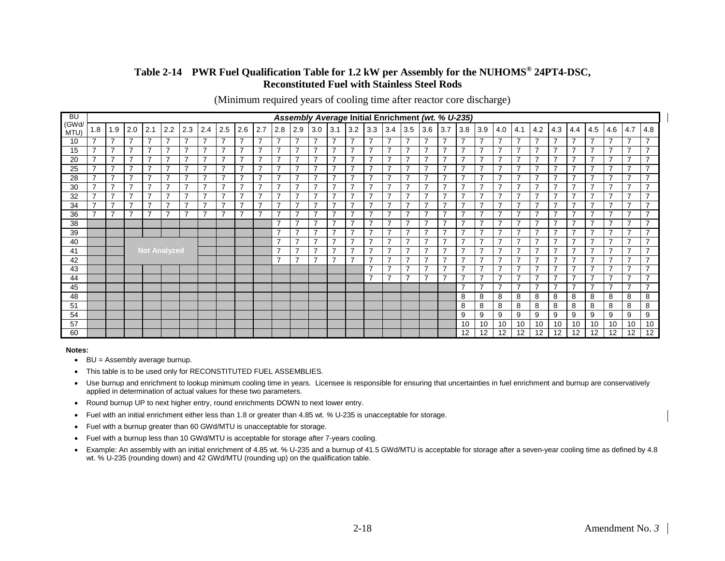#### **Table 2-14 PWR Fuel Qualification Table for 1.2 kW per Assembly for the NUHOMS® 24PT4-DSC, Reconstituted Fuel with Stainless Steel Rods**

(Minimum required years of cooling time after reactor core discharge)

<span id="page-33-0"></span>

| <b>BU</b>     |                          |                |     |     |                          |                          |                |                               |                |                          |                                            |                                  |                          |                          |                                            |                                                      |                                  | Assembly Average Initial Enrichment (wt. % U-235) |                                  |                               |                                  |                                  |                 |                          |                                  |                          |                                  |                                  |                                  |                                  |                                            |
|---------------|--------------------------|----------------|-----|-----|--------------------------|--------------------------|----------------|-------------------------------|----------------|--------------------------|--------------------------------------------|----------------------------------|--------------------------|--------------------------|--------------------------------------------|------------------------------------------------------|----------------------------------|---------------------------------------------------|----------------------------------|-------------------------------|----------------------------------|----------------------------------|-----------------|--------------------------|----------------------------------|--------------------------|----------------------------------|----------------------------------|----------------------------------|----------------------------------|--------------------------------------------|
| (GWd/<br>MTU) | 1.8                      | 1.9            | 2.0 | 2.1 | 2.2                      | 2.3                      | 2.4            | 2.5                           | 2.6            | 2.7                      | 2.8                                        | 2.9                              | $3.0$ 3.1                |                          | 3.2                                        | 3.3                                                  | 3.4                              | 3.5                                               | 3.6                              | 3.7                           | 3.8                              | 3.9                              | 4.0             | 4.1                      | 4.2                              | 4.3                      | 4.4                              | 4.5                              | 4.6                              | 4.7                              | 4.8                                        |
| 10            | $\overline{\phantom{a}}$ | $\overline{7}$ | ⇁   | 7   | $\overline{7}$           | $\overline{ }$           | 7              | ⇁                             | $\overline{7}$ | $\overline{ }$           | $\overline{\phantom{a}}$                   | $\overline{7}$                   | 7                        | 7                        | $\overline{7}$                             | $\overline{7}$                                       | $\overline{7}$                   | $\overline{\phantom{a}}$                          | $\overline{7}$                   | $\overline{ }$                | $\overline{\phantom{a}}$         | $\overline{7}$                   | ⇁               | $\overline{\phantom{a}}$ | $\overline{7}$                   | 7                        | $\overline{7}$                   | ⇁                                | $\overline{7}$                   | $\overline{7}$                   | ⇁                                          |
| 15            | $\overline{\phantom{a}}$ | $\overline{7}$ | ⇁   | 7   | $\overline{ }$           | $\overline{ }$           | 7              | $\overline{\phantom{a}}$      | 7              | $\overline{ }$           | $\overline{ }$                             | $\overline{7}$                   | $\overline{ }$           | ⇁                        | $\overline{\phantom{a}}$                   | $\overline{\phantom{a}}$                             | $\overline{7}$                   | $\overline{\phantom{a}}$                          | $\overline{7}$                   | $\overline{ }$                | $\overline{ }$                   | 7                                | ⇁               | ⇁                        | $\overline{7}$                   | ⇁                        | 7                                | $\overline{ }$                   | $\overline{7}$                   | $\overline{\phantom{a}}$         | $\rightarrow$                              |
| 20            | $\overline{\phantom{a}}$ | $\overline{7}$ | ⇁   | 7   | $\overline{\phantom{a}}$ | $\overline{\phantom{a}}$ | 7              | ⇁                             |                | 7                        | ⇁                                          | $\overline{7}$                   | 7                        |                          | $\overline{7}$                             | $\overline{\phantom{a}}$                             | $\overline{7}$                   | ⇁                                                 |                                  | ⇁                             |                                  | 7                                |                 |                          | $\overline{7}$                   | ⇁                        | 7                                |                                  | $\overline{7}$                   | $\overline{\phantom{a}}$         | ⇁                                          |
| 25            | $\overline{\phantom{a}}$ | $\overline{7}$ | 7   | 7   | $\overline{7}$           | $\overline{\phantom{a}}$ | 7              | $\overline{ }$                | 7              | $\overline{ }$           | $\overline{\phantom{a}}$                   | 7                                | 7                        |                          | $\overline{7}$                             | $\overline{\phantom{a}}$                             | $\overline{7}$                   | $\overline{ }$                                    | $\overline{7}$                   | $\overline{ }$                | $\overline{ }$                   | 7                                |                 | ⇁                        | $\overline{7}$                   |                          | 7                                | ⇁                                | $\overline{7}$                   | $\overline{\phantom{a}}$         | ⇁                                          |
| 28            | $\overline{ }$           | $\overline{7}$ | ⇁   | 7   | $\overline{\phantom{a}}$ | $\overline{\phantom{a}}$ | 7              | $\overline{\phantom{0}}$      | 7              | <u> 7</u>                | ⇁                                          | $\overline{7}$                   | $\overline{\phantom{a}}$ |                          | $\overline{\phantom{a}}$                   | $\overline{\phantom{a}}$                             | $\overline{7}$                   | $\overline{\phantom{a}}$                          | 7                                | $\overline{ }$                | ⇁                                | 7                                |                 | ⇁                        | $\overline{7}$                   | ⇁                        | 7                                | $\overline{\phantom{0}}$         | $\overline{7}$                   | $\overline{\phantom{a}}$         | ⇁                                          |
| 30            | $\overline{ }$           | $\overline{7}$ | 7   | 7   | $\overline{7}$           | $\overline{\phantom{a}}$ | 7              | ⇁                             | 7              | $\overline{\phantom{a}}$ | $\overline{\phantom{a}}$                   | 7                                | –                        | $\overline{ }$           | $\overline{7}$                             | $\overline{7}$                                       | $\overline{7}$                   | $\overline{\phantom{a}}$                          | 7                                | $\overline{\phantom{a}}$      | $\overline{ }$                   | 7                                |                 | $\overline{\phantom{a}}$ | $\overline{7}$                   | 7                        | 7                                | ⇁                                | 7                                | $\overline{7}$                   | $\overline{\phantom{a}}$                   |
| 32            | $\overline{ }$           | $\overline{7}$ | ⇁   | 7   | 7                        | $\overline{\phantom{a}}$ | 7              | $\overline{\phantom{0}}$      | ⇁              | $\overline{\phantom{0}}$ | $\overline{\phantom{a}}$                   | 7                                | 7                        |                          | $\overline{\phantom{a}}$                   | $\overline{ }$                                       | $\overline{7}$                   | $\overline{\phantom{a}}$                          | 7                                | $\overline{ }$                | $\overline{ }$                   | ⇁                                |                 | ⇁                        | $\overline{7}$                   | 7                        | 7                                | $\overline{\phantom{0}}$         | $\overline{7}$                   | $\overline{\phantom{a}}$         | $\overline{\phantom{a}}$                   |
| 34            | $\overline{\phantom{a}}$ | $\overline{7}$ | ⇁   | 7   | $\overline{ }$           | $\overline{ }$           | 7              | $\overline{\phantom{0}}$<br>- | ⇁              | $\overline{\phantom{a}}$ | $\overline{\phantom{a}}$                   | $\overline{7}$                   | 7                        | ⇁                        | $\overline{7}$                             | $\overline{7}$                                       | $\overline{7}$                   | $\overline{\phantom{a}}$                          | $\overline{7}$                   | <u>т</u>                      | $\overline{ }$                   | 7                                |                 | –                        | $\overline{7}$                   | $\overline{\phantom{a}}$ | $\overline{7}$                   | $\overline{\phantom{0}}$         | $\overline{7}$                   | $\overline{7}$                   | $\overline{\phantom{a}}$                   |
| 36            | $\overline{\phantom{a}}$ | $\overline{7}$ |     | 7   | $\overline{\phantom{a}}$ | $\overline{\phantom{a}}$ | $\overline{7}$ |                               | ⇁              | $\overline{\phantom{0}}$ | $\overline{\phantom{a}}$                   | $\overline{7}$                   | ⇁                        | ⇁                        | $\overline{7}$                             | $\overline{ }$                                       | $\overline{7}$                   | $\overline{ }$<br>$\overline{ }$                  | $\overline{7}$                   | $\overline{\phantom{a}}$      | $\overline{ }$                   | 7                                |                 | ⇁                        | $\overline{7}$                   | 7                        | $\overline{7}$                   | $\overline{ }$<br>$\overline{ }$ | $\overline{7}$                   | $\overline{\phantom{a}}$         | $\overline{\phantom{a}}$<br>$\overline{ }$ |
| 38            |                          |                |     |     |                          |                          |                |                               |                |                          | $\overline{ }$<br>$\overline{\phantom{a}}$ | $\overline{7}$                   | –<br>⇁                   | ⇁                        | $\overline{7}$                             | $\overline{\phantom{a}}$<br>$\overline{\phantom{a}}$ | $\overline{7}$                   | ⇁                                                 | $\overline{7}$                   | $\overline{\phantom{a}}$<br>7 | $\overline{ }$<br>$\overline{ }$ | 7                                |                 | ⇁<br>7                   | $\overline{7}$                   | 7<br>⇁                   | 7                                | $\overline{\phantom{0}}$         | $\overline{7}$                   | $\overline{7}$<br>$\overline{ }$ | $\overline{\phantom{a}}$                   |
| 39            |                          |                |     |     |                          |                          |                |                               |                |                          | $\overline{ }$                             | $\overline{7}$                   | $\overline{\phantom{a}}$ | $\overline{ }$           | $\overline{\phantom{a}}$<br>$\overline{ }$ | $\overline{ }$                                       | $\overline{7}$                   | $\overline{\phantom{a}}$                          | $\overline{7}$                   | $\overline{ }$                | $\overline{ }$                   | $\overline{7}$                   | ⇁               | $\overline{\phantom{a}}$ | $\overline{7}$                   | 7                        | 7                                | $\overline{\phantom{a}}$         | $\overline{7}$                   | $\overline{7}$                   | $\overline{\phantom{a}}$                   |
| 40            |                          |                |     |     |                          |                          |                |                               |                |                          | $\overline{ }$                             | $\overline{7}$<br>$\overline{7}$ | $\overline{\phantom{a}}$ | -                        | $\overline{ }$                             | $\overline{\phantom{a}}$                             | $\overline{7}$<br>$\overline{7}$ | $\overline{\phantom{a}}$                          | $\overline{7}$<br>$\overline{7}$ | $\overline{ }$                | $\overline{ }$                   | $\overline{7}$<br>$\overline{7}$ |                 | $\overline{ }$           | $\overline{7}$                   | ⇁                        | $\overline{7}$<br>$\overline{7}$ | $\overline{ }$                   | $\overline{7}$<br>$\overline{7}$ | $\overline{ }$                   | $\overline{\phantom{a}}$                   |
| 41            |                          |                |     |     | <b>Not Analyzed</b>      |                          |                |                               |                |                          | $\overline{ }$                             | $\overline{7}$                   | –                        | $\overline{\phantom{a}}$ | $\overline{7}$                             | $\overline{\phantom{a}}$                             | $\overline{7}$                   | $\overline{\phantom{a}}$                          | 7                                | $\overline{\phantom{a}}$      | $\overline{ }$                   | $\overline{7}$                   | ⇁               | $\overline{\phantom{a}}$ | $\overline{7}$<br>$\overline{7}$ | $\overline{\phantom{a}}$ | $\overline{7}$                   | $\overline{\phantom{a}}$         | $\overline{7}$                   | $\overline{ }$                   | $\overline{ }$                             |
| 42            |                          |                |     |     |                          |                          |                |                               |                |                          |                                            |                                  |                          |                          |                                            | $\overline{ }$                                       | 7                                | $\rightarrow$                                     | $\overline{\phantom{a}}$         | -                             | $\overline{ }$                   | 7                                |                 | ⇁                        | $\overline{7}$                   | ⇁                        | 7                                | -                                | $\overline{7}$                   | $\overline{ }$                   | $\overline{\phantom{a}}$                   |
| 43            |                          |                |     |     |                          |                          |                |                               |                |                          |                                            |                                  |                          |                          |                                            | $\overline{\phantom{a}}$                             | $\overline{7}$                   | $\overline{\phantom{a}}$                          | 7                                | ⇁                             | $\overline{ }$                   | $\overline{7}$                   |                 | $\overline{\phantom{a}}$ | $\overline{7}$                   | ⇁                        | $\overline{7}$                   | $\overline{\phantom{a}}$         | $\overline{7}$                   | $\overline{ }$                   | $\overline{\phantom{a}}$                   |
| 44<br>45      |                          |                |     |     |                          |                          |                |                               |                |                          |                                            |                                  |                          |                          |                                            |                                                      |                                  |                                                   |                                  |                               | $\overline{ }$                   | $\overline{7}$                   |                 | $\overline{ }$           | $\overline{7}$                   | $\overline{\phantom{a}}$ | $\overline{7}$                   | $\overline{\phantom{a}}$         | 7                                | $\overline{7}$                   | $\overline{ }$                             |
| 48            |                          |                |     |     |                          |                          |                |                               |                |                          |                                            |                                  |                          |                          |                                            |                                                      |                                  |                                                   |                                  |                               | 8                                | 8                                | 8               | 8                        | 8                                | 8                        | 8                                | 8                                | 8                                | 8                                | 8                                          |
| 51            |                          |                |     |     |                          |                          |                |                               |                |                          |                                            |                                  |                          |                          |                                            |                                                      |                                  |                                                   |                                  |                               | 8                                | 8                                | 8               | 8                        | 8                                | 8                        | 8                                | 8                                | 8                                | 8                                | 8                                          |
| 54            |                          |                |     |     |                          |                          |                |                               |                |                          |                                            |                                  |                          |                          |                                            |                                                      |                                  |                                                   |                                  |                               | 9                                | 9                                | 9               | 9                        | 9                                | 9                        | 9                                | 9                                | 9                                | 9                                | 9                                          |
| 57            |                          |                |     |     |                          |                          |                |                               |                |                          |                                            |                                  |                          |                          |                                            |                                                      |                                  |                                                   |                                  |                               | 10                               | 10                               | 10              | 10                       | 10                               | 10                       | 10                               | 10                               | 10                               | 10                               | 10                                         |
| 60            |                          |                |     |     |                          |                          |                |                               |                |                          |                                            |                                  |                          |                          |                                            |                                                      |                                  |                                                   |                                  |                               | $12 \overline{ }$                | 12                               | 12 <sup>°</sup> | 12                       | 12                               | $12 \overline{ }$        | 12                               | 12                               | 12                               | 12                               | 12                                         |

- BU = Assembly average burnup.
- This table is to be used only for RECONSTITUTED FUEL ASSEMBLIES.
- Use burnup and enrichment to lookup minimum cooling time in years. Licensee is responsible for ensuring that uncertainties in fuel enrichment and burnup are conservatively applied in determination of actual values for these two parameters.
- Round burnup UP to next higher entry, round enrichments DOWN to next lower entry.
- Fuel with an initial enrichment either less than 1.8 or greater than 4.85 wt*. %* U-235 is unacceptable for storage.
- Fuel with a burnup greater than 60 GWd/MTU is unacceptable for storage.
- Fuel with a burnup less than 10 GWd/MTU is acceptable for storage after 7-years cooling.
- Example: An assembly with an initial enrichment of 4.85 wt. % U-235 and a burnup of 41.5 GWd/MTU is acceptable for storage after a seven-year cooling time as defined by 4.8 wt. % U-235 (rounding down) and 42 GWd/MTU (rounding up) on the qualification table.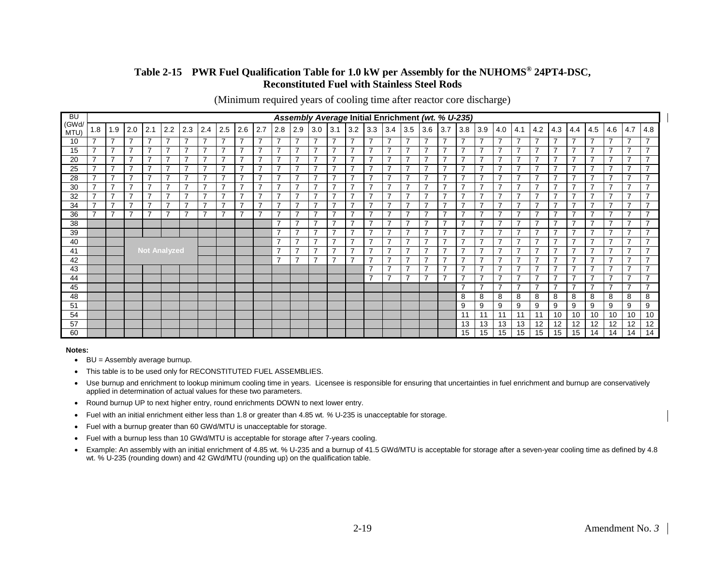#### **Table 2-15 PWR Fuel Qualification Table for 1.0 kW per Assembly for the NUHOMS® 24PT4-DSC, Reconstituted Fuel with Stainless Steel Rods**

(Minimum required years of cooling time after reactor core discharge)

<span id="page-34-0"></span>

| <b>BU</b>     |                          | Assembly Average Initial Enrichment (wt. % U-235) |     |     |                          |                          |                |                               |                |                          |                                                      |                          |                          |                |                                            |                                                      |                          |                                  |                          |                               |                                                      |                |                          |                                  |                          |                                  |                          |                                                      |                          |                                  |                                            |
|---------------|--------------------------|---------------------------------------------------|-----|-----|--------------------------|--------------------------|----------------|-------------------------------|----------------|--------------------------|------------------------------------------------------|--------------------------|--------------------------|----------------|--------------------------------------------|------------------------------------------------------|--------------------------|----------------------------------|--------------------------|-------------------------------|------------------------------------------------------|----------------|--------------------------|----------------------------------|--------------------------|----------------------------------|--------------------------|------------------------------------------------------|--------------------------|----------------------------------|--------------------------------------------|
| (GWd/<br>MTU) | 1.8                      | 1.9                                               | 2.0 | 2.1 | 2.2                      | 2.3                      | 2.4            | 2.5                           | 2.6            | 2.7                      | 2.8                                                  | 2.9                      | $3.0$ $3.1$              |                | 3.2                                        | 3.3                                                  | 3.4                      | 3.5                              | 3.6                      | 3.7                           | 3.8                                                  | 3.9            | 4.0                      | 4.1                              | 4.2                      | 4.3                              | 4.4                      | 4.5                                                  | 4.6                      | 4.7                              | 4.8                                        |
| 10            | $\overline{\phantom{a}}$ | $\overline{7}$                                    | ⇁   | 7   | $\overline{7}$           | $\overline{ }$           | 7              | ⇁                             | $\overline{7}$ | $\overline{ }$           | $\overline{\phantom{a}}$                             | $\overline{7}$           | 7                        | 7              | $\overline{7}$                             | $\overline{7}$                                       | $\overline{7}$           | $\overline{\phantom{a}}$         | $\overline{7}$           | $\overline{ }$                | $\overline{\phantom{a}}$                             | $\overline{7}$ | ⇁                        | $\overline{\phantom{a}}$         | $\overline{7}$           | 7                                | $\overline{7}$           | ⇁                                                    | $\overline{7}$           | $\overline{7}$                   | ⇁                                          |
| 15            | $\overline{\phantom{a}}$ | $\overline{7}$                                    | ⇁   | 7   | $\overline{\phantom{a}}$ | $\overline{\phantom{a}}$ | 7              | $\overline{\phantom{a}}$      | 7              | $\overline{ }$           | $\overline{ }$                                       | $\overline{7}$           | $\overline{ }$           | ⇁              | $\overline{\phantom{a}}$                   | $\overline{\phantom{a}}$                             | $\overline{7}$           | $\overline{\phantom{a}}$         | $\overline{7}$           | $\overline{ }$                | $\overline{ }$                                       | 7              | ⇁                        | ⇁                                | $\overline{7}$           | ⇁                                | 7                        | $\overline{ }$                                       | $\overline{7}$           | $\overline{\phantom{a}}$         | $\rightarrow$                              |
| 20            | ⇁                        | $\overline{7}$                                    | ⇁   | 7   | $\overline{\phantom{a}}$ | $\overline{\phantom{a}}$ | 7              | ⇁                             |                | 7                        | ⇁                                                    | $\overline{7}$           | 7                        |                | $\overline{7}$                             | $\overline{\phantom{a}}$                             | $\overline{7}$           | ⇁                                |                          | ⇁                             |                                                      | 7              |                          |                                  | $\overline{7}$           | ⇁                                | 7                        |                                                      | $\overline{7}$           | $\overline{\phantom{a}}$         | ⇁                                          |
| 25            | $\overline{\phantom{a}}$ | $\overline{7}$                                    | 7   | 7   | 7                        | $\overline{\phantom{a}}$ | 7              | $\overline{ }$                | 7              | $\overline{\phantom{a}}$ | $\overline{\phantom{a}}$                             | 7                        | 7                        |                | $\overline{7}$                             | $\overline{\phantom{a}}$                             | $\overline{7}$           | $\overline{ }$                   | $\overline{7}$           | $\overline{\phantom{a}}$      | $\overline{\phantom{a}}$                             | 7              |                          | ⇁                                | $\overline{7}$           |                                  | 7                        | ⇁                                                    | $\overline{7}$           | $\overline{\phantom{a}}$         | ⇁                                          |
| 28            | $\overline{ }$           | $\overline{7}$                                    | ⇁   | 7   | $\overline{ }$           | $\overline{ }$           | 7              | $\overline{\phantom{0}}$      | 7              | <u> 7</u>                | ⇁                                                    | $\overline{7}$           | $\overline{\phantom{a}}$ |                | $\overline{\phantom{a}}$                   | $\overline{\phantom{a}}$                             | $\overline{7}$           | $\overline{\phantom{a}}$         | 7                        | $\overline{ }$                | ⇁                                                    | 7              |                          | ⇁                                | $\overline{7}$           | ⇁                                | 7                        | $\overline{\phantom{0}}$                             | $\overline{7}$           | $\overline{\phantom{a}}$         | ⇁                                          |
| 30            | $\overline{ }$           | $\overline{7}$                                    | 7   | 7   | $\overline{7}$           | $\overline{ }$           | 7              | ⇁                             | 7              | $\overline{\phantom{a}}$ | $\overline{\phantom{a}}$                             | 7                        | –                        | $\overline{ }$ | $\overline{7}$                             | $\overline{7}$                                       | $\overline{7}$           | $\overline{\phantom{a}}$         | 7                        | $\overline{\phantom{a}}$      | $\overline{ }$                                       | 7              |                          | ⇁                                | $\overline{7}$           | 7                                | 7                        | ⇁                                                    | 7                        | $\overline{7}$                   | $\overline{\phantom{a}}$                   |
| 32            | $\overline{ }$           | $\overline{7}$                                    | ⇁   | 7   | 7                        | $\overline{\phantom{a}}$ | 7              | $\overline{\phantom{0}}$      | ⇁              | $\overline{\phantom{0}}$ | $\overline{\phantom{a}}$                             | 7                        | 7                        |                | $\overline{\phantom{a}}$                   | $\overline{ }$                                       | $\overline{7}$           | $\overline{\phantom{a}}$         | 7                        | $\overline{ }$                | $\overline{ }$                                       | ⇁              |                          | ⇁                                | $\overline{7}$           | ⇁                                | 7                        |                                                      | $\overline{7}$           | $\overline{\phantom{a}}$         | $\overline{\phantom{a}}$                   |
| 34            | $\overline{\phantom{a}}$ | $\overline{7}$                                    | ⇁   | 7   | $\overline{ }$           | $\overline{ }$           | 7              | $\overline{\phantom{0}}$<br>- | ⇁              | $\overline{\phantom{a}}$ | $\overline{\phantom{a}}$                             | $\overline{7}$           | 7                        | ⇁              | $\overline{7}$                             | $\overline{7}$                                       | $\overline{7}$           | $\overline{\phantom{a}}$         | $\overline{7}$           | $\overline{\phantom{a}}$      | $\overline{ }$                                       | 7              |                          | –                                | $\overline{7}$           | $\overline{\phantom{a}}$         | $\overline{7}$           | $\overline{\phantom{0}}$                             | $\overline{7}$           | $\overline{7}$                   | $\overline{\phantom{a}}$                   |
| 36            | $\overline{ }$           | $\overline{7}$                                    |     | 7   | $\overline{\phantom{a}}$ | $\overline{\phantom{a}}$ | $\overline{7}$ |                               | ⇁              | $\overline{\phantom{0}}$ | $\overline{\phantom{a}}$                             | $\overline{7}$           | ⇁                        | ⇁              | $\overline{7}$                             | $\overline{ }$                                       | $\overline{7}$           | $\overline{ }$<br>$\overline{ }$ | $\overline{7}$           | $\overline{\phantom{a}}$      | $\overline{\phantom{a}}$                             | 7              |                          | ⇁                                | $\overline{7}$           | 7                                | $\overline{7}$           | $\overline{ }$                                       | $\overline{7}$           | $\overline{7}$                   | $\overline{\phantom{a}}$<br>$\overline{ }$ |
| 38            |                          |                                                   |     |     |                          |                          |                |                               |                |                          | $\overline{\phantom{a}}$<br>$\overline{\phantom{a}}$ | $\overline{7}$           | –<br>⇁                   | ⇁              | $\overline{7}$                             | $\overline{\phantom{a}}$<br>$\overline{\phantom{a}}$ | $\overline{7}$           | ⇁                                | $\overline{7}$           | $\overline{\phantom{a}}$<br>7 | $\overline{\phantom{a}}$<br>$\overline{\phantom{a}}$ | 7              |                          | ⇁<br>7                           | $\overline{7}$           | 7<br>⇁                           | 7                        | $\overline{\phantom{a}}$<br>$\overline{\phantom{0}}$ | $\overline{7}$           | $\overline{7}$<br>$\overline{ }$ | $\overline{\phantom{a}}$                   |
| 39            |                          |                                                   |     |     |                          |                          |                |                               |                |                          | $\overline{ }$                                       | $\overline{7}$           | $\overline{\phantom{a}}$ | $\overline{ }$ | $\overline{\phantom{a}}$<br>$\overline{ }$ | $\overline{ }$                                       | $\overline{7}$           | $\overline{\phantom{a}}$         | $\overline{7}$           | $\overline{ }$                | $\overline{ }$                                       | $\overline{7}$ | ⇁                        | $\overline{\phantom{a}}$         | $\overline{7}$           | 7                                | 7                        | $\overline{\phantom{a}}$                             | $\overline{7}$           | $\overline{7}$                   | $\overline{\phantom{a}}$                   |
| 40            |                          |                                                   |     |     |                          |                          |                |                               |                | $\overline{ }$           | $\overline{7}$<br>$\overline{7}$                     | $\overline{\phantom{a}}$ | -                        | $\overline{ }$ | $\overline{\phantom{a}}$                   | $\overline{7}$<br>$\overline{7}$                     | $\overline{\phantom{a}}$ | $\overline{7}$<br>$\overline{7}$ | $\overline{ }$           | $\overline{\phantom{a}}$      | $\overline{7}$<br>$\overline{7}$                     |                | $\overline{\phantom{a}}$ | $\overline{7}$                   | ⇁                        | $\overline{7}$<br>$\overline{7}$ | $\overline{ }$           | $\overline{7}$<br>$\overline{7}$                     | $\overline{ }$           | $\overline{\phantom{a}}$         |                                            |
| 41            | <b>Not Analyzed</b>      |                                                   |     |     |                          |                          |                |                               |                | $\overline{ }$           | $\overline{7}$                                       | ⇁                        | $\overline{\phantom{a}}$ | $\overline{7}$ | $\overline{\phantom{a}}$                   | $\overline{7}$                                       | $\overline{\phantom{0}}$ | 7                                | $\overline{\phantom{a}}$ | $\overline{ }$                | $\overline{7}$                                       | ⇁              | $\overline{\phantom{a}}$ | $\overline{7}$<br>$\overline{7}$ | $\overline{\phantom{a}}$ | $\overline{7}$                   | $\overline{\phantom{a}}$ | $\overline{7}$                                       | $\overline{\phantom{a}}$ | $\overline{ }$                   |                                            |
| 42            |                          |                                                   |     |     |                          |                          |                |                               |                |                          |                                                      |                          |                          |                |                                            | $\overline{\phantom{a}}$                             | 7                        | $\rightarrow$                    | $\overline{\phantom{a}}$ | -                             | $\overline{ }$                                       | 7              |                          | ⇁                                | $\overline{7}$           | ⇁                                | 7                        | -                                                    | 7                        | $\overline{ }$                   | $\overline{\phantom{a}}$                   |
| 43<br>44      |                          |                                                   |     |     |                          |                          |                |                               |                |                          |                                                      |                          |                          |                |                                            | $\overline{\phantom{a}}$                             | $\overline{7}$           | $\overline{\phantom{0}}$         | 7                        | ⇁                             | $\overline{ }$                                       | $\overline{7}$ |                          | $\overline{\phantom{a}}$         | $\overline{7}$           | ⇁                                | $\overline{7}$           | $\overline{\phantom{a}}$                             | $\overline{7}$           | $\overline{ }$                   | $\overline{ }$                             |
| 45            |                          |                                                   |     |     |                          |                          |                |                               |                |                          |                                                      |                          |                          |                |                                            |                                                      |                          |                                  |                          |                               | $\overline{\phantom{a}}$                             | $\overline{7}$ |                          | $\overline{ }$                   | $\overline{7}$           | $\overline{\phantom{a}}$         | $\overline{7}$           | $\overline{\phantom{a}}$                             | 7                        | $\overline{7}$                   | $\overline{ }$                             |
| 48            |                          |                                                   |     |     |                          |                          |                |                               |                |                          |                                                      |                          |                          |                |                                            |                                                      |                          |                                  |                          |                               | 8                                                    | 8              | 8                        | 8                                | 8                        | 8                                | 8                        | 8                                                    | 8                        | 8                                | 8                                          |
| 51            |                          |                                                   |     |     |                          |                          |                |                               |                |                          |                                                      |                          |                          |                |                                            |                                                      |                          |                                  |                          |                               | 9                                                    | 9              | 9                        | 9                                | 9                        | 9                                | 9                        | 9                                                    | 9                        | 9                                | 9                                          |
| 54            |                          |                                                   |     |     |                          |                          |                |                               |                |                          |                                                      |                          |                          |                |                                            |                                                      |                          |                                  |                          |                               | 11                                                   | 11             | 11                       | 11                               | 11                       | 10                               | 10                       | 10                                                   | 10                       | 10                               | 10                                         |
| 57            |                          |                                                   |     |     |                          |                          |                |                               |                |                          |                                                      |                          |                          |                |                                            |                                                      |                          |                                  |                          |                               | 13                                                   | 13             | 13                       | 13                               | 12                       | 12                               | 12                       | 12                                                   | 12                       | 12                               | 12                                         |
| 60            |                          |                                                   |     |     |                          |                          |                |                               |                |                          |                                                      |                          |                          |                |                                            |                                                      |                          |                                  |                          |                               | 15                                                   | 15             | 15                       | 15                               | 15                       | 15                               | 15                       | 14                                                   | 14                       | 14                               | 14                                         |

- BU = Assembly average burnup.
- This table is to be used only for RECONSTITUTED FUEL ASSEMBLIES.
- Use burnup and enrichment to lookup minimum cooling time in years. Licensee is responsible for ensuring that uncertainties in fuel enrichment and burnup are conservatively applied in determination of actual values for these two parameters.
- Round burnup UP to next higher entry, round enrichments DOWN to next lower entry.
- Fuel with an initial enrichment either less than 1.8 or greater than 4.85 wt*. %* U-235 is unacceptable for storage.
- Fuel with a burnup greater than 60 GWd/MTU is unacceptable for storage.
- Fuel with a burnup less than 10 GWd/MTU is acceptable for storage after 7-years cooling.
- Example: An assembly with an initial enrichment of 4.85 wt. % U-235 and a burnup of 41.5 GWd/MTU is acceptable for storage after a seven-year cooling time as defined by 4.8 wt. % U-235 (rounding down) and 42 GWd/MTU (rounding up) on the qualification table.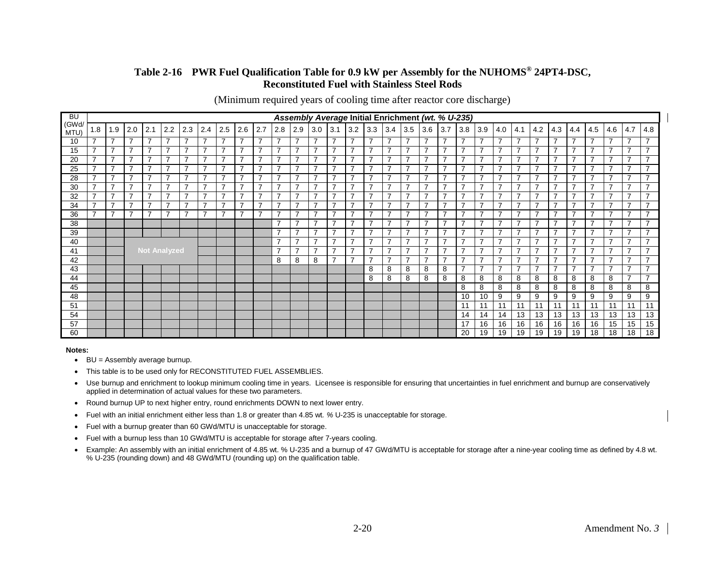#### **Table 2-16 PWR Fuel Qualification Table for 0.9 kW per Assembly for the NUHOMS® 24PT4-DSC, Reconstituted Fuel with Stainless Steel Rods**

(Minimum required years of cooling time after reactor core discharge)

<span id="page-35-0"></span>

| <b>BU</b>     |                          | Assembly Average Initial Enrichment (wt. % U-235) |     |                          |                |                          |                          |                          |                          |                          |                          |                |                          |                          |                          |                          |                |                          |                |                |                          |                |                          |                          |                |                |                          |                          |                          |                          |                          |
|---------------|--------------------------|---------------------------------------------------|-----|--------------------------|----------------|--------------------------|--------------------------|--------------------------|--------------------------|--------------------------|--------------------------|----------------|--------------------------|--------------------------|--------------------------|--------------------------|----------------|--------------------------|----------------|----------------|--------------------------|----------------|--------------------------|--------------------------|----------------|----------------|--------------------------|--------------------------|--------------------------|--------------------------|--------------------------|
| (GWd/<br>MTU) | 1.8                      | 1.9                                               | 2.0 | 2.1                      | 2.2            | 2.3                      | 2.4                      | 2.5                      | 2.6                      | 2.7                      | 2.8                      | 2.9            | 3.0                      | 3.1                      | 3.2                      | 3.3                      | 3.4            | 3.5                      | 3.6            | 3.7            | 3.8                      | 3.9            | 4.0                      | 4.1                      | 4.2            | 4.3            | 4.4                      | 4.5                      | 4.6                      | 4.7                      | 4.8                      |
| 10            |                          | 7                                                 |     |                          | 7              | 7                        | 7                        | $\overline{\phantom{a}}$ | 7                        | $\overline{7}$           | 7                        | $\overline{7}$ | ⇁                        | 7                        | $\overline{7}$           | 7                        | 7              | ⇁                        | 7              | 7              | 7                        | $\overline{7}$ |                          |                          | $\overline{7}$ | 7              | 7                        |                          | 7                        | $\overline{7}$           | ⇁                        |
| 15            | ⇁                        | 7                                                 |     |                          | 7              |                          | ⇁                        | ⇁                        | 7                        | $\overline{7}$           | ⇁                        | $\overline{7}$ | $\overline{ }$           | $\overline{7}$           | $\overline{7}$           | $\overline{ }$           | 7              | ⇁                        | 7              | $\overline{7}$ | ⇁                        | 7              |                          | $\overline{ }$           | $\overline{7}$ |                | 7                        |                          | 7                        | $\overline{\phantom{a}}$ | $\overline{\phantom{a}}$ |
| 20            | ⇁                        | 7                                                 |     |                          | 7              | ⇁                        | ⇁                        | $\overline{\phantom{a}}$ | ⇁                        | $\overline{ }$           | $\overline{ }$           | $\overline{7}$ | -                        | –                        | $\overline{7}$           | $\overline{\phantom{a}}$ | ⇁              | ⇁                        | 7              | ⇁              | ⇁                        | 7              |                          | -                        | $\overline{7}$ | ⇁              | ⇁                        |                          | 7                        | $\overline{\phantom{a}}$ | ⇁                        |
| 25            | $\overline{\phantom{a}}$ | $\overline{7}$                                    |     | ⇁                        | $\overline{7}$ | $\overline{ }$           | ⇁                        | $\overline{\phantom{a}}$ | 7                        | $\overline{7}$           | $\overline{ }$           | $\overline{7}$ | $\overline{ }$           | $\overline{\phantom{a}}$ | $\overline{7}$           | $\overline{\phantom{a}}$ | ⇁              | ⇁                        | 7              | $\overline{7}$ | $\overline{ }$           | $\overline{7}$ |                          | $\overline{\phantom{a}}$ | $\overline{7}$ | 7              | ⇁                        | ⇁                        | 7                        | $\overline{7}$           | $\overline{\phantom{a}}$ |
| 28            | ⇁                        | $\overline{7}$                                    |     |                          | $\overline{7}$ | $\overline{ }$           | ⇁                        | $\overline{ }$           | 7                        | $\overline{7}$           | $\overline{ }$           | $\overline{7}$ | -                        | $\overline{\phantom{a}}$ | $\overline{7}$           | $\overline{ }$           | ⇁              | ⇁                        | 7              | 7              | ⇁                        | $\overline{7}$ |                          | $\overline{\phantom{a}}$ | $\overline{7}$ | ⇁              | ⇁                        | -                        | 7                        | $\overline{7}$           | $\overline{ }$           |
| 30            | $\overline{\phantom{a}}$ | $\overline{7}$                                    |     | -                        | 7              | $\overline{ }$           | ⇁                        | $\overline{\phantom{a}}$ | $\overline{ }$           | $\overline{7}$           | $\overline{ }$           | $\overline{7}$ |                          | ⇁                        | $\overline{7}$           | $\overline{ }$           | ⇁              | -                        | 7              | 7              | $\overline{ }$           | $\overline{7}$ |                          | $\overline{ }$           | $\overline{7}$ | ⇁              | ⇁                        | -                        | 7                        | $\overline{\phantom{a}}$ | $\overline{ }$           |
| 32            |                          | $\overline{7}$                                    |     |                          | 7              | ⇁                        | ⇁                        | $\overline{\phantom{a}}$ | 7                        | 7                        | ⇁                        | 7              |                          | ⇁                        | $\overline{7}$           | ⇁                        | ⇁              |                          | 7              | ⇁              | ⇁                        | $\overline{7}$ |                          | -                        | $\overline{7}$ | ⇁              | ⇁                        |                          | 7                        | $\overline{\phantom{a}}$ | $\overline{\phantom{a}}$ |
| 34            | $\overline{\phantom{a}}$ | $\overline{7}$                                    | ⇁   | $\overline{\phantom{a}}$ | $\overline{7}$ | $\overline{\phantom{a}}$ | $\overline{\phantom{a}}$ | $\overline{\phantom{a}}$ | 7                        | $\overline{7}$           | $\overline{\phantom{a}}$ | $\overline{7}$ | -                        | $\overline{ }$           | $\overline{7}$           | $\overline{\phantom{a}}$ | 7              | ⇁                        | $\overline{7}$ | $\overline{ }$ | $\overline{\phantom{a}}$ | $\overline{7}$ | -                        | $\overline{\phantom{a}}$ | $\overline{7}$ | ⇁              | 7                        | $\overline{\phantom{0}}$ | $\overline{7}$           | $\overline{7}$           | $\overline{\phantom{a}}$ |
| 36            | ⇁                        | $\overline{7}$                                    |     | -                        | ⇁              | ⇁                        | ⇁                        | -                        | $\overline{\phantom{a}}$ | 7                        | ⇁                        | $\overline{7}$ |                          | $\overline{\phantom{a}}$ | $\overline{7}$           | $\overline{\phantom{a}}$ | ⇁              | ⇁                        | 7              | ⇁              | ⇁                        | $\overline{7}$ |                          | $\overline{ }$           | $\overline{7}$ | ⇁              | ⇁                        |                          | $\overline{ }$           | $\overline{ }$           | $\overline{\phantom{a}}$ |
| 38            |                          |                                                   |     |                          |                |                          |                          |                          |                          |                          | $\overline{\phantom{a}}$ | $\overline{7}$ |                          | $\overline{\phantom{a}}$ | $\overline{7}$           | $\overline{\phantom{a}}$ | ⇁              | -                        | 7              | $\overline{ }$ | ⇁                        | $\overline{7}$ |                          | $\overline{\phantom{a}}$ | $\overline{7}$ | ⇁              | $\overline{ }$           | -                        | 7                        | $\overline{7}$           | $\overline{\phantom{a}}$ |
| 39            |                          |                                                   |     |                          |                |                          |                          |                          |                          |                          | $\overline{ }$           | $\overline{7}$ |                          | $\overline{ }$           | $\overline{7}$           | $\overline{\phantom{a}}$ | 7              | $\overline{ }$           | $\overline{7}$ | $\overline{ }$ | ⇁                        | $\overline{7}$ |                          | $\overline{\phantom{a}}$ | $\overline{7}$ | ⇁              | 7                        | -                        | $\overline{7}$           | $\overline{\phantom{a}}$ | $\overline{\phantom{a}}$ |
| 40            |                          |                                                   |     |                          |                |                          |                          |                          |                          | $\overline{\phantom{a}}$ | $\overline{7}$           | $\overline{ }$ | $\overline{ }$           | $\overline{7}$           | $\overline{\phantom{a}}$ | 7                        | $\overline{ }$ | $\overline{\phantom{a}}$ | $\overline{ }$ | $\overline{ }$ | $\overline{7}$           |                | $\overline{\phantom{a}}$ | $\overline{7}$           | ⇁              | $\overline{ }$ | $\overline{\phantom{0}}$ | $\overline{7}$           | $\overline{\phantom{a}}$ | $\overline{\phantom{a}}$ |                          |
| 41            | <b>Not Analyzed</b>      |                                                   |     |                          |                |                          |                          |                          |                          | $\overline{\phantom{a}}$ | $\overline{7}$           | -              | $\overline{\phantom{a}}$ | $\overline{7}$           | $\overline{\phantom{a}}$ | 7                        | -              | $\overline{7}$           | ⇁              | ⇁              | $\overline{7}$           |                | $\overline{\phantom{a}}$ | $\overline{7}$           | ⇁              | 7              | -                        | $\overline{7}$           | 7                        | $\overline{ }$           |                          |
| 42            |                          |                                                   |     |                          |                |                          |                          |                          |                          |                          | 8                        | 8              | 8                        | $\overline{ }$           | $\overline{7}$           | $\overline{ }$           | 7              | $\overline{ }$           | $\overline{7}$ | $\overline{7}$ | $\overline{\phantom{a}}$ | 7              | -                        | $\overline{\phantom{a}}$ | $\overline{7}$ | 7              | $\overline{7}$           | ⇁                        | 7                        | $\overline{7}$           | $\overline{ }$           |
| 43            |                          |                                                   |     |                          |                |                          |                          |                          |                          |                          |                          |                |                          |                          |                          | 8                        | 8              | 8                        | 8              | 8              | ⇁                        | $\overline{7}$ |                          | $\overline{\phantom{a}}$ | $\overline{7}$ | ⇁              | 7                        |                          | $\overline{7}$           | 7                        | $\overline{\phantom{a}}$ |
| 44            |                          |                                                   |     |                          |                |                          |                          |                          |                          |                          |                          |                |                          |                          |                          | 8                        | 8              | 8                        | 8              | 8              | 8                        | 8              | 8                        | 8                        | 8              | 8              | 8                        | 8                        | 8                        | $\overline{7}$           | $\overline{ }$           |
| 45            |                          |                                                   |     |                          |                |                          |                          |                          |                          |                          |                          |                |                          |                          |                          |                          |                |                          |                |                | 8                        | 8              | 8                        | 8                        | 8              | 8              | 8                        | 8                        | 8                        | 8                        | 8                        |
| 48            |                          |                                                   |     |                          |                |                          |                          |                          |                          |                          |                          |                |                          |                          |                          |                          |                |                          |                |                | 10                       | 10             | 9                        | 9                        | 9              | 9              | 9                        | 9                        | 9                        | 9                        | 9                        |
| 51            |                          |                                                   |     |                          |                |                          |                          |                          |                          |                          |                          |                |                          |                          |                          |                          |                |                          |                |                | 11                       | 11             | 11                       | 11                       | 11             | 11             | 11                       | 11                       | 11                       | 11                       | 11                       |
| 54            |                          |                                                   |     |                          |                |                          |                          |                          |                          |                          |                          |                |                          |                          |                          |                          |                |                          |                |                | 14                       | 14             | 14                       | 13                       | 13             | 13             | 13                       | 13                       | 13                       | 13                       | 13                       |
| 57            |                          |                                                   |     |                          |                |                          |                          |                          |                          |                          |                          |                |                          |                          |                          |                          |                |                          |                |                | 17                       | 16             | 16                       | 16                       | 16             | 16             | 16                       | 16                       | 15                       | 15                       | 15                       |
| 60            |                          |                                                   |     |                          |                |                          |                          |                          |                          |                          |                          |                |                          |                          |                          |                          |                |                          |                |                | 20                       | 19             | 19                       | 19                       | 19             | 19             | 19                       | 18                       | 18                       | 18                       | 18                       |

- BU = Assembly average burnup.
- This table is to be used only for RECONSTITUTED FUEL ASSEMBLIES.
- Use burnup and enrichment to lookup minimum cooling time in years. Licensee is responsible for ensuring that uncertainties in fuel enrichment and burnup are conservatively applied in determination of actual values for these two parameters.
- Round burnup UP to next higher entry, round enrichments DOWN to next lower entry.
- Fuel with an initial enrichment either less than 1.8 or greater than 4.85 wt*. %* U-235 is unacceptable for storage.
- Fuel with a burnup greater than 60 GWd/MTU is unacceptable for storage.
- Fuel with a burnup less than 10 GWd/MTU is acceptable for storage after 7-years cooling.
- Example: An assembly with an initial enrichment of 4.85 wt. % U-235 and a burnup of 47 GWd/MTU is acceptable for storage after a nine-year cooling time as defined by 4.8 wt. % U-235 (rounding down) and 48 GWd/MTU (rounding up) on the qualification table.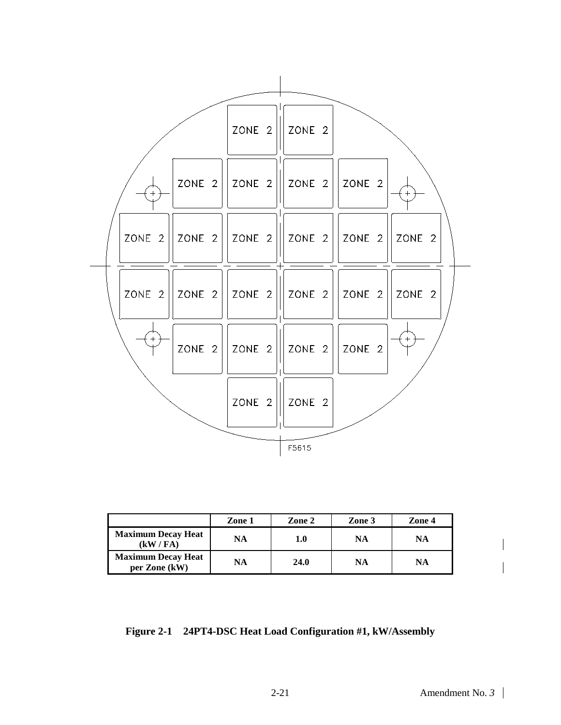

|                                            | Zone 1 | Zone 2 | Zone 3 | Zone 4 |
|--------------------------------------------|--------|--------|--------|--------|
| <b>Maximum Decay Heat</b><br>(kW / FA)     | NA     | 1.0    | NA     | NA     |
| <b>Maximum Decay Heat</b><br>per Zone (kW) | NA     | 24.0   | NA     | NA     |

**Figure 2-1 24PT4-DSC Heat Load Configuration #1, kW/Assembly**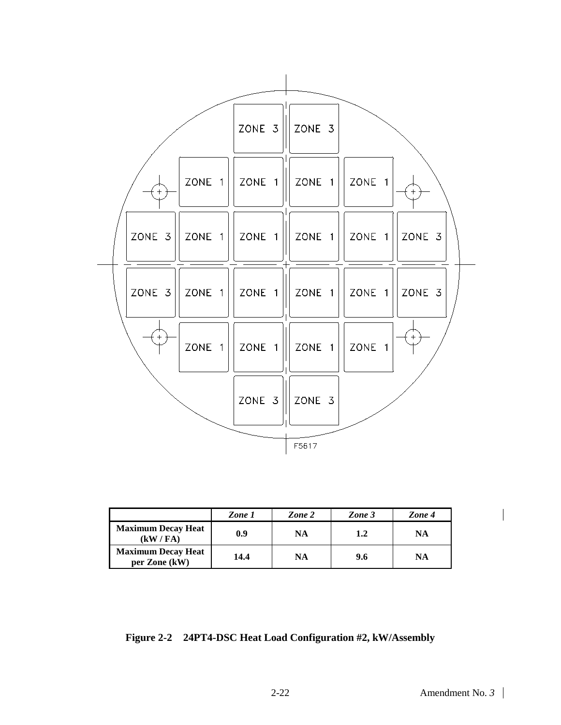

|                                            | Zone 1 | Zone 2 | Zone 3 | Zone 4 |
|--------------------------------------------|--------|--------|--------|--------|
| <b>Maximum Decay Heat</b><br>(kW / FA)     | 0.9    | NA     | 1.2    | NA     |
| <b>Maximum Decay Heat</b><br>per Zone (kW) | 14.4   | NA     | 9.6    | NA     |

**Figure 2-2 24PT4-DSC Heat Load Configuration #2, kW/Assembly**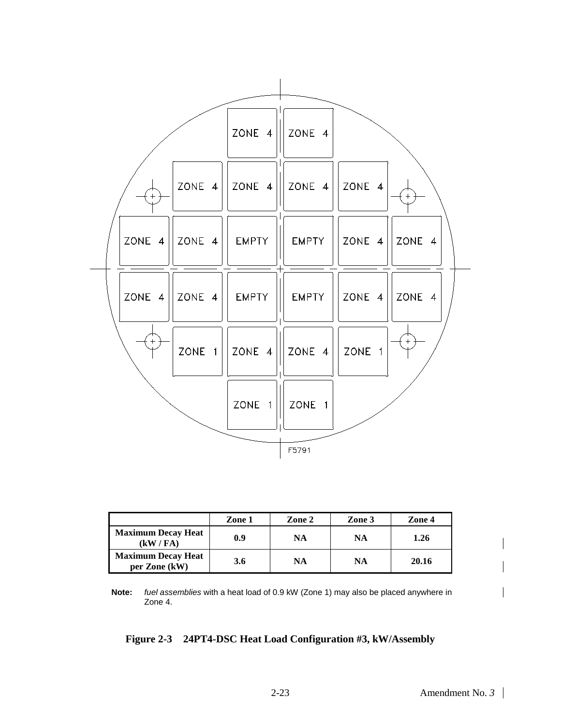

|                                            | Zone 1 | Zone 2 | Zone 3    | Zone 4 |
|--------------------------------------------|--------|--------|-----------|--------|
| <b>Maximum Decay Heat</b><br>(kW / FA)     | 0.9    | NA     | NA        | 1.26   |
| <b>Maximum Decay Heat</b><br>per Zone (kW) | 3.6    | NA     | <b>NA</b> | 20.16  |

**Note:** *fuel assemblies* with a heat load of 0.9 kW (Zone 1) may also be placed anywhere in Zone 4.

#### **Figure 2-3 24PT4-DSC Heat Load Configuration #3, kW/Assembly**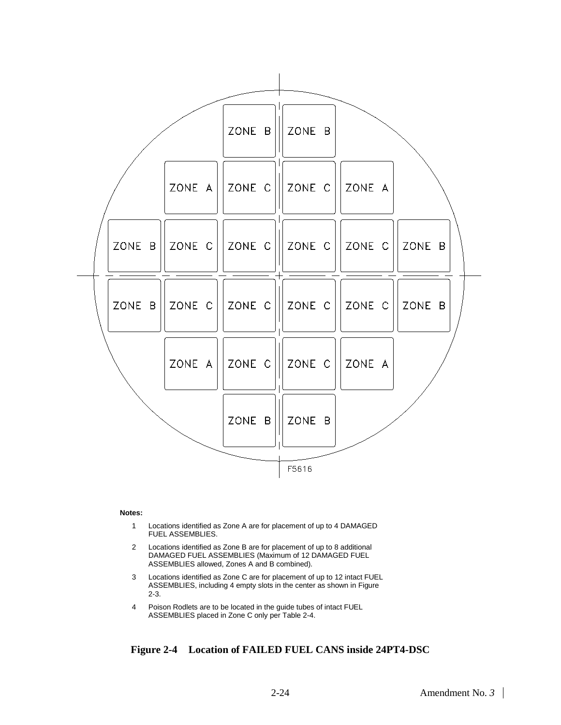

#### **Notes:**

- 1 Locations identified as Zone A are for placement of up to 4 DAMAGED FUEL ASSEMBLIES.
- 2 Locations identified as Zone B are for placement of up to 8 additional DAMAGED FUEL ASSEMBLIES (Maximum of 12 DAMAGED FUEL ASSEMBLIES allowed, Zones A and B combined).
- 3 Locations identified as Zone C are for placement of up to 12 intact FUEL ASSEMBLIES, including 4 empty slots in the center as shown in Figure 2-3.
- 4 Poison Rodlets are to be located in the guide tubes of intact FUEL ASSEMBLIES placed in Zone C only per Table 2-4.

#### **Figure 2-4 Location of FAILED FUEL CANS inside 24PT4-DSC**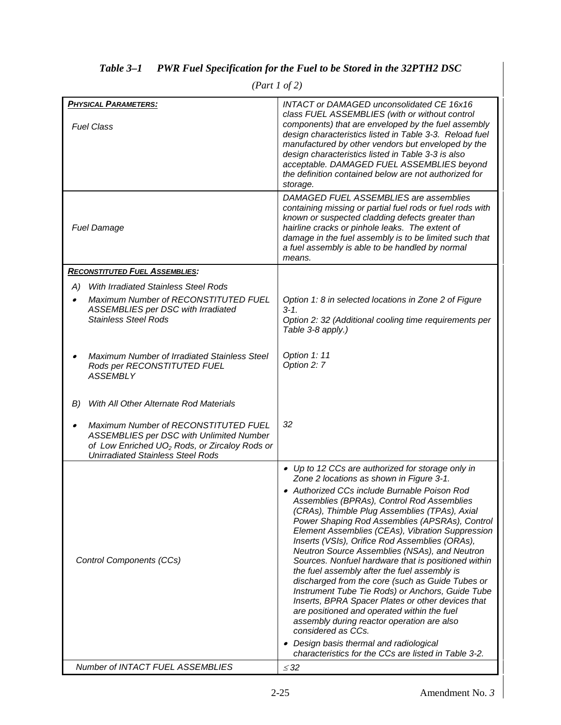| <b>PHYSICAL PARAMETERS:</b><br><b>Fuel Class</b>                                                                                                                                          | <b>INTACT or DAMAGED unconsolidated CE 16x16</b><br>class FUEL ASSEMBLIES (with or without control<br>components) that are enveloped by the fuel assembly<br>design characteristics listed in Table 3-3. Reload fuel<br>manufactured by other vendors but enveloped by the<br>design characteristics listed in Table 3-3 is also<br>acceptable. DAMAGED FUEL ASSEMBLIES beyond<br>the definition contained below are not authorized for<br>storage.                                                                                                                                                                                                                                                                                                                                                                                                                                                                                             |
|-------------------------------------------------------------------------------------------------------------------------------------------------------------------------------------------|-------------------------------------------------------------------------------------------------------------------------------------------------------------------------------------------------------------------------------------------------------------------------------------------------------------------------------------------------------------------------------------------------------------------------------------------------------------------------------------------------------------------------------------------------------------------------------------------------------------------------------------------------------------------------------------------------------------------------------------------------------------------------------------------------------------------------------------------------------------------------------------------------------------------------------------------------|
| <b>Fuel Damage</b>                                                                                                                                                                        | DAMAGED FUEL ASSEMBLIES are assemblies<br>containing missing or partial fuel rods or fuel rods with<br>known or suspected cladding defects greater than<br>hairline cracks or pinhole leaks. The extent of<br>damage in the fuel assembly is to be limited such that<br>a fuel assembly is able to be handled by normal<br>means.                                                                                                                                                                                                                                                                                                                                                                                                                                                                                                                                                                                                               |
| <b>RECONSTITUTED FUEL ASSEMBLIES:</b>                                                                                                                                                     |                                                                                                                                                                                                                                                                                                                                                                                                                                                                                                                                                                                                                                                                                                                                                                                                                                                                                                                                                 |
| With Irradiated Stainless Steel Rods<br>A)                                                                                                                                                |                                                                                                                                                                                                                                                                                                                                                                                                                                                                                                                                                                                                                                                                                                                                                                                                                                                                                                                                                 |
| Maximum Number of RECONSTITUTED FUEL<br>ASSEMBLIES per DSC with Irradiated<br><b>Stainless Steel Rods</b>                                                                                 | Option 1: 8 in selected locations in Zone 2 of Figure<br>$3 - 1.$<br>Option 2: 32 (Additional cooling time requirements per<br>Table 3-8 apply.)                                                                                                                                                                                                                                                                                                                                                                                                                                                                                                                                                                                                                                                                                                                                                                                                |
| Maximum Number of Irradiated Stainless Steel<br>Rods per RECONSTITUTED FUEL<br><b>ASSEMBLY</b>                                                                                            | Option 1: 11<br>Option 2: 7                                                                                                                                                                                                                                                                                                                                                                                                                                                                                                                                                                                                                                                                                                                                                                                                                                                                                                                     |
| With All Other Alternate Rod Materials<br>B)                                                                                                                                              |                                                                                                                                                                                                                                                                                                                                                                                                                                                                                                                                                                                                                                                                                                                                                                                                                                                                                                                                                 |
| Maximum Number of RECONSTITUTED FUEL<br>ASSEMBLIES per DSC with Unlimited Number<br>of Low Enriched UO <sub>2</sub> Rods, or Zircaloy Rods or<br><b>Unirradiated Stainless Steel Rods</b> | 32                                                                                                                                                                                                                                                                                                                                                                                                                                                                                                                                                                                                                                                                                                                                                                                                                                                                                                                                              |
| Control Components (CCs)                                                                                                                                                                  | • Up to 12 CCs are authorized for storage only in<br>Zone 2 locations as shown in Figure 3-1.<br>• Authorized CCs include Burnable Poison Rod<br>Assemblies (BPRAs), Control Rod Assemblies<br>(CRAs), Thimble Plug Assemblies (TPAs), Axial<br>Power Shaping Rod Assemblies (APSRAs), Control<br>Element Assemblies (CEAs), Vibration Suppression<br>Inserts (VSIs), Orifice Rod Assemblies (ORAs),<br>Neutron Source Assemblies (NSAs), and Neutron<br>Sources. Nonfuel hardware that is positioned within<br>the fuel assembly after the fuel assembly is<br>discharged from the core (such as Guide Tubes or<br>Instrument Tube Tie Rods) or Anchors, Guide Tube<br>Inserts, BPRA Spacer Plates or other devices that<br>are positioned and operated within the fuel<br>assembly during reactor operation are also<br>considered as CCs.<br>• Design basis thermal and radiological<br>characteristics for the CCs are listed in Table 3-2. |
| <b>Number of INTACT FUEL ASSEMBLIES</b>                                                                                                                                                   | $\leq$ 32                                                                                                                                                                                                                                                                                                                                                                                                                                                                                                                                                                                                                                                                                                                                                                                                                                                                                                                                       |

## *Table 3–1 PWR Fuel Specification for the Fuel to be Stored in the 32PTH2 DSC*

*(Part 1 of 2)*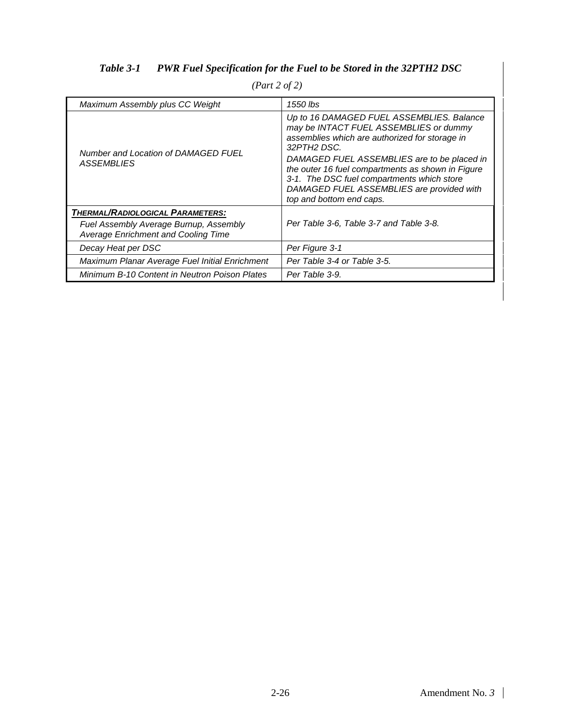## *Table 3-1 PWR Fuel Specification for the Fuel to be Stored in the 32PTH2 DSC*

| Maximum Assembly plus CC Weight                                               | 1550 lbs                                                                                                                                                                                                                                                                                                                                                                        |
|-------------------------------------------------------------------------------|---------------------------------------------------------------------------------------------------------------------------------------------------------------------------------------------------------------------------------------------------------------------------------------------------------------------------------------------------------------------------------|
| Number and Location of DAMAGED FUEL<br><i>ASSEMBLIES</i>                      | Up to 16 DAMAGED FUEL ASSEMBLIES. Balance<br>may be INTACT FUEL ASSEMBLIES or dummy<br>assemblies which are authorized for storage in<br>32PTH2 DSC.<br>DAMAGED FUEL ASSEMBLIES are to be placed in<br>the outer 16 fuel compartments as shown in Figure<br>3-1. The DSC fuel compartments which store<br>DAMAGED FUEL ASSEMBLIES are provided with<br>top and bottom end caps. |
| THERMAL/RADIOLOGICAL PARAMETERS:                                              |                                                                                                                                                                                                                                                                                                                                                                                 |
| Fuel Assembly Average Burnup, Assembly<br>Average Enrichment and Cooling Time | Per Table 3-6, Table 3-7 and Table 3-8.                                                                                                                                                                                                                                                                                                                                         |
| Decay Heat per DSC                                                            | Per Figure 3-1                                                                                                                                                                                                                                                                                                                                                                  |
| Maximum Planar Average Fuel Initial Enrichment                                | Per Table 3-4 or Table 3-5.                                                                                                                                                                                                                                                                                                                                                     |
| Minimum B-10 Content in Neutron Poison Plates                                 | Per Table 3-9.                                                                                                                                                                                                                                                                                                                                                                  |

*(Part 2 of 2)*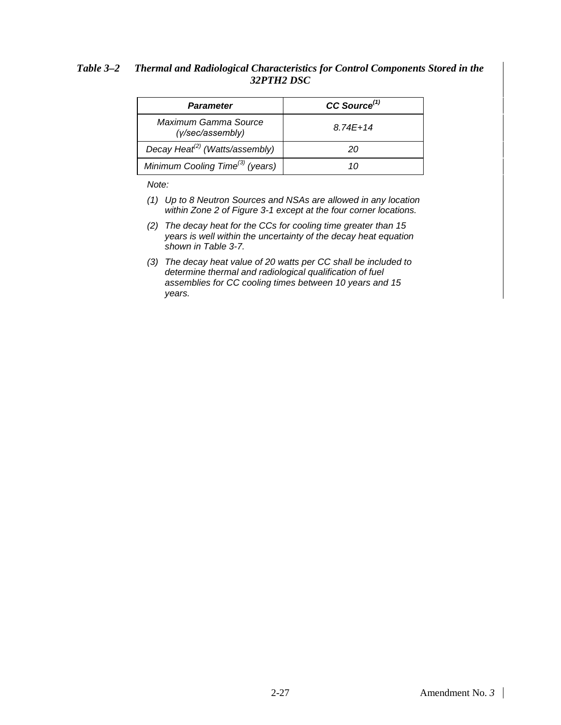#### *Table 3–2 Thermal and Radiological Characteristics for Control Components Stored in the 32PTH2 DSC*

| Parameter                                   | $CC$ Source <sup><math>(1)</math></sup> |
|---------------------------------------------|-----------------------------------------|
| Maximum Gamma Source<br>(y/sec/assembly)    | 8 74F+14                                |
| Decay Heat <sup>(2)</sup> (Watts/assembly)  | 20                                      |
| Minimum Cooling Time <sup>(3)</sup> (years) | 1 I I                                   |

*Note:*

- *(1) Up to 8 Neutron Sources and NSAs are allowed in any location within Zone 2 of Figure 3-1 except at the four corner locations.*
- *(2) The decay heat for the CCs for cooling time greater than 15 years is well within the uncertainty of the decay heat equation shown in Table 3-7.*
- *(3) The decay heat value of 20 watts per CC shall be included to determine thermal and radiological qualification of fuel assemblies for CC cooling times between 10 years and 15 years.*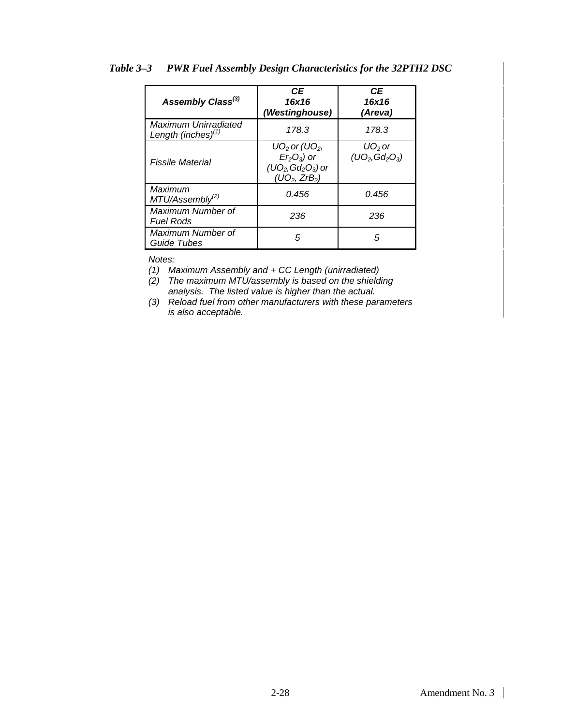| Assembly Class <sup>(3)</sup>                 | <b>CE</b><br>16x16<br>(Westinghouse)                                                                         | СE<br>16x16<br>(Areva)        |
|-----------------------------------------------|--------------------------------------------------------------------------------------------------------------|-------------------------------|
| Maximum Unirradiated<br>Length (inches) $(1)$ | 178.3                                                                                                        | 178.3                         |
| Fissile Material                              | $UO2$ or (UO <sub>2</sub> ,<br>$Er2O3$ ) or<br>$(UO_2, Gd_2O_3)$ or<br>(UO <sub>2</sub> , ZrB <sub>2</sub> ) | $UO2$ or<br>$(UO_2, Gd_2O_3)$ |
| Maximum<br>MTU/Assembly <sup>(2)</sup>        | 0.456                                                                                                        | 0.456                         |
| Maximum Number of<br><b>Fuel Rods</b>         | 236                                                                                                          | 236                           |
| Maximum Number of<br>Guide Tubes              | 5                                                                                                            | 5                             |

#### *Table 3–3 PWR Fuel Assembly Design Characteristics for the 32PTH2 DSC*

*Notes:*

*(1) Maximum Assembly and + CC Length (unirradiated)*

*(2) The maximum MTU/assembly is based on the shielding analysis. The listed value is higher than the actual.*

*(3) Reload fuel from other manufacturers with these parameters is also acceptable.*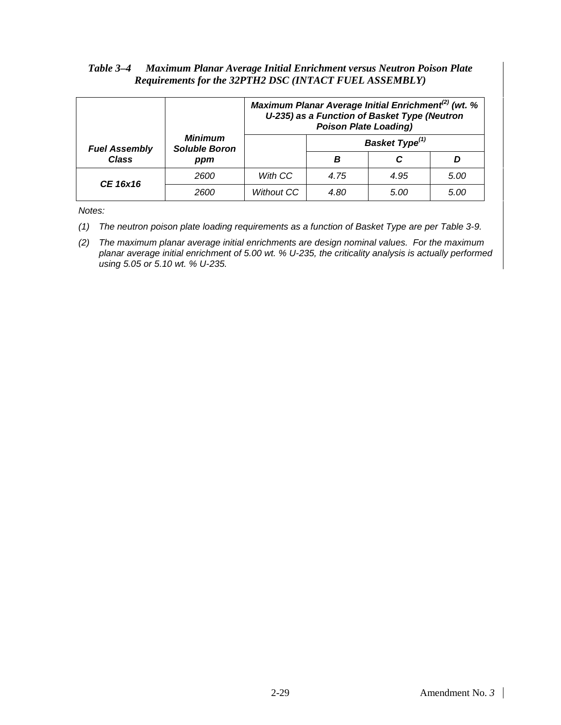#### *Table 3–4 Maximum Planar Average Initial Enrichment versus Neutron Poison Plate Requirements for the 32PTH2 DSC (INTACT FUEL ASSEMBLY)*

|                      |                                        |                   | Maximum Planar Average Initial Enrichment <sup>(2)</sup> (wt. %<br>U-235) as a Function of Basket Type (Neutron<br><b>Poison Plate Loading)</b> |                            |      |
|----------------------|----------------------------------------|-------------------|-------------------------------------------------------------------------------------------------------------------------------------------------|----------------------------|------|
| <b>Fuel Assembly</b> | <b>Minimum</b><br><b>Soluble Boron</b> |                   |                                                                                                                                                 | Basket Type <sup>(1)</sup> |      |
| <b>Class</b>         | ppm                                    |                   | в                                                                                                                                               |                            |      |
| CE 16x16             | 2600                                   | With CC           | 4.75                                                                                                                                            | 4.95                       | 5.00 |
|                      | 2600                                   | <b>Without CC</b> | 4.80                                                                                                                                            | 5.00                       | 5.00 |

*Notes:* 

- *(1) The neutron poison plate loading requirements as a function of Basket Type are per Table 3-9.*
- *(2) The maximum planar average initial enrichments are design nominal values. For the maximum planar average initial enrichment of 5.00 wt. % U-235, the criticality analysis is actually performed using 5.05 or 5.10 wt. % U-235.*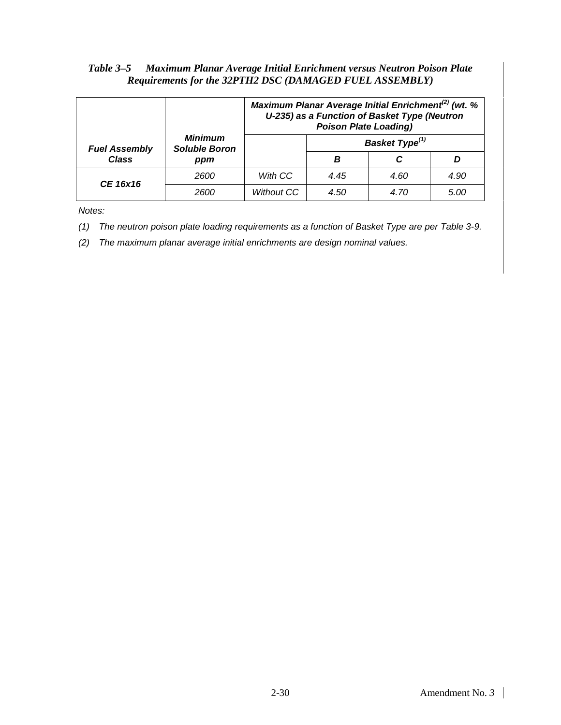#### *Table 3–5 Maximum Planar Average Initial Enrichment versus Neutron Poison Plate Requirements for the 32PTH2 DSC (DAMAGED FUEL ASSEMBLY)*

|                      |                                        |                   | <b>Poison Plate Loading)</b> | Maximum Planar Average Initial Enrichment <sup>(2)</sup> (wt. %<br>U-235) as a Function of Basket Type (Neutron |      |
|----------------------|----------------------------------------|-------------------|------------------------------|-----------------------------------------------------------------------------------------------------------------|------|
| <b>Fuel Assembly</b> | <b>Minimum</b><br><b>Soluble Boron</b> |                   |                              | Basket Type <sup>(1)</sup>                                                                                      |      |
| <b>Class</b>         | ppm                                    |                   | в                            |                                                                                                                 |      |
| CE 16x16             | 2600                                   | With CC           | 4.45                         | 4.60                                                                                                            | 4.90 |
|                      | 2600                                   | <b>Without CC</b> | 4.50                         | 4.70                                                                                                            | 5.00 |

*Notes:* 

- *(1) The neutron poison plate loading requirements as a function of Basket Type are per Table 3-9.*
- *(2) The maximum planar average initial enrichments are design nominal values.*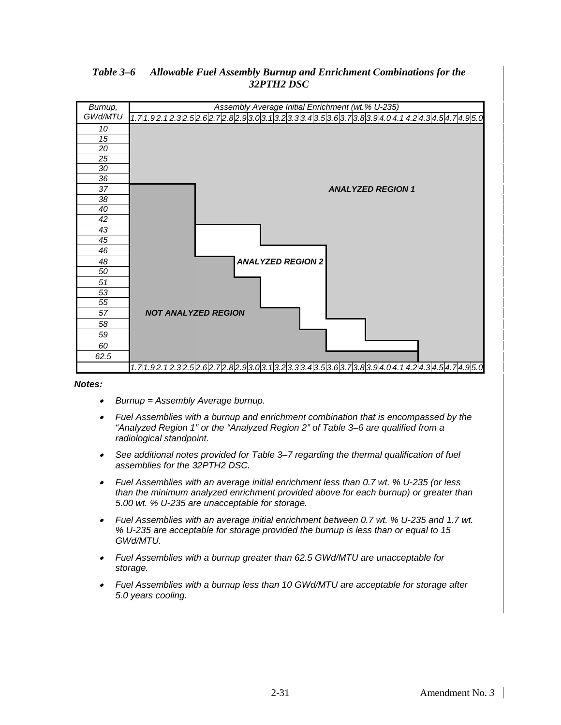

### *Table 3–6 Allowable Fuel Assembly Burnup and Enrichment Combinations for the 32PTH2 DSC*

*Notes:*

- •*Burnup = Assembly Average burnup.*
- • *Fuel Assemblies with a burnup and enrichment combination that is encompassed by the "Analyzed Region 1" or the "Analyzed Region 2" of Table 3–6 are qualified from a radiological standpoint.*
- • *See additional notes provided for Table 3–7 regarding the thermal qualification of fuel assemblies for the 32PTH2 DSC.*
- • *Fuel Assemblies with an average initial enrichment less than 0.7 wt. % U-235 (or less than the minimum analyzed enrichment provided above for each burnup) or greater than 5.00 wt. % U-235 are unacceptable for storage.*
- • *Fuel Assemblies with an average initial enrichment between 0.7 wt. % U-235 and 1.7 wt. % U-235 are acceptable for storage provided the burnup is less than or equal to 15 GWd/MTU.*
- *Fuel Assemblies with a burnup greater than 62.5 GWd/MTU are unacceptable for storage.*
- *Fuel Assemblies with a burnup less than 10 GWd/MTU are acceptable for storage after 5.0 years cooling.*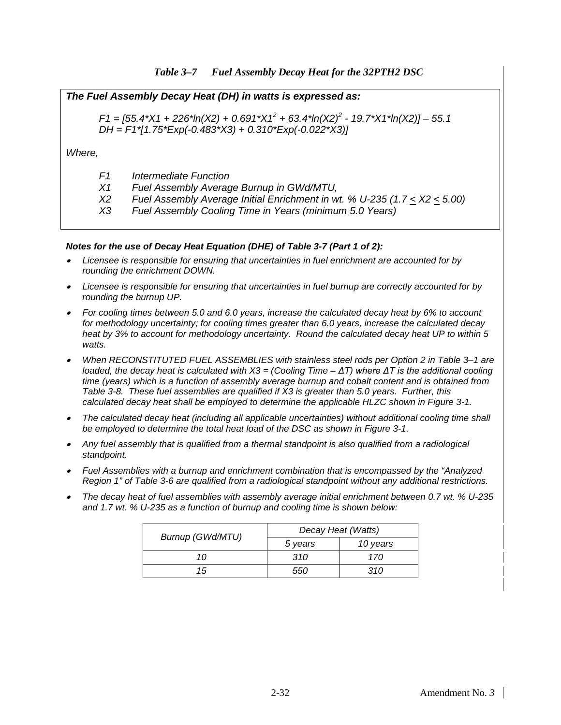#### *The Fuel Assembly Decay Heat (DH) in watts is expressed as:*

*F1 = [55.4\*X1 + 226\*ln(X2) + 0.691\*X1<sup>2</sup> + 63.4\*ln(X2)<sup>2</sup> - 19.7\*X1\*ln(X2)] – 55.1 DH = F1\*[1.75\*Exp(-0.483\*X3) + 0.310\*Exp(-0.022\*X3)]*

*Where,*

- *F1 Intermediate Function*
- *X1 Fuel Assembly Average Burnup in GWd/MTU,*
- *X2 Fuel Assembly Average Initial Enrichment in wt. % U-235 (1.7 < X2 < 5.00)*
- *X3 Fuel Assembly Cooling Time in Years (minimum 5.0 Years)*

#### *Notes for the use of Decay Heat Equation (DHE) of Table 3-7 (Part 1 of 2):*

- • *Licensee is responsible for ensuring that uncertainties in fuel enrichment are accounted for by rounding the enrichment DOWN.*
- • *Licensee is responsible for ensuring that uncertainties in fuel burnup are correctly accounted for by rounding the burnup UP.*
- • *For cooling times between 5.0 and 6.0 years, increase the calculated decay heat by 6% to account for methodology uncertainty; for cooling times greater than 6.0 years, increase the calculated decay heat by 3% to account for methodology uncertainty. Round the calculated decay heat UP to within 5 watts.*
- • *When RECONSTITUTED FUEL ASSEMBLIES with stainless steel rods per Option 2 in Table 3–1 are loaded, the decay heat is calculated with X3 = (Cooling Time – ΔT) where ΔT is the additional cooling time (years) which is a function of assembly average burnup and cobalt content and is obtained from Table 3-8. These fuel assemblies are qualified if X3 is greater than 5.0 years. Further, this calculated decay heat shall be employed to determine the applicable HLZC shown in Figure 3-1.*
- • *The calculated decay heat (including all applicable uncertainties) without additional cooling time shall be employed to determine the total heat load of the DSC as shown in Figure 3-1.*
- • *Any fuel assembly that is qualified from a thermal standpoint is also qualified from a radiological standpoint.*
- • *Fuel Assemblies with a burnup and enrichment combination that is encompassed by the "Analyzed Region 1" of Table 3-6 are qualified from a radiological standpoint without any additional restrictions.*
- • *The decay heat of fuel assemblies with assembly average initial enrichment between 0.7 wt. % U-235 and 1.7 wt. % U-235 as a function of burnup and cooling time is shown below:*

|                  | Decay Heat (Watts) |          |  |
|------------------|--------------------|----------|--|
| Burnup (GWd/MTU) | 5 years            | 10 years |  |
| 10               | 310                | 170      |  |
| 15               | 550                | 310      |  |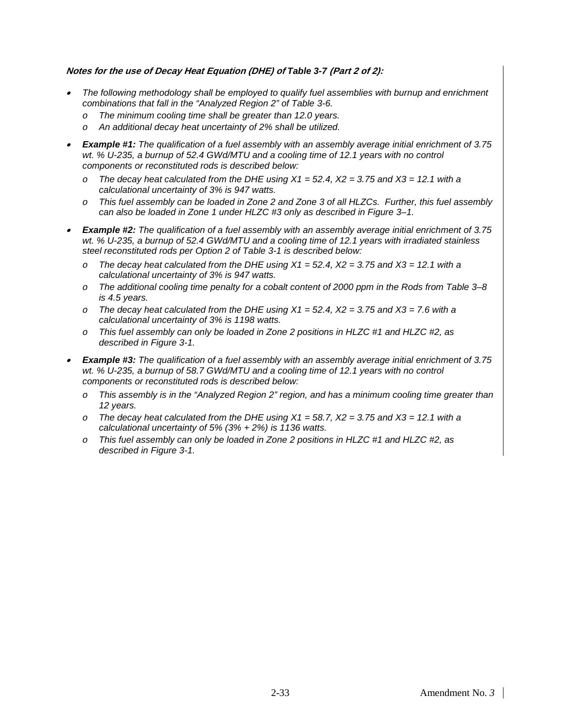#### **Notes for the use of Decay Heat Equation (DHE) of** *Table 3-7* **(Part 2 of 2):**

- • *The following methodology shall be employed to qualify fuel assemblies with burnup and enrichment combinations that fall in the "Analyzed Region 2" of Table 3-6.* 
	- *o The minimum cooling time shall be greater than 12.0 years.*
	- *o An additional decay heat uncertainty of 2% shall be utilized.*
- • *Example #1: The qualification of a fuel assembly with an assembly average initial enrichment of 3.75 wt. % U-235, a burnup of 52.4 GWd/MTU and a cooling time of 12.1 years with no control components or reconstituted rods is described below:* 
	- *o The decay heat calculated from the DHE using X1 = 52.4, X2 = 3.75 and X3 = 12.1 with a calculational uncertainty of 3% is 947 watts.*
	- *o This fuel assembly can be loaded in Zone 2 and Zone 3 of all HLZCs. Further, this fuel assembly can also be loaded in Zone 1 under HLZC #3 only as described in Figure 3–1.*
- • *Example #2: The qualification of a fuel assembly with an assembly average initial enrichment of 3.75 wt. % U-235, a burnup of 52.4 GWd/MTU and a cooling time of 12.1 years with irradiated stainless steel reconstituted rods per Option 2 of Table 3-1 is described below:* 
	- *o The decay heat calculated from the DHE using X1 = 52.4, X2 = 3.75 and X3 = 12.1 with a calculational uncertainty of 3% is 947 watts.*
	- *o The additional cooling time penalty for a cobalt content of 2000 ppm in the Rods from Table 3–8 is 4.5 years.*
	- *o The decay heat calculated from the DHE using X1 = 52.4, X2 = 3.75 and X3 = 7.6 with a calculational uncertainty of 3% is 1198 watts.*
	- *o This fuel assembly can only be loaded in Zone 2 positions in HLZC #1 and HLZC #2, as described in Figure 3-1.*
- • *Example #3: The qualification of a fuel assembly with an assembly average initial enrichment of 3.75 wt. % U-235, a burnup of 58.7 GWd/MTU and a cooling time of 12.1 years with no control components or reconstituted rods is described below:* 
	- *o This assembly is in the "Analyzed Region 2" region, and has a minimum cooling time greater than 12 years.*
	- *o The decay heat calculated from the DHE using X1 = 58.7, X2 = 3.75 and X3 = 12.1 with a calculational uncertainty of 5% (3% + 2%) is 1136 watts.*
	- *o This fuel assembly can only be loaded in Zone 2 positions in HLZC #1 and HLZC #2, as described in Figure 3-1.*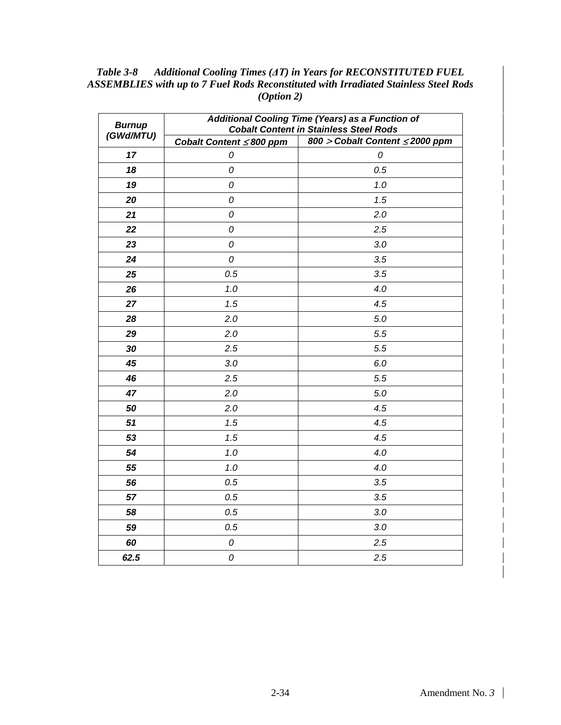| <b>Burnup</b> | Additional Cooling Time (Years) as a Function of<br><b>Cobalt Content in Stainless Steel Rods</b> |                                                   |  |
|---------------|---------------------------------------------------------------------------------------------------|---------------------------------------------------|--|
| (GWd/MTU)     | Cobalt Content ≤800 ppm                                                                           | $\overline{800}$ > Cobalt Content $\leq$ 2000 ppm |  |
| 17            | 0                                                                                                 | 0                                                 |  |
| 18            | 0                                                                                                 | 0.5                                               |  |
| 19            | 0                                                                                                 | 1.0                                               |  |
| 20            | 0                                                                                                 | 1.5                                               |  |
| 21            | 0                                                                                                 | 2.0                                               |  |
| 22            | 0                                                                                                 | 2.5                                               |  |
| 23            | 0                                                                                                 | 3.0                                               |  |
| 24            | 0                                                                                                 | 3.5                                               |  |
| 25            | 0.5                                                                                               | 3.5                                               |  |
| 26            | 1.0                                                                                               | 4.0                                               |  |
| 27            | 1.5                                                                                               | 4.5                                               |  |
| 28            | 2.0                                                                                               | 5.0                                               |  |
| 29            | 2.0                                                                                               | 5.5                                               |  |
| 30            | 2.5                                                                                               | 5.5                                               |  |
| 45            | 3.0                                                                                               | 6.0                                               |  |
| 46            | 2.5                                                                                               | 5.5                                               |  |
| 47            | 2.0                                                                                               | 5.0                                               |  |
| 50            | 2.0                                                                                               | 4.5                                               |  |
| 51            | 1.5                                                                                               | 4.5                                               |  |
| 53            | 1.5                                                                                               | 4.5                                               |  |
| 54            | 1.0                                                                                               | 4.0                                               |  |
| 55            | 1.0                                                                                               | 4.0                                               |  |
| 56            | 0.5                                                                                               | 3.5                                               |  |
| 57            | 0.5                                                                                               | 3.5                                               |  |
| 58            | 0.5                                                                                               | 3.0                                               |  |
| 59            | 0.5                                                                                               | 3.0                                               |  |
| 60            | 0                                                                                                 | 2.5                                               |  |
| 62.5          | 0                                                                                                 | 2.5                                               |  |

*Table 3-8 Additional Cooling Times (ΔT) in Years for RECONSTITUTED FUEL ASSEMBLIES with up to 7 Fuel Rods Reconstituted with Irradiated Stainless Steel Rods (Option 2)*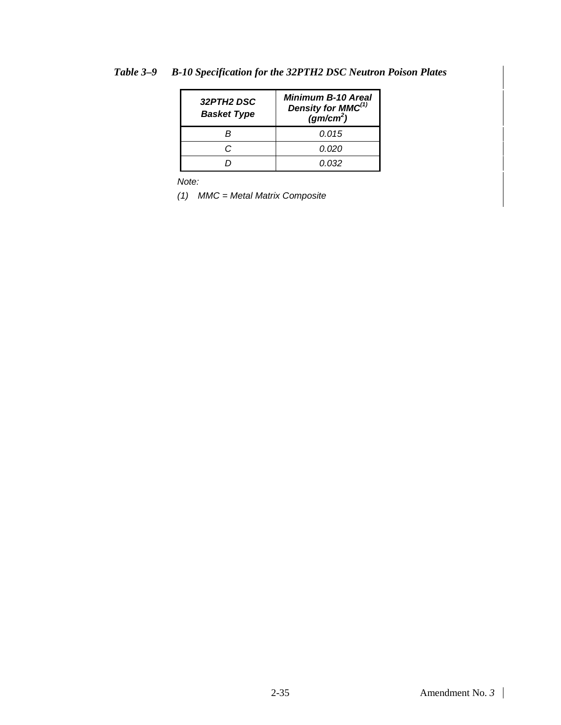| 32PTH2 DSC<br><b>Basket Type</b> | <b>Minimum B-10 Areal</b><br>Density for MMC <sup>(1)</sup><br>(gm/cm <sup>2</sup> ) |
|----------------------------------|--------------------------------------------------------------------------------------|
|                                  | 0.015                                                                                |
|                                  | 0.020                                                                                |
|                                  | 0.032                                                                                |

*Table 3–9 B-10 Specification for the 32PTH2 DSC Neutron Poison Plates*

*Note:*

*(1) MMC = Metal Matrix Composite*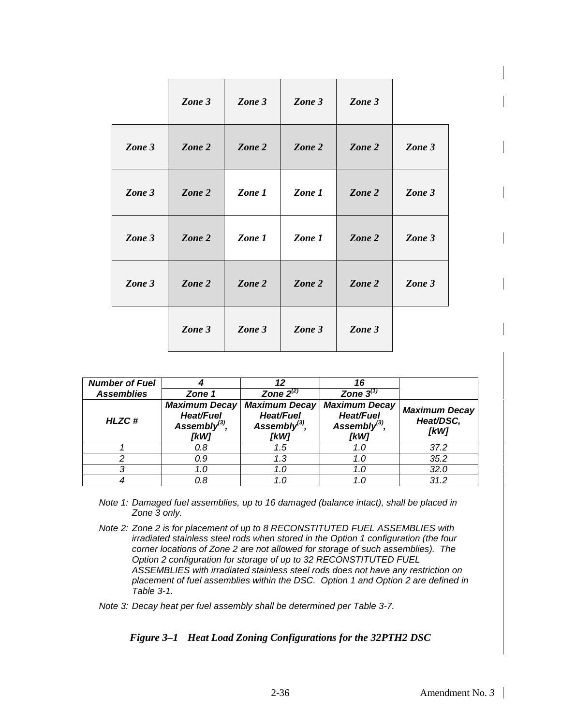|        | Zone 3 | Zone 3 | Zone 3 | Zone 3 |        |
|--------|--------|--------|--------|--------|--------|
| Zone 3 | Zone 2 | Zone 2 | Zone 2 | Zone 2 | Zone 3 |
| Zone 3 | Zone 2 | Zone 1 | Zone 1 | Zone 2 | Zone 3 |
| Zone 3 | Zone 2 | Zone 1 | Zone 1 | Zone 2 | Zone 3 |
| Zone 3 | Zone 2 | Zone 2 | Zone 2 | Zone 2 | Zone 3 |
|        | Zone 3 | Zone 3 | Zone 3 | Zone 3 |        |

| <b>Number of Fuel</b><br><b>Assemblies</b> | Zone 1                                                                  | 12<br>Zone $2^{(2)}$                                             | 16<br>Zone $3^{(1)}$                                                    |                                           |
|--------------------------------------------|-------------------------------------------------------------------------|------------------------------------------------------------------|-------------------------------------------------------------------------|-------------------------------------------|
| <b>HLZC#</b>                               | <b>Maximum Decay</b><br><b>Heat/Fuel</b><br>Assembly $^{(3)}$ ,<br>[kW] | <b>Maximum Decay</b><br>Heat/Fuel<br>Assembly $^{(3)}$ ,<br>[kW] | <b>Maximum Decay</b><br><b>Heat/Fuel</b><br>Assembly $^{(3)}$ ,<br>[kW] | <b>Maximum Decay</b><br>Heat/DSC,<br>[kW] |
|                                            | 0.8                                                                     | 1.5                                                              | 1.0                                                                     | 37.2                                      |
|                                            | 0.9                                                                     | 1.3                                                              | 1.0                                                                     | 35.2                                      |
|                                            | 1.0                                                                     | 1.0                                                              | 1.0                                                                     | 32.0                                      |
|                                            | 0.8                                                                     |                                                                  |                                                                         | 31.2                                      |

- *Note 1: Damaged fuel assemblies, up to 16 damaged (balance intact), shall be placed in Zone 3 only.*
- *Note 2: Zone 2 is for placement of up to 8 RECONSTITUTED FUEL ASSEMBLIES with irradiated stainless steel rods when stored in the Option 1 configuration (the four corner locations of Zone 2 are not allowed for storage of such assemblies). The Option 2 configuration for storage of up to 32 RECONSTITUTED FUEL ASSEMBLIES with irradiated stainless steel rods does not have any restriction on placement of fuel assemblies within the DSC. Option 1 and Option 2 are defined in Table 3-1.*
- *Note 3: Decay heat per fuel assembly shall be determined per Table 3-7.*

#### *Figure 3–1 Heat Load Zoning Configurations for the 32PTH2 DSC*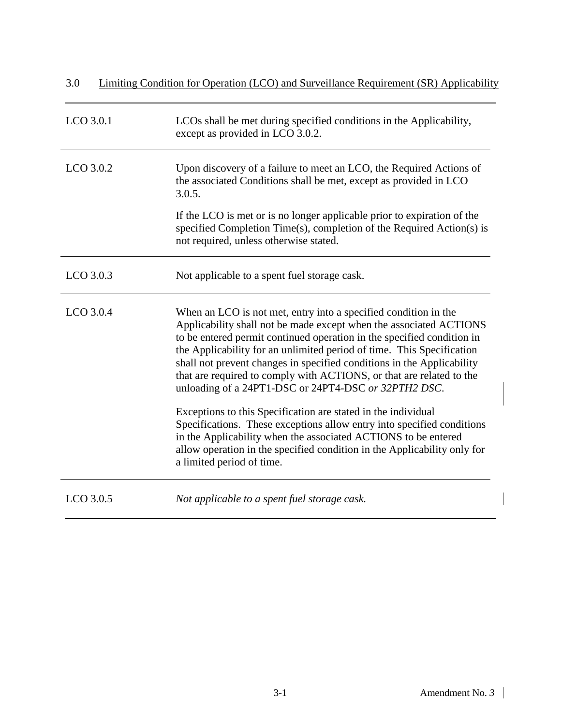| 3.0<br>Limiting Condition for Operation (LCO) and Surveillance Requirement (SR) Applicability |                                                                                                                                                                                                                                                                                                                                                                                                                                                                                                    |  |
|-----------------------------------------------------------------------------------------------|----------------------------------------------------------------------------------------------------------------------------------------------------------------------------------------------------------------------------------------------------------------------------------------------------------------------------------------------------------------------------------------------------------------------------------------------------------------------------------------------------|--|
| LCO 3.0.1                                                                                     | LCOs shall be met during specified conditions in the Applicability,<br>except as provided in LCO 3.0.2.                                                                                                                                                                                                                                                                                                                                                                                            |  |
| LCO 3.0.2                                                                                     | Upon discovery of a failure to meet an LCO, the Required Actions of<br>the associated Conditions shall be met, except as provided in LCO<br>3.0.5.                                                                                                                                                                                                                                                                                                                                                 |  |
|                                                                                               | If the LCO is met or is no longer applicable prior to expiration of the<br>specified Completion Time(s), completion of the Required Action(s) is<br>not required, unless otherwise stated.                                                                                                                                                                                                                                                                                                         |  |
| $LCO$ 3.0.3                                                                                   | Not applicable to a spent fuel storage cask.                                                                                                                                                                                                                                                                                                                                                                                                                                                       |  |
| LCO 3.0.4                                                                                     | When an LCO is not met, entry into a specified condition in the<br>Applicability shall not be made except when the associated ACTIONS<br>to be entered permit continued operation in the specified condition in<br>the Applicability for an unlimited period of time. This Specification<br>shall not prevent changes in specified conditions in the Applicability<br>that are required to comply with ACTIONS, or that are related to the<br>unloading of a 24PT1-DSC or 24PT4-DSC or 32PTH2 DSC. |  |
|                                                                                               | Exceptions to this Specification are stated in the individual<br>Specifications. These exceptions allow entry into specified conditions<br>in the Applicability when the associated ACTIONS to be entered<br>allow operation in the specified condition in the Applicability only for<br>a limited period of time.                                                                                                                                                                                 |  |
| LCO 3.0.5                                                                                     | Not applicable to a spent fuel storage cask.                                                                                                                                                                                                                                                                                                                                                                                                                                                       |  |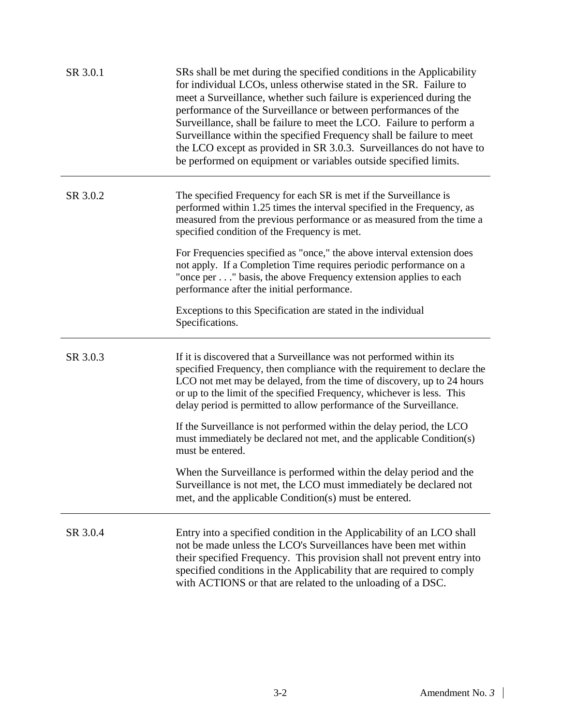| SR 3.0.1 | SRs shall be met during the specified conditions in the Applicability<br>for individual LCOs, unless otherwise stated in the SR. Failure to<br>meet a Surveillance, whether such failure is experienced during the<br>performance of the Surveillance or between performances of the<br>Surveillance, shall be failure to meet the LCO. Failure to perform a<br>Surveillance within the specified Frequency shall be failure to meet<br>the LCO except as provided in SR 3.0.3. Surveillances do not have to<br>be performed on equipment or variables outside specified limits. |
|----------|----------------------------------------------------------------------------------------------------------------------------------------------------------------------------------------------------------------------------------------------------------------------------------------------------------------------------------------------------------------------------------------------------------------------------------------------------------------------------------------------------------------------------------------------------------------------------------|
| SR 3.0.2 | The specified Frequency for each SR is met if the Surveillance is<br>performed within 1.25 times the interval specified in the Frequency, as<br>measured from the previous performance or as measured from the time a<br>specified condition of the Frequency is met.                                                                                                                                                                                                                                                                                                            |
|          | For Frequencies specified as "once," the above interval extension does<br>not apply. If a Completion Time requires periodic performance on a<br>"once per" basis, the above Frequency extension applies to each<br>performance after the initial performance.                                                                                                                                                                                                                                                                                                                    |
|          | Exceptions to this Specification are stated in the individual<br>Specifications.                                                                                                                                                                                                                                                                                                                                                                                                                                                                                                 |
| SR 3.0.3 | If it is discovered that a Surveillance was not performed within its                                                                                                                                                                                                                                                                                                                                                                                                                                                                                                             |
|          | specified Frequency, then compliance with the requirement to declare the<br>LCO not met may be delayed, from the time of discovery, up to 24 hours<br>or up to the limit of the specified Frequency, whichever is less. This<br>delay period is permitted to allow performance of the Surveillance.                                                                                                                                                                                                                                                                              |
|          | If the Surveillance is not performed within the delay period, the LCO<br>must immediately be declared not met, and the applicable Condition(s)<br>must be entered.                                                                                                                                                                                                                                                                                                                                                                                                               |
|          | When the Surveillance is performed within the delay period and the<br>Surveillance is not met, the LCO must immediately be declared not<br>met, and the applicable Condition(s) must be entered.                                                                                                                                                                                                                                                                                                                                                                                 |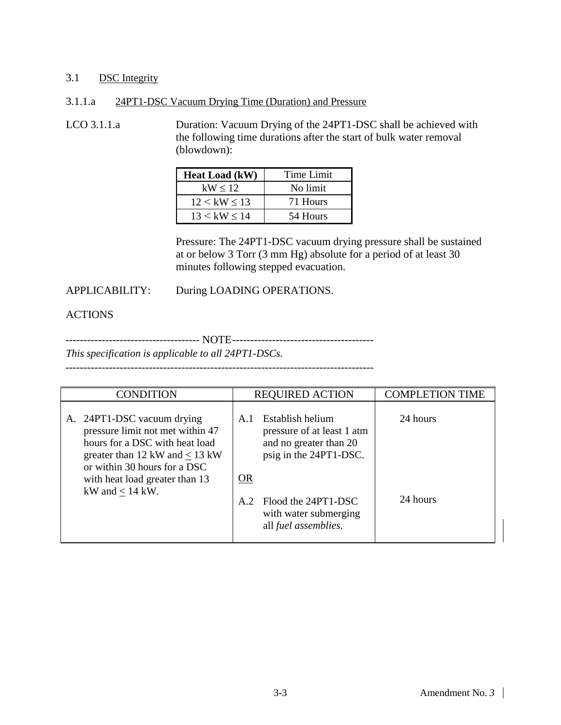#### 3.1 DSC Integrity

#### 3.1.1.a 24PT1-DSC Vacuum Drying Time (Duration) and Pressure

LCO 3.1.1.a Duration: Vacuum Drying of the 24PT1-DSC shall be achieved with the following time durations after the start of bulk water removal (blowdown):

| <b>Heat Load (kW)</b> | Time Limit |
|-----------------------|------------|
| kW < 12               | No limit   |
| 12 < kW < 13          | 71 Hours   |
| 13 < kW < 14          | 54 Hours   |

Pressure: The 24PT1-DSC vacuum drying pressure shall be sustained at or below 3 Torr (3 mm Hg) absolute for a period of at least 30 minutes following stepped evacuation.

#### APPLICABILITY: During LOADING OPERATIONS.

### ACTIONS

------------------------------------- NOTE---------------------------------------

*This specification is applicable to all 24PT1-DSCs.*

-------------------------------------------------------------------------------------

| <b>CONDITION</b>                                                                                                                                                        | <b>REQUIRED ACTION</b>                                                                                    | <b>COMPLETION TIME</b> |
|-------------------------------------------------------------------------------------------------------------------------------------------------------------------------|-----------------------------------------------------------------------------------------------------------|------------------------|
| A. 24PT1-DSC vacuum drying<br>pressure limit not met within 47<br>hours for a DSC with heat load<br>greater than 12 kW and $\leq$ 13 kW<br>or within 30 hours for a DSC | Establish helium<br>A.1<br>pressure of at least 1 atm<br>and no greater than 20<br>psig in the 24PT1-DSC. | 24 hours               |
| with heat load greater than 13<br>kW and $< 14$ kW.                                                                                                                     | <b>OR</b><br>Flood the 24PT1-DSC<br>A.2<br>with water submerging<br>all fuel assemblies.                  | 24 hours               |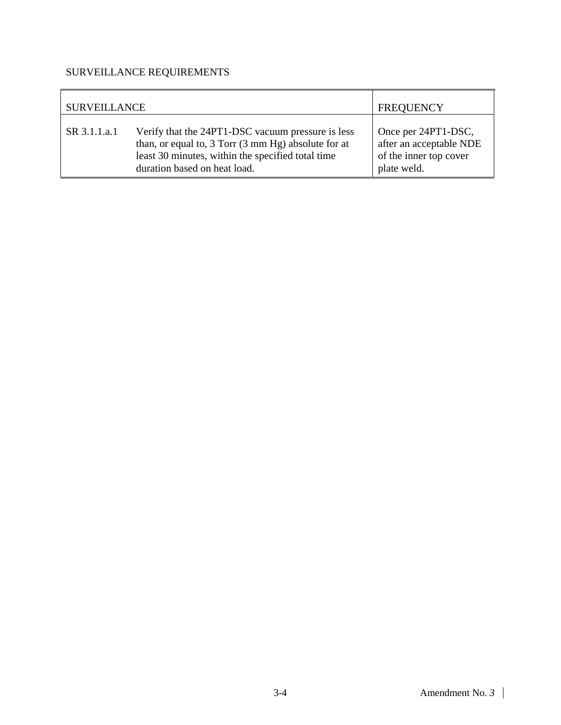| <b>SURVEILLANCE</b> |                                                                                                                                                                                               | <b>FREQUENCY</b>                                                                        |
|---------------------|-----------------------------------------------------------------------------------------------------------------------------------------------------------------------------------------------|-----------------------------------------------------------------------------------------|
| SR 3.1.1.a.1        | Verify that the 24PT1-DSC vacuum pressure is less<br>than, or equal to, 3 Torr (3 mm Hg) absolute for at<br>least 30 minutes, within the specified total time<br>duration based on heat load. | Once per 24PT1-DSC,<br>after an acceptable NDE<br>of the inner top cover<br>plate weld. |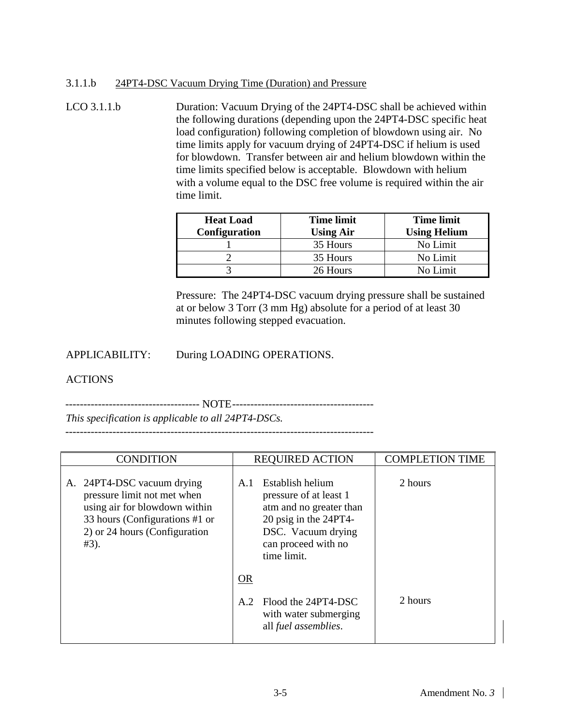#### 3.1.1.b 24PT4-DSC Vacuum Drying Time (Duration) and Pressure

LCO 3.1.1.b Duration: Vacuum Drying of the 24PT4-DSC shall be achieved within the following durations (depending upon the 24PT4-DSC specific heat load configuration) following completion of blowdown using air. No time limits apply for vacuum drying of 24PT4-DSC if helium is used for blowdown. Transfer between air and helium blowdown within the time limits specified below is acceptable. Blowdown with helium with a volume equal to the DSC free volume is required within the air time limit.

| <b>Heat Load</b><br><b>Configuration</b> | <b>Time limit</b><br><b>Using Air</b> | <b>Time limit</b><br><b>Using Helium</b> |  |
|------------------------------------------|---------------------------------------|------------------------------------------|--|
|                                          | 35 Hours                              | No Limit                                 |  |
|                                          | 35 Hours                              | No Limit                                 |  |
|                                          | 26 Hours                              | No Limit                                 |  |

Pressure: The 24PT4-DSC vacuum drying pressure shall be sustained at or below 3 Torr (3 mm Hg) absolute for a period of at least 30 minutes following stepped evacuation.

APPLICABILITY: During LOADING OPERATIONS.

### ACTIONS

------------------------------------- NOTE---------------------------------------

*This specification is applicable to all 24PT4-DSCs.* -------------------------------------------------------------------------------------

| <b>CONDITION</b>                                                                                                                                                         | <b>REQUIRED ACTION</b>                                                                                                                                            | <b>COMPLETION TIME</b> |
|--------------------------------------------------------------------------------------------------------------------------------------------------------------------------|-------------------------------------------------------------------------------------------------------------------------------------------------------------------|------------------------|
| A. 24PT4-DSC vacuum drying<br>pressure limit not met when<br>using air for blowdown within<br>33 hours (Configurations #1 or<br>2) or 24 hours (Configuration<br>$#3$ ). | Establish helium<br>A.1<br>pressure of at least 1<br>atm and no greater than<br>20 psig in the 24PT4-<br>DSC. Vacuum drying<br>can proceed with no<br>time limit. | 2 hours                |
|                                                                                                                                                                          | <b>OR</b>                                                                                                                                                         |                        |
|                                                                                                                                                                          | Flood the 24PT4-DSC<br>A.2<br>with water submerging<br>all fuel assemblies.                                                                                       | 2 hours                |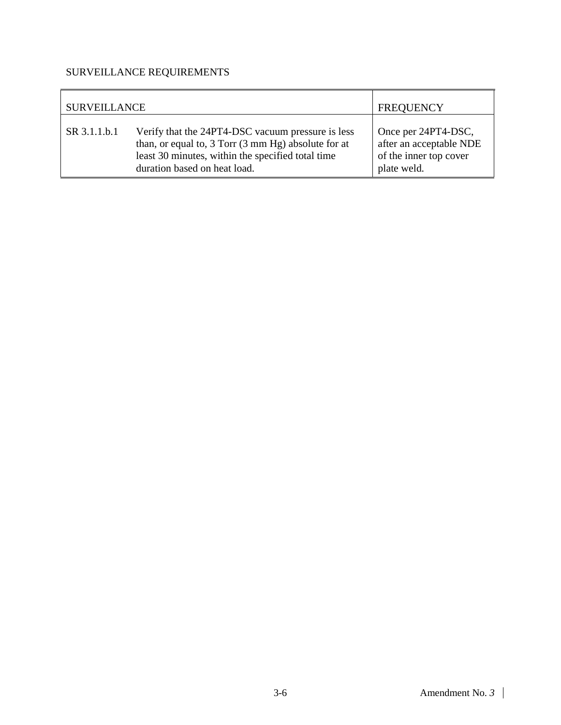| <b>SURVEILLANCE</b> | <b>FREQUENCY</b>                                                                                                                                                                              |                                                                                         |
|---------------------|-----------------------------------------------------------------------------------------------------------------------------------------------------------------------------------------------|-----------------------------------------------------------------------------------------|
| SR 3.1.1.b.1        | Verify that the 24PT4-DSC vacuum pressure is less<br>than, or equal to, 3 Torr (3 mm Hg) absolute for at<br>least 30 minutes, within the specified total time<br>duration based on heat load. | Once per 24PT4-DSC,<br>after an acceptable NDE<br>of the inner top cover<br>plate weld. |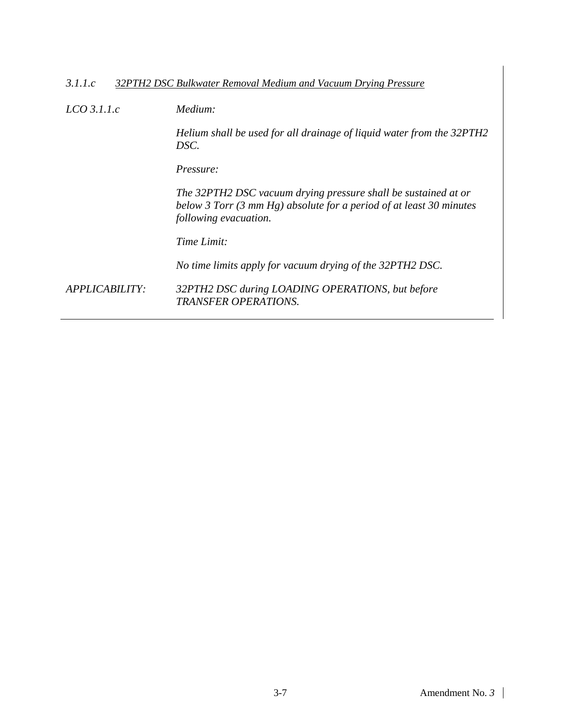#### *3.1.1.c 32PTH2 DSC Bulkwater Removal Medium and Vacuum Drying Pressure*

*LCO 3.1.1.c Medium:*

*Helium shall be used for all drainage of liquid water from the 32PTH2 DSC.*

*Pressure:*

*The 32PTH2 DSC vacuum drying pressure shall be sustained at or below 3 Torr (3 mm Hg) absolute for a period of at least 30 minutes following evacuation.*

*Time Limit:*

*No time limits apply for vacuum drying of the 32PTH2 DSC.*

*APPLICABILITY: 32PTH2 DSC during LOADING OPERATIONS, but before TRANSFER OPERATIONS.*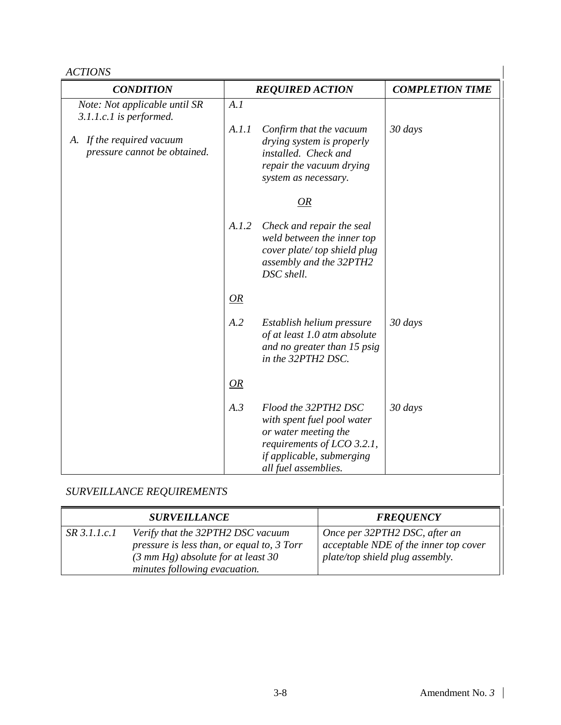| <b>ACTIONS</b>                                            |       |                                                                                                                                                               |                        |
|-----------------------------------------------------------|-------|---------------------------------------------------------------------------------------------------------------------------------------------------------------|------------------------|
| <b>CONDITION</b>                                          |       | <b>REQUIRED ACTION</b>                                                                                                                                        | <b>COMPLETION TIME</b> |
| Note: Not applicable until SR<br>3.1.1.c.1 is performed.  | A.I   |                                                                                                                                                               |                        |
| A. If the required vacuum<br>pressure cannot be obtained. | A.I.I | Confirm that the vacuum<br>drying system is properly<br>installed. Check and<br>repair the vacuum drying<br>system as necessary.                              | 30 days                |
|                                                           |       | <i>OR</i>                                                                                                                                                     |                        |
|                                                           | A.I.2 | Check and repair the seal<br>weld between the inner top<br>cover plate/top shield plug<br>assembly and the 32PTH2<br>DSC shell.                               |                        |
|                                                           | OR    |                                                                                                                                                               |                        |
|                                                           | A.2   | Establish helium pressure<br>of at least 1.0 atm absolute<br>and no greater than 15 psig<br>in the 32PTH2 DSC.                                                | 30 days                |
|                                                           | OR    |                                                                                                                                                               |                        |
|                                                           | A.3   | Flood the 32PTH2 DSC<br>with spent fuel pool water<br>or water meeting the<br>requirements of LCO 3.2.1,<br>if applicable, submerging<br>all fuel assemblies. | 30 days                |

|              | <b>SURVEILLANCE</b>                                                                                                                                              | <b>FREQUENCY</b>                                                                                          |
|--------------|------------------------------------------------------------------------------------------------------------------------------------------------------------------|-----------------------------------------------------------------------------------------------------------|
| SR 3.1.1.c.1 | Verify that the 32PTH2 DSC vacuum<br>pressure is less than, or equal to, 3 Torr<br>$(3 \text{ mm Hg})$ absolute for at least 30<br>minutes following evacuation. | Once per 32PTH2 DSC, after an<br>acceptable NDE of the inner top cover<br>plate/top shield plug assembly. |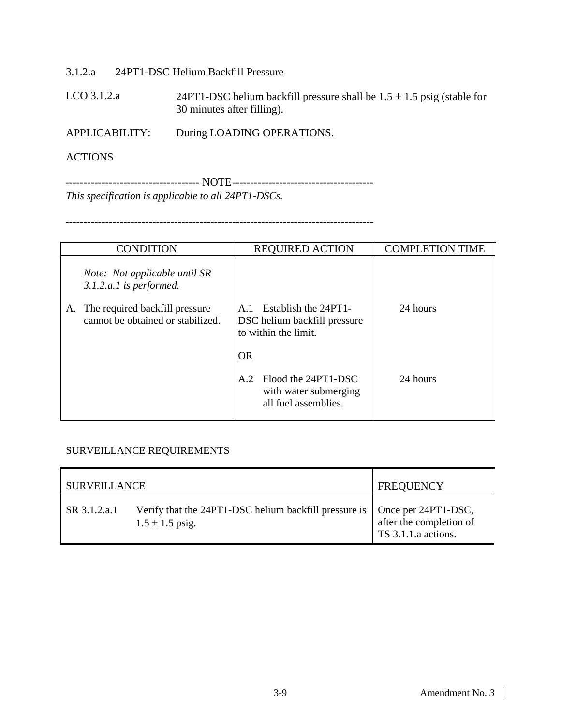#### 3.1.2.a 24PT1-DSC Helium Backfill Pressure

LCO 3.1.2.a 24PT1-DSC helium backfill pressure shall be  $1.5 \pm 1.5$  psig (stable for 30 minutes after filling).

APPLICABILITY: During LOADING OPERATIONS.

#### **ACTIONS**

------------------------------------- NOTE--------------------------------------- *This specification is applicable to all 24PT1-DSCs.*

-------------------------------------------------------------------------------------

| <b>CONDITION</b>                                                          | <b>REQUIRED ACTION</b>                                                                         | <b>COMPLETION TIME</b> |
|---------------------------------------------------------------------------|------------------------------------------------------------------------------------------------|------------------------|
| <i>Note: Not applicable until SR</i><br>3.1.2.a.1 is performed.           |                                                                                                |                        |
| The required backfill pressure<br>А.<br>cannot be obtained or stabilized. | Establish the 24PT1-<br>A <sub>1</sub><br>DSC helium backfill pressure<br>to within the limit. | 24 hours               |
|                                                                           | OR                                                                                             |                        |
|                                                                           | Flood the 24PT1-DSC<br>A.2<br>with water submerging<br>all fuel assemblies.                    | 24 hours               |

| <b>SURVEILLANCE</b> |                                                                              | <b>FREQUENCY</b>                                                      |
|---------------------|------------------------------------------------------------------------------|-----------------------------------------------------------------------|
| SR 3.1.2.a.1        | Verify that the 24PT1-DSC helium backfill pressure is<br>$1.5 \pm 1.5$ psig. | Once per 24PT1-DSC,<br>after the completion of<br>TS 3.1.1.a actions. |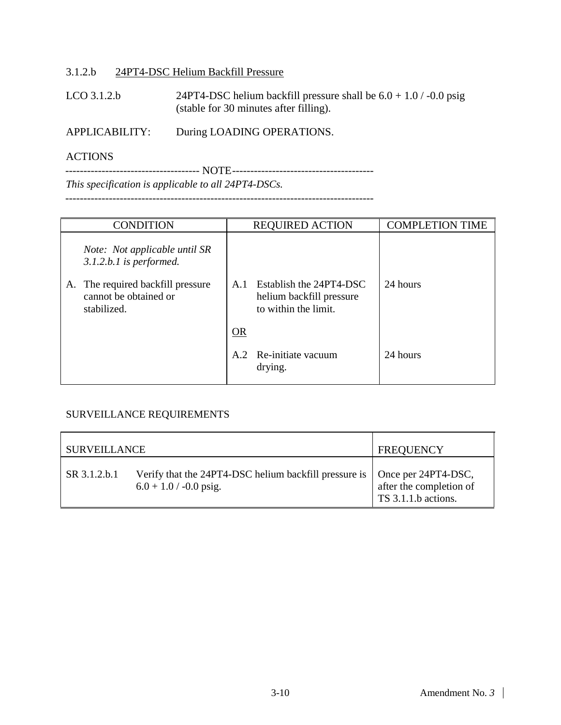#### 3.1.2.b 24PT4-DSC Helium Backfill Pressure

LCO 3.1.2.b 24PT4-DSC helium backfill pressure shall be  $6.0 + 1.0 / -0.0$  psig (stable for 30 minutes after filling).

APPLICABILITY: During LOADING OPERATIONS.

#### ACTIONS

------------------------------------- NOTE---------------------------------------

*This specification is applicable to all 24PT4-DSCs.*

-------------------------------------------------------------------------------------

|    | <b>CONDITION</b>                                                       |      | <b>REQUIRED ACTION</b>                                                      | <b>COMPLETION TIME</b> |
|----|------------------------------------------------------------------------|------|-----------------------------------------------------------------------------|------------------------|
|    | <i>Note: Not applicable until SR</i><br>$3.1.2.b.1$ is performed.      |      |                                                                             |                        |
| A. | The required backfill pressure<br>cannot be obtained or<br>stabilized. | A.1  | Establish the 24PT4-DSC<br>helium backfill pressure<br>to within the limit. | 24 hours               |
|    |                                                                        | $OR$ |                                                                             |                        |
|    |                                                                        | A.2  | Re-initiate vacuum<br>drying.                                               | 24 hours               |

| SURVEILLANCE |                                                                                   | <b>FREQUENCY</b>                                                      |
|--------------|-----------------------------------------------------------------------------------|-----------------------------------------------------------------------|
| SR 3.1.2.b.1 | Verify that the 24PT4-DSC helium backfill pressure is<br>$6.0 + 1.0$ / -0.0 psig. | Once per 24PT4-DSC,<br>after the completion of<br>TS 3.1.1.b actions. |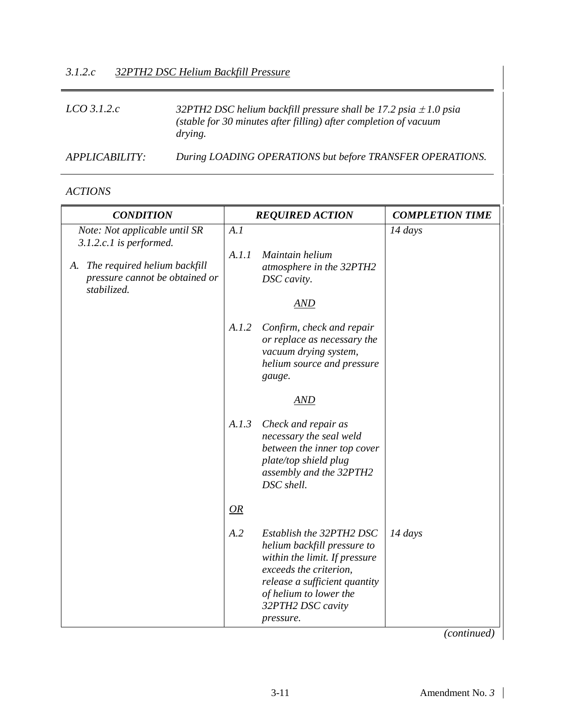#### *LCO 3.1.2.c 32PTH2 DSC helium backfill pressure shall be 17.2 psia* <sup>±</sup> *1.0 psia (stable for 30 minutes after filling) after completion of vacuum drying.*

*APPLICABILITY: During LOADING OPERATIONS but before TRANSFER OPERATIONS.*

*ACTIONS* 

| <b>CONDITION</b>                                                                 |       | <b>REQUIRED ACTION</b>                                                                                                                                                                                          | <b>COMPLETION TIME</b> |
|----------------------------------------------------------------------------------|-------|-----------------------------------------------------------------------------------------------------------------------------------------------------------------------------------------------------------------|------------------------|
| Note: Not applicable until SR<br>3.1.2.c.1 is performed.                         | A.I   |                                                                                                                                                                                                                 | 14 days                |
| A. The required helium backfill<br>pressure cannot be obtained or<br>stabilized. | A.I.I | Maintain helium<br>atmosphere in the 32PTH2<br>DSC cavity.<br>AND                                                                                                                                               |                        |
|                                                                                  | A.I.2 | Confirm, check and repair<br>or replace as necessary the<br>vacuum drying system,<br>helium source and pressure<br>gauge.                                                                                       |                        |
|                                                                                  |       | AND                                                                                                                                                                                                             |                        |
|                                                                                  | A.I.3 | Check and repair as<br>necessary the seal weld<br>between the inner top cover<br>plate/top shield plug<br>assembly and the 32PTH2<br>DSC shell.                                                                 |                        |
|                                                                                  | OR    |                                                                                                                                                                                                                 |                        |
|                                                                                  | A.2   | Establish the 32PTH2 DSC<br>helium backfill pressure to<br>within the limit. If pressure<br>exceeds the criterion,<br>release a sufficient quantity<br>of helium to lower the<br>32PTH2 DSC cavity<br>pressure. | $14 \, days$           |

*(continued)*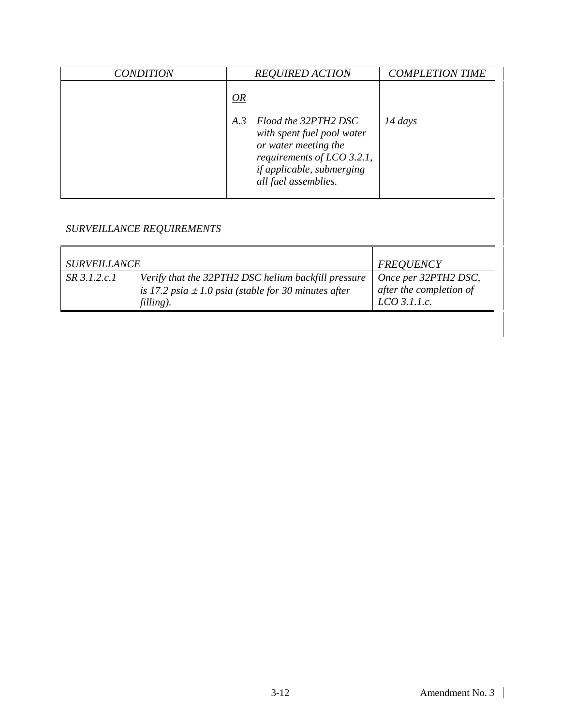| <b>CONDITION</b> | <b>REQUIRED ACTION</b>                                                                                  | <b>COMPLETION TIME</b> |
|------------------|---------------------------------------------------------------------------------------------------------|------------------------|
|                  | OR<br>Flood the 32PTH2 DSC<br>A.3<br>with spent fuel pool water                                         | $14 \, days$           |
|                  | or water meeting the<br>requirements of LCO 3.2.1,<br>if applicable, submerging<br>all fuel assemblies. |                        |

| <i>SURVEILLANCE</i> |                                                          | <b>FREQUENCY</b>        |
|---------------------|----------------------------------------------------------|-------------------------|
| $SR$ 3.1.2.c.1      | Verify that the 32PTH2 DSC helium backfill pressure      | Once per 32PTH2 DSC,    |
|                     | is 17.2 psia $\pm$ 1.0 psia (stable for 30 minutes after | after the completion of |
|                     | filling).                                                | $LCO$ 3.1.1.c.          |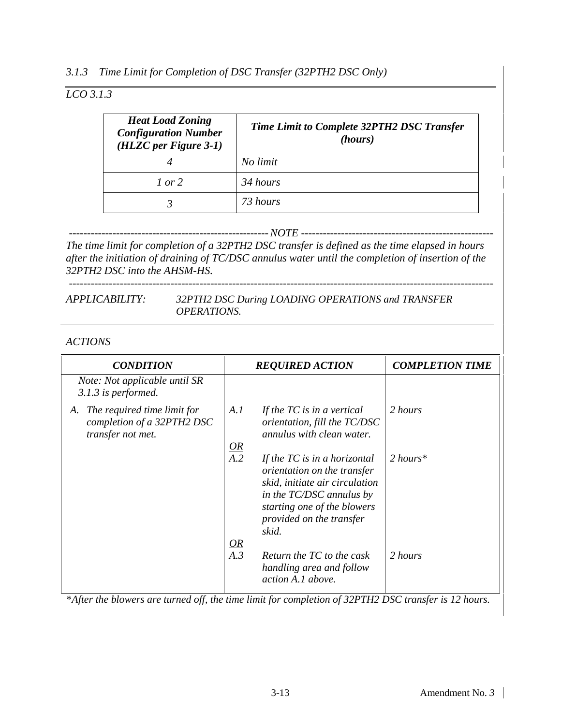#### *3.1.3 Time Limit for Completion of DSC Transfer (32PTH2 DSC Only)*

## *LCO 3.1.3*

| <b>Heat Load Zoning</b><br><b>Configuration Number</b><br>$(HLZC per Figure 3-1)$ | Time Limit to Complete 32PTH2 DSC Transfer<br>(hours) |
|-----------------------------------------------------------------------------------|-------------------------------------------------------|
|                                                                                   | No limit                                              |
| $1$ or $2$                                                                        | 34 hours                                              |
|                                                                                   | 73 hours                                              |

*-------------------------------------------------------NOTE -----------------------------------------------------*

*The time limit for completion of a 32PTH2 DSC transfer is defined as the time elapsed in hours after the initiation of draining of TC/DSC annulus water until the completion of insertion of the 32PTH2 DSC into the AHSM-HS.*

#### *APPLICABILITY: 32PTH2 DSC During LOADING OPERATIONS and TRANSFER OPERATIONS.*

#### *ACTIONS*

*---------------------------------------------------------------------------------------------------------------------*

| <b>CONDITION</b>                                                                     | <b>REQUIRED ACTION</b>                                                                                                                                                                                              | <b>COMPLETION TIME</b> |
|--------------------------------------------------------------------------------------|---------------------------------------------------------------------------------------------------------------------------------------------------------------------------------------------------------------------|------------------------|
| Note: Not applicable until SR<br>3.1.3 is performed.                                 |                                                                                                                                                                                                                     |                        |
| The required time limit for<br>A.<br>completion of a 32PTH2 DSC<br>transfer not met. | A.I<br>If the $TC$ is in a vertical<br>orientation, fill the TC/DSC<br>annulus with clean water.                                                                                                                    | 2 hours                |
|                                                                                      | $\frac{OR}{A.2}$<br>If the $TC$ is in a horizontal<br>orientation on the transfer<br>skid, initiate air circulation<br>in the TC/DSC annulus by<br>starting one of the blowers<br>provided on the transfer<br>skid. | $2$ hours*             |
|                                                                                      | $\frac{OR}{A.3}$<br>Return the TC to the cask<br>handling area and follow<br>action A.1 above.                                                                                                                      | 2 hours                |

*\*After the blowers are turned off, the time limit for completion of 32PTH2 DSC transfer is 12 hours.*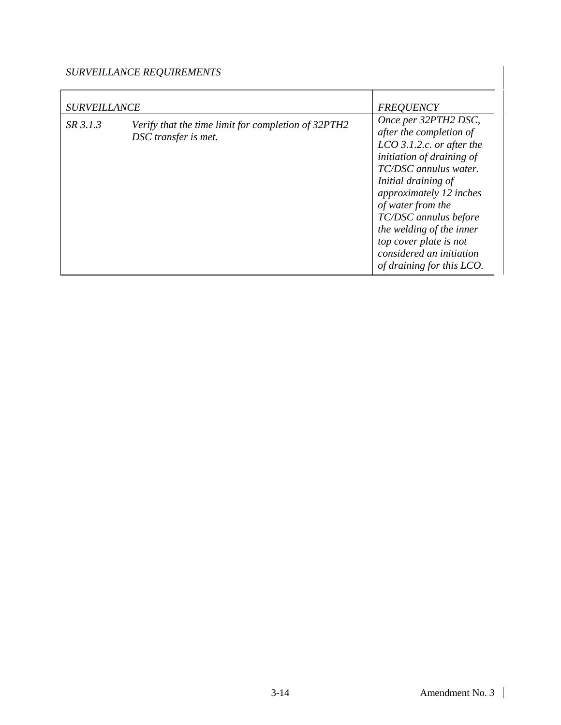| <b>SURVEILLANCE</b> |                                                                             | <b>FREQUENCY</b>                                                                                                                                                                                                                                                                                                                                    |
|---------------------|-----------------------------------------------------------------------------|-----------------------------------------------------------------------------------------------------------------------------------------------------------------------------------------------------------------------------------------------------------------------------------------------------------------------------------------------------|
| SR 3.1.3            | Verify that the time limit for completion of 32PTH2<br>DSC transfer is met. | Once per 32PTH2 DSC,<br>after the completion of<br>$LCO$ 3.1.2.c. or after the<br>initiation of draining of<br>TC/DSC annulus water.<br>Initial draining of<br>approximately 12 inches<br>of water from the<br>TC/DSC annulus before<br>the welding of the inner<br>top cover plate is not<br>considered an initiation<br>of draining for this LCO. |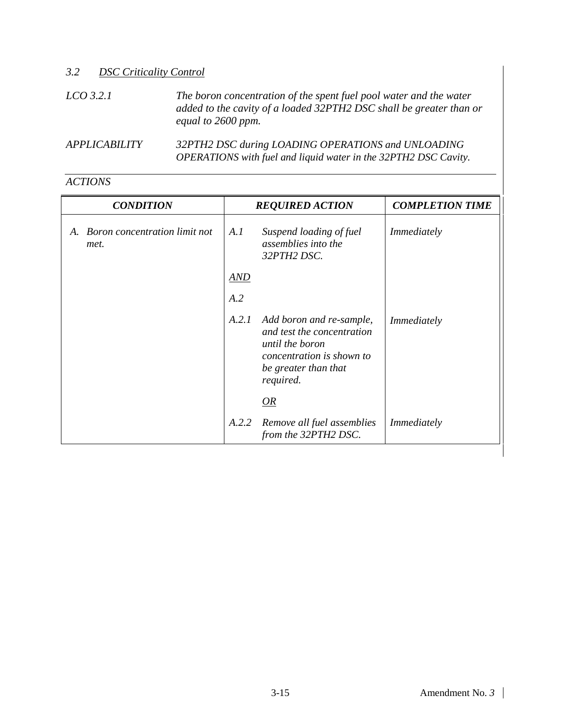| <b>DSC Criticality Control</b><br>3.2 |                                                                                                                                                                 |
|---------------------------------------|-----------------------------------------------------------------------------------------------------------------------------------------------------------------|
| $LCO$ 3.2.1                           | The boron concentration of the spent fuel pool water and the water<br>added to the cavity of a loaded 32PTH2 DSC shall be greater than or<br>equal to 2600 ppm. |
| <b>APPLICABILITY</b>                  | 32PTH2 DSC during LOADING OPERATIONS and UNLOADING<br>OPERATIONS with fuel and liquid water in the 32PTH2 DSC Cavity.                                           |

| <b>CONDITION</b>                         | <b>REQUIRED ACTION</b> |                                                                                                                                             | <b>COMPLETION TIME</b> |
|------------------------------------------|------------------------|---------------------------------------------------------------------------------------------------------------------------------------------|------------------------|
| A. Boron concentration limit not<br>met. | A.I                    | Suspend loading of fuel<br>assemblies into the<br>32PTH2 DSC.                                                                               | <i>Immediately</i>     |
|                                          | <b>AND</b>             |                                                                                                                                             |                        |
|                                          | A.2                    |                                                                                                                                             |                        |
|                                          | A.2.1                  | Add boron and re-sample,<br>and test the concentration<br>until the boron<br>concentration is shown to<br>be greater than that<br>required. | Immediately            |
|                                          |                        | OR                                                                                                                                          |                        |
|                                          | A.2.2                  | Remove all fuel assemblies<br>from the 32PTH2 DSC.                                                                                          | Immediately            |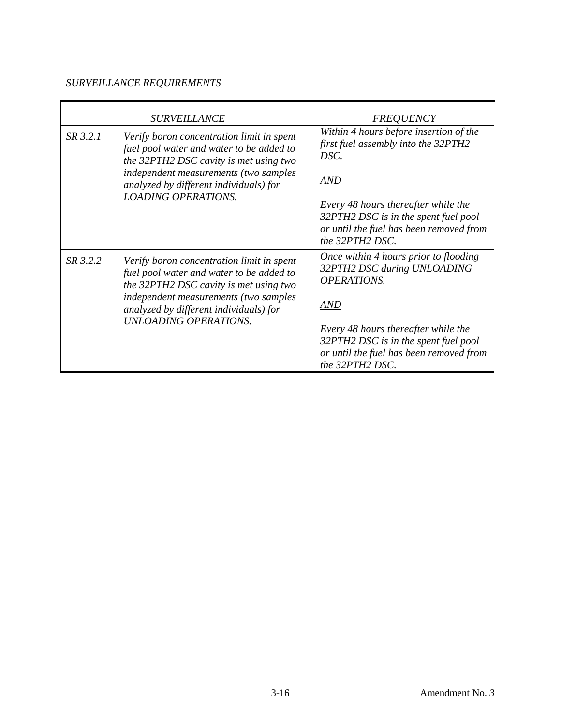|          | <b>SURVEILLANCE</b>                                                                                                                                                                                                                                | <b>FREQUENCY</b>                                                                                                                                                                                                                                      |
|----------|----------------------------------------------------------------------------------------------------------------------------------------------------------------------------------------------------------------------------------------------------|-------------------------------------------------------------------------------------------------------------------------------------------------------------------------------------------------------------------------------------------------------|
| SR 3.2.1 | Verify boron concentration limit in spent<br>fuel pool water and water to be added to<br>the 32PTH2 DSC cavity is met using two<br>independent measurements (two samples<br>analyzed by different individuals) for<br><b>LOADING OPERATIONS.</b>   | Within 4 hours before insertion of the<br>first fuel assembly into the 32PTH2<br>DSC.<br>AND<br>Every 48 hours thereafter while the<br>32PTH2 DSC is in the spent fuel pool<br>or until the fuel has been removed from<br>the 32PTH2 DSC.             |
| SR 3.2.2 | Verify boron concentration limit in spent<br>fuel pool water and water to be added to<br>the 32PTH2 DSC cavity is met using two<br>independent measurements (two samples<br>analyzed by different individuals) for<br><b>UNLOADING OPERATIONS.</b> | Once within 4 hours prior to flooding<br>32PTH2 DSC during UNLOADING<br><b>OPERATIONS.</b><br><b>AND</b><br>Every 48 hours thereafter while the<br>32PTH2 DSC is in the spent fuel pool<br>or until the fuel has been removed from<br>the 32PTH2 DSC. |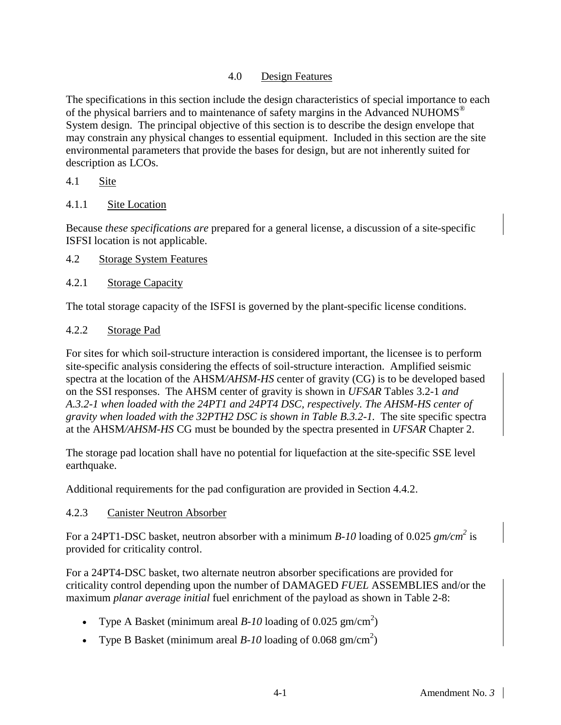### 4.0 Design Features

The specifications in this section include the design characteristics of special importance to each of the physical barriers and to maintenance of safety margins in the Advanced NUHOMS<sup>®</sup> System design. The principal objective of this section is to describe the design envelope that may constrain any physical changes to essential equipment. Included in this section are the site environmental parameters that provide the bases for design, but are not inherently suited for description as LCOs.

#### 4.1 Site

4.1.1 Site Location

Because *these specifications are* prepared for a general license, a discussion of a site-specific ISFSI location is not applicable.

4.2 Storage System Features

### 4.2.1 Storage Capacity

The total storage capacity of the ISFSI is governed by the plant-specific license conditions.

### 4.2.2 Storage Pad

For sites for which soil-structure interaction is considered important, the licensee is to perform site-specific analysis considering the effects of soil-structure interaction. Amplified seismic spectra at the location of the AHSM*/AHSM-HS* center of gravity (CG) is to be developed based on the SSI responses. The AHSM center of gravity is shown in *UFSAR* Table*s* 3.2-1 *and A.3.2-1 when loaded with the 24PT1 and 24PT4 DSC, respectively. The AHSM-HS center of gravity when loaded with the 32PTH2 DSC is shown in Table B.3.2-1.* The site specific spectra at the AHSM*/AHSM-HS* CG must be bounded by the spectra presented in *UFSAR* Chapter 2.

The storage pad location shall have no potential for liquefaction at the site-specific SSE level earthquake.

Additional requirements for the pad configuration are provided in Section 4.4.2.

### 4.2.3 Canister Neutron Absorber

For a 24PT1-DSC basket, neutron absorber with a minimum *B-10* loading of 0.025  $gm/cm^2$  is provided for criticality control.

For a 24PT4-DSC basket, two alternate neutron absorber specifications are provided for criticality control depending upon the number of DAMAGED *FUEL* ASSEMBLIES and/or the maximum *planar average initial* fuel enrichment of the payload as shown in Table 2-8:

- Type A Basket (minimum areal  $B$ -10 loading of 0.025 gm/cm<sup>2</sup>)
- Type B Basket (minimum areal  $B$ -10 loading of 0.068 gm/cm<sup>2</sup>)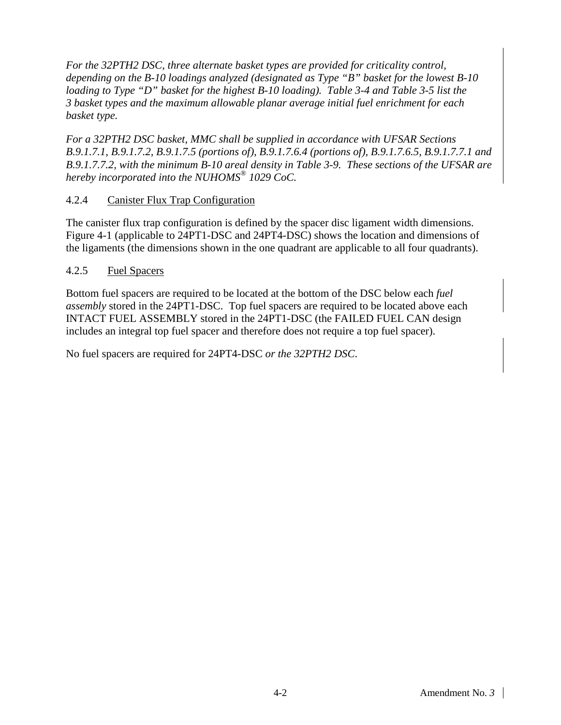*For the 32PTH2 DSC, three alternate basket types are provided for criticality control, depending on the B-10 loadings analyzed (designated as Type "B" basket for the lowest B-10 loading to Type "D" basket for the highest B-10 loading). Table 3-4 and Table 3-5 list the 3 basket types and the maximum allowable planar average initial fuel enrichment for each basket type.*

*For a 32PTH2 DSC basket, MMC shall be supplied in accordance with UFSAR Sections B.9.1.7.1, B.9.1.7.2, B.9.1.7.5 (portions of), B.9.1.7.6.4 (portions of), B.9.1.7.6.5, B.9.1.7.7.1 and B.9.1.7.7.2, with the minimum B-10 areal density in Table 3-9. These sections of the UFSAR are hereby incorporated into the NUHOMS® 1029 CoC.*

#### 4.2.4 Canister Flux Trap Configuration

The canister flux trap configuration is defined by the spacer disc ligament width dimensions. Figure 4-1 (applicable to 24PT1-DSC and 24PT4-DSC) shows the location and dimensions of the ligaments (the dimensions shown in the one quadrant are applicable to all four quadrants).

#### 4.2.5 Fuel Spacers

Bottom fuel spacers are required to be located at the bottom of the DSC below each *fuel assembly* stored in the 24PT1-DSC. Top fuel spacers are required to be located above each INTACT FUEL ASSEMBLY stored in the 24PT1-DSC (the FAILED FUEL CAN design includes an integral top fuel spacer and therefore does not require a top fuel spacer).

No fuel spacers are required for 24PT4-DSC *or the 32PTH2 DSC*.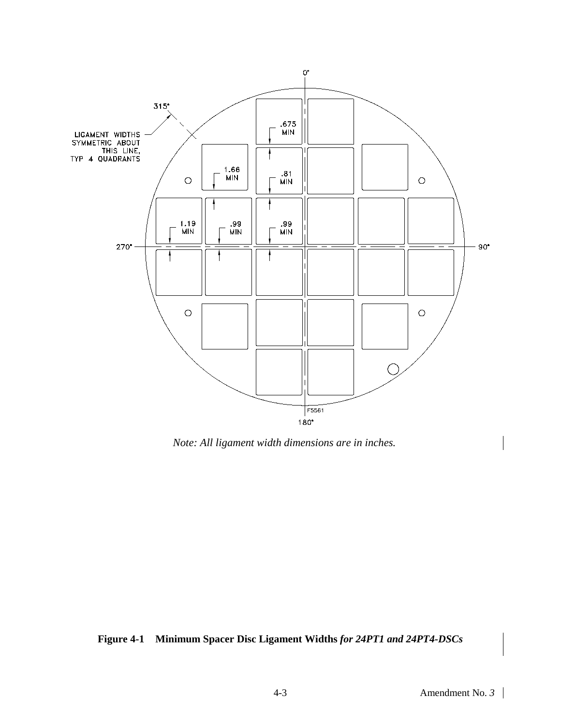

*Note: All ligament width dimensions are in inches.*

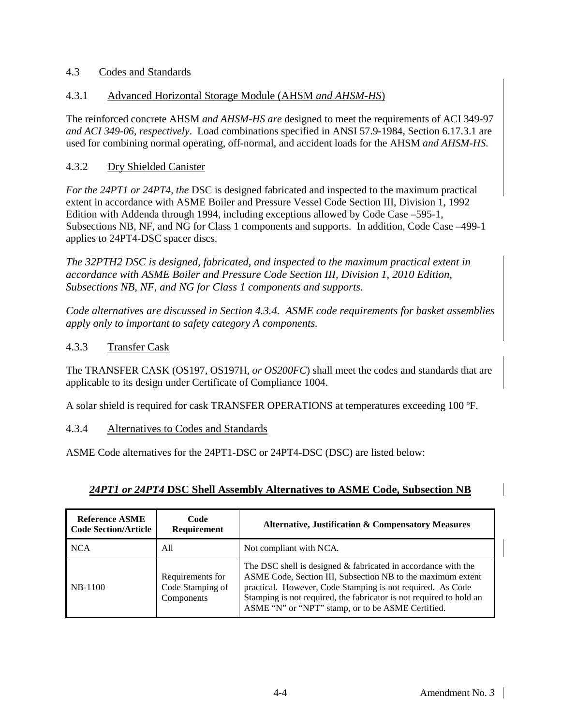#### 4.3 Codes and Standards

#### 4.3.1 Advanced Horizontal Storage Module (AHSM *and AHSM-HS*)

The reinforced concrete AHSM *and AHSM-HS are* designed to meet the requirements of ACI 349-97 *and ACI 349-06, respectively*. Load combinations specified in ANSI 57.9-1984, Section 6.17.3.1 are used for combining normal operating, off-normal, and accident loads for the AHSM *and AHSM-HS*.

#### 4.3.2 Dry Shielded Canister

*For the 24PT1 or 24PT4, the* DSC is designed fabricated and inspected to the maximum practical extent in accordance with ASME Boiler and Pressure Vessel Code Section III, Division 1, 1992 Edition with Addenda through 1994, including exceptions allowed by Code Case –595-1, Subsections NB, NF, and NG for Class 1 components and supports. In addition, Code Case –499-1 applies to 24PT4-DSC spacer discs.

*The 32PTH2 DSC is designed, fabricated, and inspected to the maximum practical extent in accordance with ASME Boiler and Pressure Code Section III, Division 1, 2010 Edition, Subsections NB, NF, and NG for Class 1 components and supports.*

*Code alternatives are discussed in Section 4.3.4. ASME code requirements for basket assemblies apply only to important to safety category A components.*

#### 4.3.3 Transfer Cask

The TRANSFER CASK (OS197*,* OS197H*, or OS200FC*) shall meet the codes and standards that are applicable to its design under Certificate of Compliance 1004.

A solar shield is required for cask TRANSFER OPERATIONS at temperatures exceeding 100 ºF.

#### 4.3.4 Alternatives to Codes and Standards

ASME Code alternatives for the 24PT1-DSC or 24PT4-DSC (DSC) are listed below:

### *24PT1 or 24PT4* **DSC Shell Assembly Alternatives to ASME Code, Subsection NB**

| Reference ASME<br>Code Section/Article | Code<br><b>Requirement</b>                         | Alternative, Justification & Compensatory Measures                                                                                                                                                                                                                                                                       |
|----------------------------------------|----------------------------------------------------|--------------------------------------------------------------------------------------------------------------------------------------------------------------------------------------------------------------------------------------------------------------------------------------------------------------------------|
| NCA                                    | All                                                | Not compliant with NCA.                                                                                                                                                                                                                                                                                                  |
| <b>NB-1100</b>                         | Requirements for<br>Code Stamping of<br>Components | The DSC shell is designed $&$ fabricated in accordance with the<br>ASME Code, Section III, Subsection NB to the maximum extent<br>practical. However, Code Stamping is not required. As Code<br>Stamping is not required, the fabricator is not required to hold an<br>ASME "N" or "NPT" stamp, or to be ASME Certified. |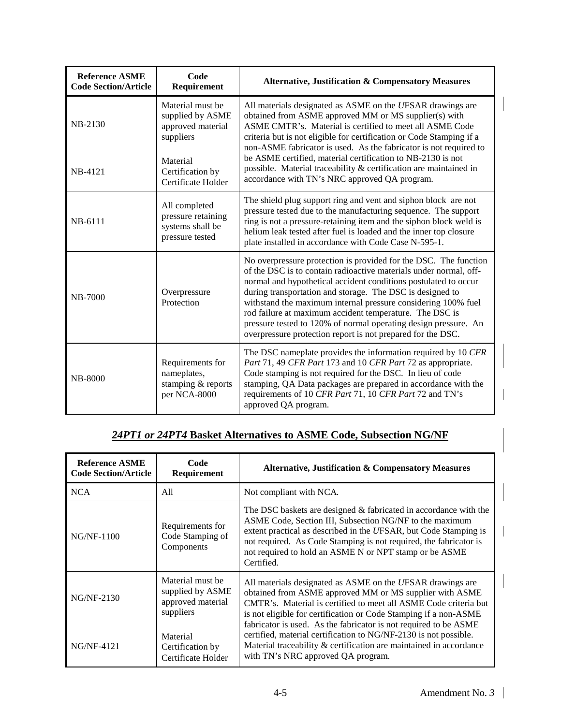| <b>Reference ASME</b><br><b>Code Section/Article</b> | Code<br>Requirement                                                                | <b>Alternative, Justification &amp; Compensatory Measures</b>                                                                                                                                                                                                                                                                                                                                                                                                                                                                       |  |
|------------------------------------------------------|------------------------------------------------------------------------------------|-------------------------------------------------------------------------------------------------------------------------------------------------------------------------------------------------------------------------------------------------------------------------------------------------------------------------------------------------------------------------------------------------------------------------------------------------------------------------------------------------------------------------------------|--|
| NB-2130                                              | Material must be<br>supplied by ASME<br>approved material<br>suppliers<br>Material | All materials designated as ASME on the UFSAR drawings are<br>obtained from ASME approved MM or MS supplier(s) with<br>ASME CMTR's. Material is certified to meet all ASME Code<br>criteria but is not eligible for certification or Code Stamping if a<br>non-ASME fabricator is used. As the fabricator is not required to<br>be ASME certified, material certification to NB-2130 is not                                                                                                                                         |  |
| NB-4121                                              | Certification by<br>Certificate Holder                                             | possible. Material traceability & certification are maintained in<br>accordance with TN's NRC approved QA program.                                                                                                                                                                                                                                                                                                                                                                                                                  |  |
| NB-6111                                              | All completed<br>pressure retaining<br>systems shall be<br>pressure tested         | The shield plug support ring and vent and siphon block are not<br>pressure tested due to the manufacturing sequence. The support<br>ring is not a pressure-retaining item and the siphon block weld is<br>helium leak tested after fuel is loaded and the inner top closure<br>plate installed in accordance with Code Case N-595-1.                                                                                                                                                                                                |  |
| NB-7000                                              | Overpressure<br>Protection                                                         | No overpressure protection is provided for the DSC. The function<br>of the DSC is to contain radioactive materials under normal, off-<br>normal and hypothetical accident conditions postulated to occur<br>during transportation and storage. The DSC is designed to<br>withstand the maximum internal pressure considering 100% fuel<br>rod failure at maximum accident temperature. The DSC is<br>pressure tested to 120% of normal operating design pressure. An<br>overpressure protection report is not prepared for the DSC. |  |
| <b>NB-8000</b>                                       | Requirements for<br>nameplates,<br>stamping & reports<br>per NCA-8000              | The DSC nameplate provides the information required by 10 CFR<br>Part 71, 49 CFR Part 173 and 10 CFR Part 72 as appropriate.<br>Code stamping is not required for the DSC. In lieu of code<br>stamping, QA Data packages are prepared in accordance with the<br>requirements of 10 CFR Part 71, 10 CFR Part 72 and TN's<br>approved QA program.                                                                                                                                                                                     |  |

# *24PT1 or 24PT4* **Basket Alternatives to ASME Code, Subsection NG/NF**

| <b>Reference ASME</b><br><b>Code Section/Article</b> | Code<br>Requirement                                                    | Alternative, Justification & Compensatory Measures                                                                                                                                                                                                                                                                                           |
|------------------------------------------------------|------------------------------------------------------------------------|----------------------------------------------------------------------------------------------------------------------------------------------------------------------------------------------------------------------------------------------------------------------------------------------------------------------------------------------|
| <b>NCA</b>                                           | A11                                                                    | Not compliant with NCA.                                                                                                                                                                                                                                                                                                                      |
| $NG/NF-1100$                                         | Requirements for<br>Code Stamping of<br>Components                     | The DSC baskets are designed & fabricated in accordance with the<br>ASME Code, Section III, Subsection NG/NF to the maximum<br>extent practical as described in the UFSAR, but Code Stamping is<br>not required. As Code Stamping is not required, the fabricator is<br>not required to hold an ASME N or NPT stamp or be ASME<br>Certified. |
| $NG/NF-2130$                                         | Material must be<br>supplied by ASME<br>approved material<br>suppliers | All materials designated as ASME on the UFSAR drawings are<br>obtained from ASME approved MM or MS supplier with ASME<br>CMTR's. Material is certified to meet all ASME Code criteria but<br>is not eligible for certification or Code Stamping if a non-ASME<br>fabricator is used. As the fabricator is not required to be ASME            |
| $NG/NF-4121$                                         | Material<br>Certification by<br>Certificate Holder                     | certified, material certification to NG/NF-2130 is not possible.<br>Material traceability & certification are maintained in accordance<br>with TN's NRC approved QA program.                                                                                                                                                                 |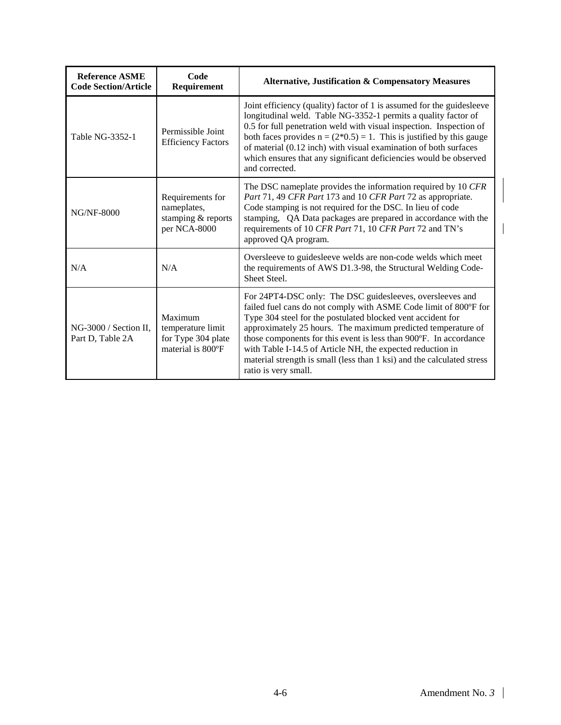| <b>Reference ASME</b><br><b>Code Section/Article</b> | Code<br>Requirement                                                                                                                                   | <b>Alternative, Justification &amp; Compensatory Measures</b>                                                                                                                                                                                                                                                                                                                                                                                                                                     |
|------------------------------------------------------|-------------------------------------------------------------------------------------------------------------------------------------------------------|---------------------------------------------------------------------------------------------------------------------------------------------------------------------------------------------------------------------------------------------------------------------------------------------------------------------------------------------------------------------------------------------------------------------------------------------------------------------------------------------------|
| Table NG-3352-1                                      | Permissible Joint<br><b>Efficiency Factors</b>                                                                                                        | Joint efficiency (quality) factor of 1 is assumed for the guidesleeve<br>longitudinal weld. Table NG-3352-1 permits a quality factor of<br>0.5 for full penetration weld with visual inspection. Inspection of<br>both faces provides $n = (2*0.5) = 1$ . This is justified by this gauge<br>of material (0.12 inch) with visual examination of both surfaces<br>which ensures that any significant deficiencies would be observed<br>and corrected.                                              |
| <b>NG/NF-8000</b>                                    | Requirements for<br>nameplates,<br>stamping & reports<br>per NCA-8000                                                                                 | The DSC nameplate provides the information required by 10 CFR<br>Part 71, 49 CFR Part 173 and 10 CFR Part 72 as appropriate.<br>Code stamping is not required for the DSC. In lieu of code<br>stamping, QA Data packages are prepared in accordance with the<br>requirements of 10 CFR Part 71, 10 CFR Part 72 and TN's<br>approved QA program.                                                                                                                                                   |
| N/A                                                  | Oversleeve to guidesleeve welds are non-code welds which meet<br>N/A<br>the requirements of AWS D1.3-98, the Structural Welding Code-<br>Sheet Steel. |                                                                                                                                                                                                                                                                                                                                                                                                                                                                                                   |
| NG-3000 / Section II,<br>Part D, Table 2A            | Maximum<br>temperature limit<br>for Type 304 plate<br>material is 800°F                                                                               | For 24PT4-DSC only: The DSC guidesleeves, oversleeves and<br>failed fuel cans do not comply with ASME Code limit of 800°F for<br>Type 304 steel for the postulated blocked vent accident for<br>approximately 25 hours. The maximum predicted temperature of<br>those components for this event is less than 900°F. In accordance<br>with Table I-14.5 of Article NH, the expected reduction in<br>material strength is small (less than 1 ksi) and the calculated stress<br>ratio is very small. |

 $\mathbf{l}$ 

 $\overline{\phantom{a}}$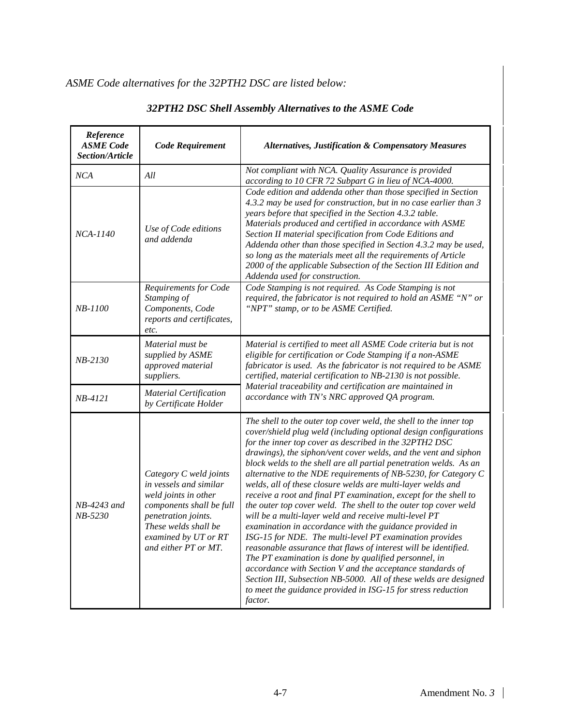| Reference<br><b>ASME</b> Code<br>Section/Article | Code Requirement                                                                                                                                                                                    | <b>Alternatives, Justification &amp; Compensatory Measures</b>                                                                                                                                                                                                                                                                                                                                                                                                                                                                                                                                                                                                                                                                                                                                                                                                                                                                                                                                                                                                                                                                         |  |
|--------------------------------------------------|-----------------------------------------------------------------------------------------------------------------------------------------------------------------------------------------------------|----------------------------------------------------------------------------------------------------------------------------------------------------------------------------------------------------------------------------------------------------------------------------------------------------------------------------------------------------------------------------------------------------------------------------------------------------------------------------------------------------------------------------------------------------------------------------------------------------------------------------------------------------------------------------------------------------------------------------------------------------------------------------------------------------------------------------------------------------------------------------------------------------------------------------------------------------------------------------------------------------------------------------------------------------------------------------------------------------------------------------------------|--|
| NCA                                              | All                                                                                                                                                                                                 | Not compliant with NCA. Quality Assurance is provided<br>according to 10 CFR 72 Subpart G in lieu of NCA-4000.                                                                                                                                                                                                                                                                                                                                                                                                                                                                                                                                                                                                                                                                                                                                                                                                                                                                                                                                                                                                                         |  |
| NCA-1140                                         | Use of Code editions<br>and addenda                                                                                                                                                                 | Code edition and addenda other than those specified in Section<br>4.3.2 may be used for construction, but in no case earlier than 3<br>years before that specified in the Section 4.3.2 table.<br>Materials produced and certified in accordance with ASME<br>Section II material specification from Code Editions and<br>Addenda other than those specified in Section 4.3.2 may be used,<br>so long as the materials meet all the requirements of Article<br>2000 of the applicable Subsection of the Section III Edition and<br>Addenda used for construction.                                                                                                                                                                                                                                                                                                                                                                                                                                                                                                                                                                      |  |
| NB-1100                                          | Requirements for Code<br>Stamping of<br>Components, Code<br>reports and certificates,<br>etc.                                                                                                       | Code Stamping is not required. As Code Stamping is not<br>required, the fabricator is not required to hold an ASME "N" or<br>"NPT" stamp, or to be ASME Certified.                                                                                                                                                                                                                                                                                                                                                                                                                                                                                                                                                                                                                                                                                                                                                                                                                                                                                                                                                                     |  |
| NB-2130                                          | Material must be<br>supplied by ASME<br>approved material<br>suppliers.                                                                                                                             | Material is certified to meet all ASME Code criteria but is not<br>eligible for certification or Code Stamping if a non-ASME<br>fabricator is used. As the fabricator is not required to be ASME<br>certified, material certification to NB-2130 is not possible.                                                                                                                                                                                                                                                                                                                                                                                                                                                                                                                                                                                                                                                                                                                                                                                                                                                                      |  |
| NB-4121                                          | <b>Material Certification</b><br>by Certificate Holder                                                                                                                                              | Material traceability and certification are maintained in<br>accordance with TN's NRC approved QA program.                                                                                                                                                                                                                                                                                                                                                                                                                                                                                                                                                                                                                                                                                                                                                                                                                                                                                                                                                                                                                             |  |
| NB-4243 and<br>NB-5230                           | Category C weld joints<br>in vessels and similar<br>weld joints in other<br>components shall be full<br>penetration joints.<br>These welds shall be<br>examined by UT or RT<br>and either PT or MT. | The shell to the outer top cover weld, the shell to the inner top<br>cover/shield plug weld (including optional design configurations<br>for the inner top cover as described in the 32PTH2 DSC<br>drawings), the siphon/vent cover welds, and the vent and siphon<br>block welds to the shell are all partial penetration welds. As an<br>alternative to the NDE requirements of NB-5230, for Category C<br>welds, all of these closure welds are multi-layer welds and<br>receive a root and final PT examination, except for the shell to<br>the outer top cover weld. The shell to the outer top cover weld<br>will be a multi-layer weld and receive multi-level PT<br>examination in accordance with the guidance provided in<br>ISG-15 for NDE. The multi-level PT examination provides<br>reasonable assurance that flaws of interest will be identified.<br>The PT examination is done by qualified personnel, in<br>accordance with Section V and the acceptance standards of<br>Section III, Subsection NB-5000. All of these welds are designed<br>to meet the guidance provided in ISG-15 for stress reduction<br>factor. |  |

## *32PTH2 DSC Shell Assembly Alternatives to the ASME Code*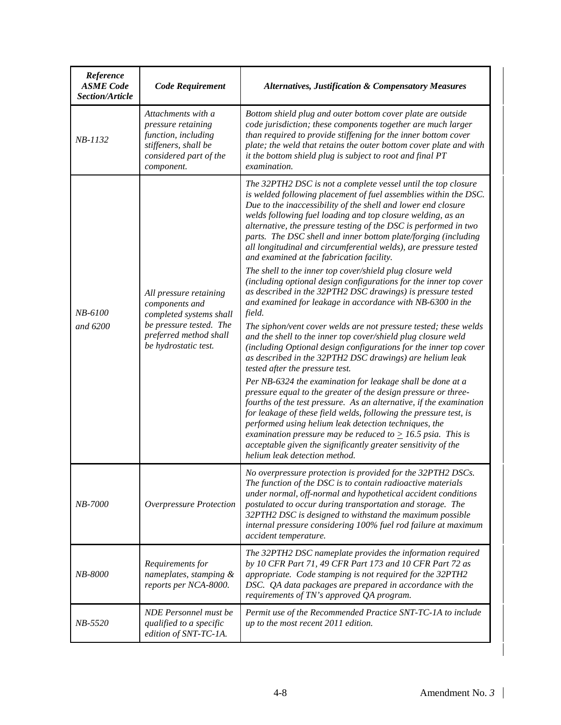| Reference<br><b>ASME</b> Code<br>Section/Article | <b>Code Requirement</b>                                                                                                                          | <b>Alternatives, Justification &amp; Compensatory Measures</b>                                                                                                                                                                                                                                                                                                                                                                                                                                                           |
|--------------------------------------------------|--------------------------------------------------------------------------------------------------------------------------------------------------|--------------------------------------------------------------------------------------------------------------------------------------------------------------------------------------------------------------------------------------------------------------------------------------------------------------------------------------------------------------------------------------------------------------------------------------------------------------------------------------------------------------------------|
| $NB-1132$                                        | Attachments with a<br>pressure retaining<br>function, including<br>stiffeners, shall be<br>considered part of the<br>component.                  | Bottom shield plug and outer bottom cover plate are outside<br>code jurisdiction; these components together are much larger<br>than required to provide stiffening for the inner bottom cover<br>plate; the weld that retains the outer bottom cover plate and with<br>it the bottom shield plug is subject to root and final PT<br>examination.                                                                                                                                                                         |
| NB-6100<br>and 6200                              | All pressure retaining<br>components and<br>completed systems shall<br>be pressure tested. The<br>preferred method shall<br>be hydrostatic test. | The 32PTH2 DSC is not a complete vessel until the top closure<br>is welded following placement of fuel assemblies within the DSC.<br>Due to the inaccessibility of the shell and lower end closure<br>welds following fuel loading and top closure welding, as an<br>alternative, the pressure testing of the DSC is performed in two<br>parts. The DSC shell and inner bottom plate/forging (including<br>all longitudinal and circumferential welds), are pressure tested<br>and examined at the fabrication facility. |
|                                                  |                                                                                                                                                  | The shell to the inner top cover/shield plug closure weld<br>(including optional design configurations for the inner top cover<br>as described in the 32PTH2 DSC drawings) is pressure tested<br>and examined for leakage in accordance with NB-6300 in the<br>field.                                                                                                                                                                                                                                                    |
|                                                  |                                                                                                                                                  | The siphon/vent cover welds are not pressure tested; these welds<br>and the shell to the inner top cover/shield plug closure weld<br>(including Optional design configurations for the inner top cover<br>as described in the 32PTH2 DSC drawings) are helium leak<br>tested after the pressure test.                                                                                                                                                                                                                    |
|                                                  |                                                                                                                                                  | Per NB-6324 the examination for leakage shall be done at a<br>pressure equal to the greater of the design pressure or three-<br>fourths of the test pressure. As an alternative, if the examination<br>for leakage of these field welds, following the pressure test, is<br>performed using helium leak detection techniques, the<br>examination pressure may be reduced to $\geq$ 16.5 psia. This is<br>acceptable given the significantly greater sensitivity of the<br>helium leak detection method.                  |
| NB-7000                                          | <b>Overpressure Protection</b>                                                                                                                   | No overpressure protection is provided for the 32PTH2 DSCs.<br>The function of the DSC is to contain radioactive materials<br>under normal, off-normal and hypothetical accident conditions<br>postulated to occur during transportation and storage. The<br>32PTH2 DSC is designed to withstand the maximum possible<br>internal pressure considering 100% fuel rod failure at maximum<br>accident temperature.                                                                                                         |
| NB-8000                                          | Requirements for<br>nameplates, stamping &<br>reports per NCA-8000.                                                                              | The 32PTH2 DSC nameplate provides the information required<br>by 10 CFR Part 71, 49 CFR Part 173 and 10 CFR Part 72 as<br>appropriate. Code stamping is not required for the 32PTH2<br>DSC. QA data packages are prepared in accordance with the<br>requirements of TN's approved QA program.                                                                                                                                                                                                                            |
| NB-5520                                          | <b>NDE</b> Personnel must be<br>qualified to a specific<br>edition of SNT-TC-1A.                                                                 | Permit use of the Recommended Practice SNT-TC-1A to include<br>up to the most recent 2011 edition.                                                                                                                                                                                                                                                                                                                                                                                                                       |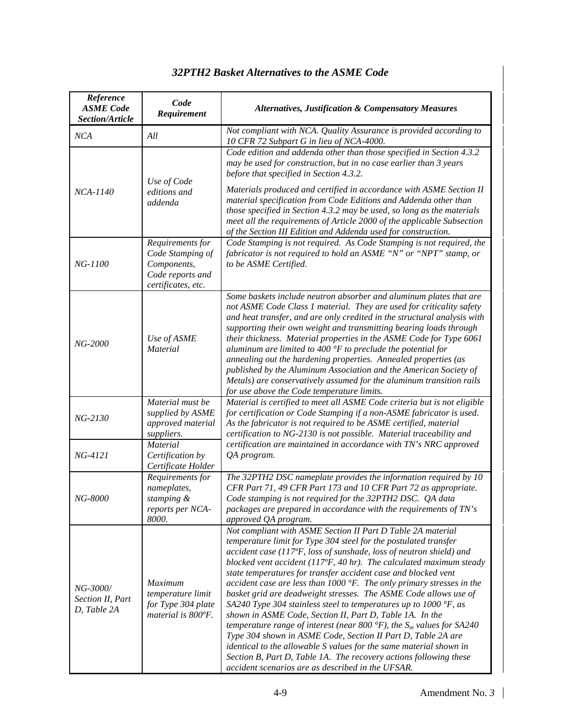| Reference<br><b>ASME</b> Code<br>Section/Article | Code<br>Requirement                                                                                                  | <b>Alternatives, Justification &amp; Compensatory Measures</b>                                                                                                                                                                                                                                                                                                                                                                                                                                                                                                                                                                                                                                                                                                                                                                                                                                                                                                                                                 |  |
|--------------------------------------------------|----------------------------------------------------------------------------------------------------------------------|----------------------------------------------------------------------------------------------------------------------------------------------------------------------------------------------------------------------------------------------------------------------------------------------------------------------------------------------------------------------------------------------------------------------------------------------------------------------------------------------------------------------------------------------------------------------------------------------------------------------------------------------------------------------------------------------------------------------------------------------------------------------------------------------------------------------------------------------------------------------------------------------------------------------------------------------------------------------------------------------------------------|--|
| NCA                                              | All                                                                                                                  | Not compliant with NCA. Quality Assurance is provided according to<br>10 CFR 72 Subpart G in lieu of NCA-4000.                                                                                                                                                                                                                                                                                                                                                                                                                                                                                                                                                                                                                                                                                                                                                                                                                                                                                                 |  |
| NCA-1140                                         | Use of Code<br>editions and<br>addenda                                                                               | Code edition and addenda other than those specified in Section 4.3.2<br>may be used for construction, but in no case earlier than 3 years<br>before that specified in Section 4.3.2.<br>Materials produced and certified in accordance with ASME Section II<br>material specification from Code Editions and Addenda other than<br>those specified in Section 4.3.2 may be used, so long as the materials<br>meet all the requirements of Article 2000 of the applicable Subsection<br>of the Section III Edition and Addenda used for construction.                                                                                                                                                                                                                                                                                                                                                                                                                                                           |  |
| NG-1100                                          | Requirements for<br>Code Stamping of<br>Components,<br>Code reports and<br>certificates, etc.                        | Code Stamping is not required. As Code Stamping is not required, the<br>fabricator is not required to hold an ASME "N" or "NPT" stamp, or<br>to be ASME Certified.                                                                                                                                                                                                                                                                                                                                                                                                                                                                                                                                                                                                                                                                                                                                                                                                                                             |  |
| NG-2000                                          | Use of ASME<br>Material                                                                                              | Some baskets include neutron absorber and aluminum plates that are<br>not ASME Code Class 1 material. They are used for criticality safety<br>and heat transfer, and are only credited in the structural analysis with<br>supporting their own weight and transmitting bearing loads through<br>their thickness. Material properties in the ASME Code for Type 6061<br>aluminum are limited to 400 $\degree$ F to preclude the potential for<br>annealing out the hardening properties. Annealed properties (as<br>published by the Aluminum Association and the American Society of<br>Metals) are conservatively assumed for the aluminum transition rails<br>for use above the Code temperature limits.                                                                                                                                                                                                                                                                                                     |  |
| NG-2130                                          | Material must be<br>supplied by ASME<br>approved material<br>suppliers.<br><b>Material</b>                           | Material is certified to meet all ASME Code criteria but is not eligible<br>for certification or Code Stamping if a non-ASME fabricator is used.<br>As the fabricator is not required to be ASME certified, material<br>certification to NG-2130 is not possible. Material traceability and<br>certification are maintained in accordance with TN's NRC approved                                                                                                                                                                                                                                                                                                                                                                                                                                                                                                                                                                                                                                               |  |
| NG-4121<br>NG-8000                               | Certification by<br>Certificate Holder<br>Requirements for<br>nameplates,<br>stamping &<br>reports per NCA-<br>8000. | QA program.<br>The 32PTH2 DSC nameplate provides the information required by 10<br>CFR Part 71, 49 CFR Part 173 and 10 CFR Part 72 as appropriate.<br>Code stamping is not required for the 32PTH2 DSC. QA data<br>packages are prepared in accordance with the requirements of TN's<br>approved QA program.                                                                                                                                                                                                                                                                                                                                                                                                                                                                                                                                                                                                                                                                                                   |  |
| NG-3000/<br>Section II, Part<br>D, Table 2A      | <b>Maximum</b><br>temperature limit<br>for Type 304 plate<br>material is 800°F.                                      | Not compliant with ASME Section II Part D Table 2A material<br>temperature limit for Type 304 steel for the postulated transfer<br>accident case (117°F, loss of sunshade, loss of neutron shield) and<br>blocked vent accident ( $117^\circ$ F, 40 hr). The calculated maximum steady<br>state temperatures for transfer accident case and blocked vent<br>accident case are less than $1000$ °F. The only primary stresses in the<br>basket grid are deadweight stresses. The ASME Code allows use of<br>SA240 Type 304 stainless steel to temperatures up to 1000 $\degree$ F, as<br>shown in ASME Code, Section II, Part D, Table 1A. In the<br>temperature range of interest (near 800 $^{\circ}F$ ), the S <sub>m</sub> values for SA240<br>Type 304 shown in ASME Code, Section II Part D, Table 2A are<br>identical to the allowable S values for the same material shown in<br>Section B, Part D, Table 1A. The recovery actions following these<br>accident scenarios are as described in the UFSAR. |  |

## *32PTH2 Basket Alternatives to the ASME Code*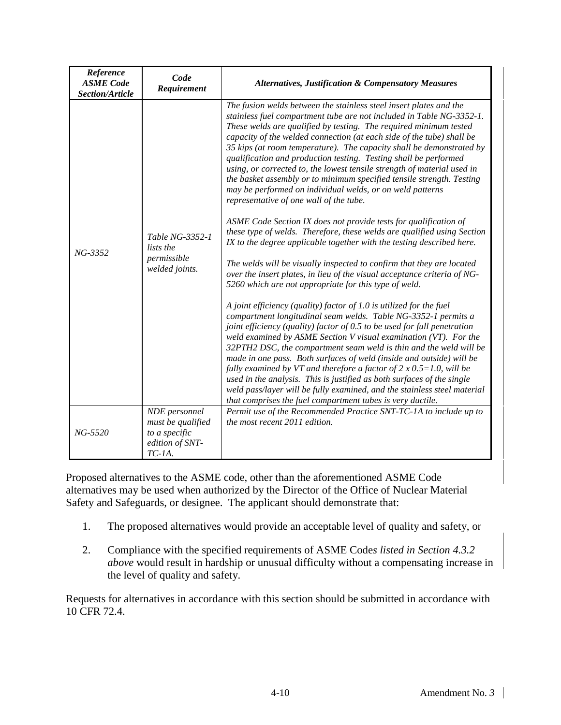| Reference<br><b>ASME</b> Code<br>Section/Article | Code<br>Requirement                                                                 | <b>Alternatives, Justification &amp; Compensatory Measures</b>                                                                                                                                                                                                                                                                                                                                                                                                                                                                                                                                                                                                                                                                                                                                                                                                                                                                                                                                                                                                                                                                                                                                                                                                                                                                                                                                                                                                                                                                                                                                                                                                                                                                           |
|--------------------------------------------------|-------------------------------------------------------------------------------------|------------------------------------------------------------------------------------------------------------------------------------------------------------------------------------------------------------------------------------------------------------------------------------------------------------------------------------------------------------------------------------------------------------------------------------------------------------------------------------------------------------------------------------------------------------------------------------------------------------------------------------------------------------------------------------------------------------------------------------------------------------------------------------------------------------------------------------------------------------------------------------------------------------------------------------------------------------------------------------------------------------------------------------------------------------------------------------------------------------------------------------------------------------------------------------------------------------------------------------------------------------------------------------------------------------------------------------------------------------------------------------------------------------------------------------------------------------------------------------------------------------------------------------------------------------------------------------------------------------------------------------------------------------------------------------------------------------------------------------------|
| $NG - 3352$                                      | Table NG-3352-1<br>lists the<br>permissible<br>welded joints.                       | The fusion welds between the stainless steel insert plates and the<br>stainless fuel compartment tube are not included in Table NG-3352-1.<br>These welds are qualified by testing. The required minimum tested<br>capacity of the welded connection (at each side of the tube) shall be<br>35 kips (at room temperature). The capacity shall be demonstrated by<br>qualification and production testing. Testing shall be performed<br>using, or corrected to, the lowest tensile strength of material used in<br>the basket assembly or to minimum specified tensile strength. Testing<br>may be performed on individual welds, or on weld patterns<br>representative of one wall of the tube.<br>ASME Code Section IX does not provide tests for qualification of<br>these type of welds. Therefore, these welds are qualified using Section<br>IX to the degree applicable together with the testing described here.<br>The welds will be visually inspected to confirm that they are located<br>over the insert plates, in lieu of the visual acceptance criteria of NG-<br>5260 which are not appropriate for this type of weld.<br>A joint efficiency (quality) factor of 1.0 is utilized for the fuel<br>compartment longitudinal seam welds. Table NG-3352-1 permits a<br>joint efficiency (quality) factor of 0.5 to be used for full penetration<br>weld examined by ASME Section V visual examination (VT). For the<br>32PTH2 DSC, the compartment seam weld is thin and the weld will be<br>made in one pass. Both surfaces of weld (inside and outside) will be<br>fully examined by VT and therefore a factor of $2 \times 0.5 = 1.0$ , will be<br>used in the analysis. This is justified as both surfaces of the single |
|                                                  |                                                                                     | weld pass/layer will be fully examined, and the stainless steel material<br>that comprises the fuel compartment tubes is very ductile.                                                                                                                                                                                                                                                                                                                                                                                                                                                                                                                                                                                                                                                                                                                                                                                                                                                                                                                                                                                                                                                                                                                                                                                                                                                                                                                                                                                                                                                                                                                                                                                                   |
| $NG - 5520$                                      | NDE personnel<br>must be qualified<br>to a specific<br>edition of SNT-<br>$TC-IA$ . | Permit use of the Recommended Practice SNT-TC-1A to include up to<br>the most recent 2011 edition.                                                                                                                                                                                                                                                                                                                                                                                                                                                                                                                                                                                                                                                                                                                                                                                                                                                                                                                                                                                                                                                                                                                                                                                                                                                                                                                                                                                                                                                                                                                                                                                                                                       |

Proposed alternatives to the ASME code, other than the aforementioned ASME Code alternatives may be used when authorized by the Director of the Office of Nuclear Material Safety and Safeguards, or designee. The applicant should demonstrate that:

- 1. The proposed alternatives would provide an acceptable level of quality and safety, or
- 2. Compliance with the specified requirements of ASME Code*s listed in Section 4.3.2 above* would result in hardship or unusual difficulty without a compensating increase in the level of quality and safety.

Requests for alternatives in accordance with this section should be submitted in accordance with 10 CFR 72.4.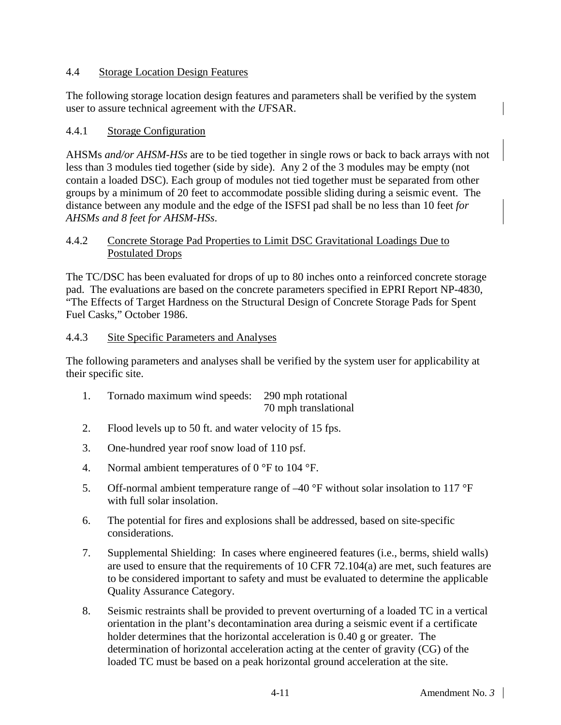#### 4.4 Storage Location Design Features

The following storage location design features and parameters shall be verified by the system user to assure technical agreement with th*e U*FSAR.

## 4.4.1 Storage Configuration

AHSMs *and/or AHSM-HSs* are to be tied together in single rows or back to back arrays with not less than 3 modules tied together (side by side). Any 2 of the 3 modules may be empty (not contain a loaded DSC). Each group of modules not tied together must be separated from other groups by a minimum of 20 feet to accommodate possible sliding during a seismic event. The distance between any module and the edge of the ISFSI pad shall be no less than 10 feet *for AHSMs and 8 feet for AHSM-HSs*.

#### 4.4.2 Concrete Storage Pad Properties to Limit DSC Gravitational Loadings Due to Postulated Drops

The TC/DSC has been evaluated for drops of up to 80 inches onto a reinforced concrete storage pad. The evaluations are based on the concrete parameters specified in EPRI Report NP-4830, "The Effects of Target Hardness on the Structural Design of Concrete Storage Pads for Spent Fuel Casks," October 1986.

## 4.4.3 Site Specific Parameters and Analyses

The following parameters and analyses shall be verified by the system user for applicability at their specific site.

| Tornado maximum wind speeds: 290 mph rotational |                      |
|-------------------------------------------------|----------------------|
|                                                 | 70 mph translational |

- 2. Flood levels up to 50 ft. and water velocity of 15 fps.
- 3. One-hundred year roof snow load of 110 psf.
- 4. Normal ambient temperatures of  $0^{\circ}$ F to  $104^{\circ}$ F.
- 5. Off-normal ambient temperature range of  $-40$  °F without solar insolation to 117 °F with full solar insolation.
- 6. The potential for fires and explosions shall be addressed, based on site-specific considerations.
- 7. Supplemental Shielding: In cases where engineered features (i.e., berms, shield walls) are used to ensure that the requirements of 10 CFR 72.104(a) are met, such features are to be considered important to safety and must be evaluated to determine the applicable Quality Assurance Category.
- 8. Seismic restraints shall be provided to prevent overturning of a loaded TC in a vertical orientation in the plant's decontamination area during a seismic event if a certificate holder determines that the horizontal acceleration is 0.40 g or greater. The determination of horizontal acceleration acting at the center of gravity (CG) of the loaded TC must be based on a peak horizontal ground acceleration at the site.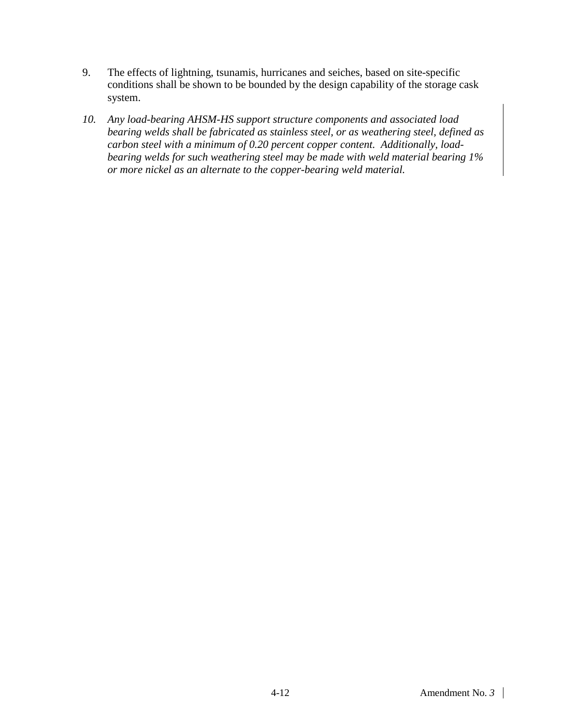- 9. The effects of lightning, tsunamis, hurricanes and seiches, based on site-specific conditions shall be shown to be bounded by the design capability of the storage cask system.
- *10. Any load-bearing AHSM-HS support structure components and associated load bearing welds shall be fabricated as stainless steel, or as weathering steel, defined as carbon steel with a minimum of 0.20 percent copper content. Additionally, loadbearing welds for such weathering steel may be made with weld material bearing 1% or more nickel as an alternate to the copper-bearing weld material.*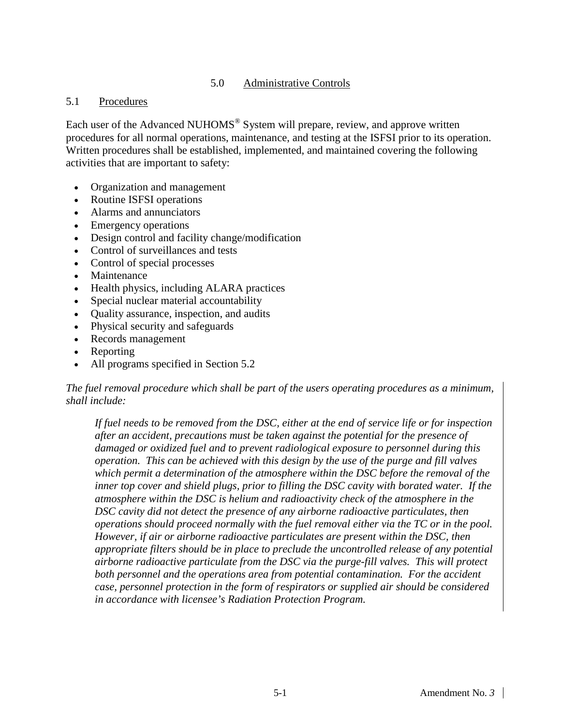## 5.0 Administrative Controls

#### 5.1 Procedures

Each user of the Advanced NUHOMS<sup>®</sup> System will prepare, review, and approve written procedures for all normal operations, maintenance, and testing at the ISFSI prior to its operation. Written procedures shall be established, implemented, and maintained covering the following activities that are important to safety:

- Organization and management
- Routine ISFSI operations
- Alarms and annunciators
- Emergency operations
- Design control and facility change/modification
- Control of surveillances and tests
- Control of special processes
- Maintenance
- Health physics, including ALARA practices
- Special nuclear material accountability
- Quality assurance, inspection, and audits
- Physical security and safeguards
- Records management
- Reporting
- All programs specified in Section 5.2

## *The fuel removal procedure which shall be part of the users operating procedures as a minimum, shall include:*

*If fuel needs to be removed from the DSC, either at the end of service life or for inspection after an accident, precautions must be taken against the potential for the presence of damaged or oxidized fuel and to prevent radiological exposure to personnel during this operation. This can be achieved with this design by the use of the purge and fill valves which permit a determination of the atmosphere within the DSC before the removal of the inner top cover and shield plugs, prior to filling the DSC cavity with borated water. If the atmosphere within the DSC is helium and radioactivity check of the atmosphere in the DSC cavity did not detect the presence of any airborne radioactive particulates, then operations should proceed normally with the fuel removal either via the TC or in the pool. However, if air or airborne radioactive particulates are present within the DSC, then appropriate filters should be in place to preclude the uncontrolled release of any potential airborne radioactive particulate from the DSC via the purge-fill valves. This will protect both personnel and the operations area from potential contamination. For the accident case, personnel protection in the form of respirators or supplied air should be considered in accordance with licensee's Radiation Protection Program.*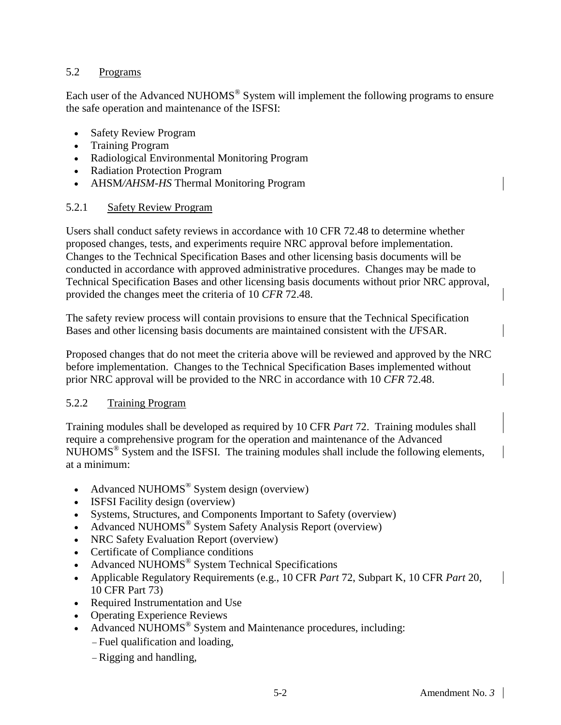#### 5.2 Programs

Each user of the Advanced NUHOMS® System will implement the following programs to ensure the safe operation and maintenance of the ISFSI:

- **Safety Review Program**
- Training Program
- Radiological Environmental Monitoring Program
- Radiation Protection Program
- AHSM*/AHSM-HS* Thermal Monitoring Program

#### 5.2.1 Safety Review Program

Users shall conduct safety reviews in accordance with 10 CFR 72.48 to determine whether proposed changes, tests, and experiments require NRC approval before implementation. Changes to the Technical Specification Bases and other licensing basis documents will be conducted in accordance with approved administrative procedures. Changes may be made to Technical Specification Bases and other licensing basis documents without prior NRC approval, provided the changes meet the criteria of 10 *CFR* 72.48.

The safety review process will contain provisions to ensure that the Technical Specification Bases and other licensing basis documents are maintained consistent with the *U*FSAR.

Proposed changes that do not meet the criteria above will be reviewed and approved by the NRC before implementation. Changes to the Technical Specification Bases implemented without prior NRC approval will be provided to the NRC in accordance with 10 *CFR* 72.48.

#### 5.2.2 Training Program

Training modules shall be developed as required by 10 CFR *Part* 72. Training modules shall require a comprehensive program for the operation and maintenance of the Advanced NUHOMS® System and the ISFSI. The training modules shall include the following elements, at a minimum:

- Advanced NUHOMS<sup>®</sup> System design (overview)
- **ISFSI Facility design (overview)**
- Systems, Structures, and Components Important to Safety (overview)
- Advanced NUHOMS<sup>®</sup> System Safety Analysis Report (overview)
- NRC Safety Evaluation Report (overview)
- Certificate of Compliance conditions
- Advanced NUHOMS<sup>®</sup> System Technical Specifications
- Applicable Regulatory Requirements (e.g., 10 CFR *Part* 72, Subpart K, 10 CFR *Part* 20, 10 CFR Part 73)
- Required Instrumentation and Use
- Operating Experience Reviews
- Advanced NUHOMS<sup>®</sup> System and Maintenance procedures, including:
	- − Fuel qualification and loading,
	- − Rigging and handling,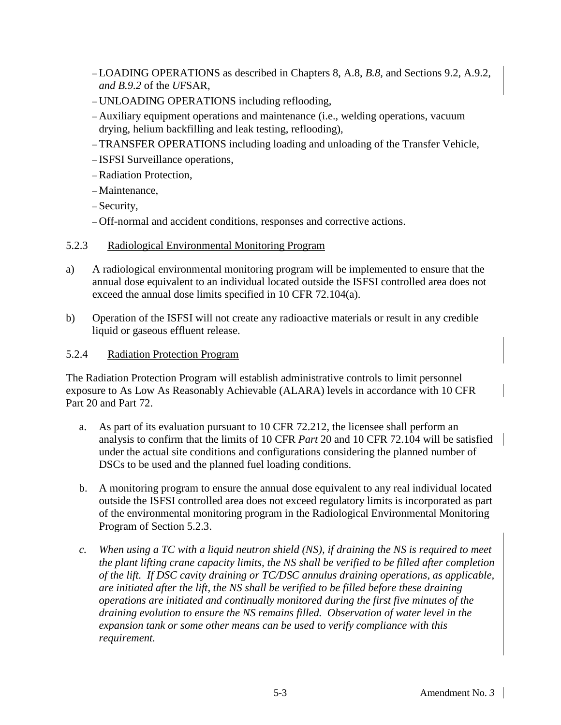- − LOADING OPERATIONS as described in Chapters 8, A.8, *B.8,* and Sections 9.2*,* A.9.2*, and B.9.2* of the *U*FSAR,
- − UNLOADING OPERATIONS including reflooding,
- − Auxiliary equipment operations and maintenance (i.e., welding operations, vacuum drying, helium backfilling and leak testing, reflooding),
- − TRANSFER OPERATIONS including loading and unloading of the Transfer Vehicle,
- − ISFSI Surveillance operations,
- − Radiation Protection,
- − Maintenance,
- − Security,
- − Off-normal and accident conditions, responses and corrective actions.

#### 5.2.3 Radiological Environmental Monitoring Program

- a) A radiological environmental monitoring program will be implemented to ensure that the annual dose equivalent to an individual located outside the ISFSI controlled area does not exceed the annual dose limits specified in 10 CFR 72.104(a).
- b) Operation of the ISFSI will not create any radioactive materials or result in any credible liquid or gaseous effluent release.

#### 5.2.4 Radiation Protection Program

The Radiation Protection Program will establish administrative controls to limit personnel exposure to As Low As Reasonably Achievable (ALARA) levels in accordance with 10 CFR Part 20 and Part 72.

- a. As part of its evaluation pursuant to 10 CFR 72.212, the licensee shall perform an analysis to confirm that the limits of 10 CFR *Part* 20 and 10 CFR 72.104 will be satisfied under the actual site conditions and configurations considering the planned number of DSCs to be used and the planned fuel loading conditions.
- b. A monitoring program to ensure the annual dose equivalent to any real individual located outside the ISFSI controlled area does not exceed regulatory limits is incorporated as part of the environmental monitoring program in the Radiological Environmental Monitoring Program of Section 5.2.3.
- *c. When using a TC with a liquid neutron shield (NS), if draining the NS is required to meet the plant lifting crane capacity limits, the NS shall be verified to be filled after completion of the lift. If DSC cavity draining or TC/DSC annulus draining operations, as applicable, are initiated after the lift, the NS shall be verified to be filled before these draining operations are initiated and continually monitored during the first five minutes of the draining evolution to ensure the NS remains filled. Observation of water level in the expansion tank or some other means can be used to verify compliance with this requirement.*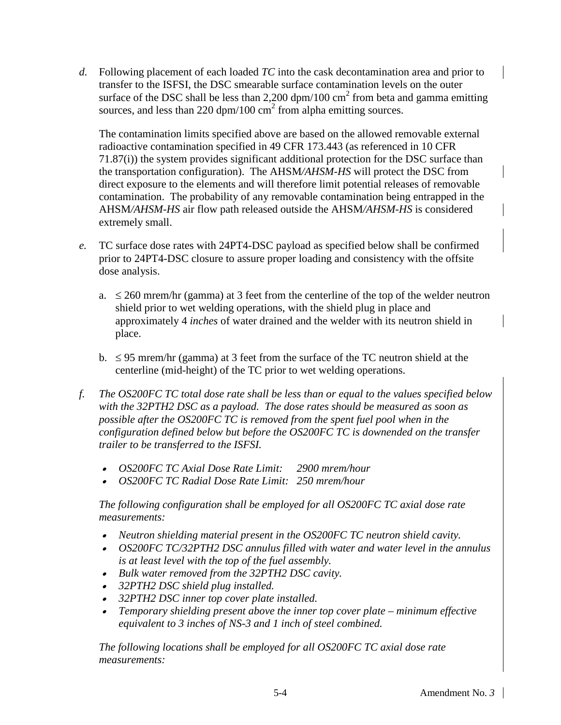*d.* Following placement of each loaded *TC* into the cask decontamination area and prior to transfer to the ISFSI, the DSC smearable surface contamination levels on the outer surface of the DSC shall be less than 2,200 dpm/100 cm<sup>2</sup> from beta and gamma emitting sources, and less than 220 dpm/100  $\text{cm}^2$  from alpha emitting sources.

The contamination limits specified above are based on the allowed removable external radioactive contamination specified in 49 CFR 173.443 (as referenced in 10 CFR 71.87(i)) the system provides significant additional protection for the DSC surface than the transportation configuration). The AHSM*/AHSM-HS* will protect the DSC from direct exposure to the elements and will therefore limit potential releases of removable contamination. The probability of any removable contamination being entrapped in the AHSM*/AHSM-HS* air flow path released outside the AHSM*/AHSM-HS* is considered extremely small.

- *e.* TC surface dose rates with 24PT4-DSC payload as specified below shall be confirmed prior to 24PT4-DSC closure to assure proper loading and consistency with the offsite dose analysis.
	- a.  $\leq$  260 mrem/hr (gamma) at 3 feet from the centerline of the top of the welder neutron shield prior to wet welding operations, with the shield plug in place and approximately 4 *inches* of water drained and the welder with its neutron shield in place.
	- b.  $\leq$  95 mrem/hr (gamma) at 3 feet from the surface of the TC neutron shield at the centerline (mid-height) of the TC prior to wet welding operations.
- *f. The OS200FC TC total dose rate shall be less than or equal to the values specified below with the 32PTH2 DSC as a payload. The dose rates should be measured as soon as possible after the OS200FC TC is removed from the spent fuel pool when in the configuration defined below but before the OS200FC TC is downended on the transfer trailer to be transferred to the ISFSI.*
	- •*OS200FC TC Axial Dose Rate Limit: 2900 mrem/hour*
	- •*OS200FC TC Radial Dose Rate Limit: 250 mrem/hour*

*The following configuration shall be employed for all OS200FC TC axial dose rate measurements:*

- •*Neutron shielding material present in the OS200FC TC neutron shield cavity.*
- • *OS200FC TC/32PTH2 DSC annulus filled with water and water level in the annulus is at least level with the top of the fuel assembly.*
- *Bulk water removed from the 32PTH2 DSC cavity.*
- •*32PTH2 DSC shield plug installed.*
- *32PTH2 DSC inner top cover plate installed.*
- • *Temporary shielding present above the inner top cover plate – minimum effective equivalent to 3 inches of NS-3 and 1 inch of steel combined.*

*The following locations shall be employed for all OS200FC TC axial dose rate measurements:*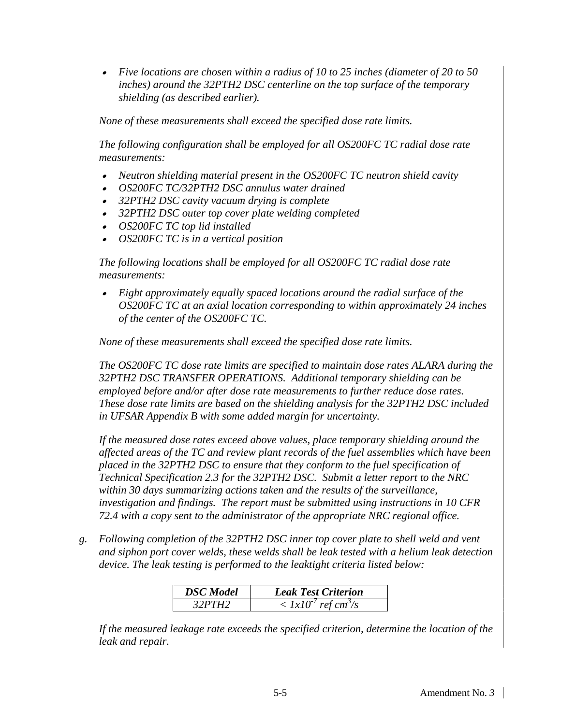• *Five locations are chosen within a radius of 10 to 25 inches (diameter of 20 to 50 inches) around the 32PTH2 DSC centerline on the top surface of the temporary shielding (as described earlier).*

*None of these measurements shall exceed the specified dose rate limits.*

*The following configuration shall be employed for all OS200FC TC radial dose rate measurements:*

- *Neutron shielding material present in the OS200FC TC neutron shield cavity*
- •*OS200FC TC/32PTH2 DSC annulus water drained*
- *32PTH2 DSC cavity vacuum drying is complete*
- *32PTH2 DSC outer top cover plate welding completed*
- *OS200FC TC top lid installed*
- •*OS200FC TC is in a vertical position*

*The following locations shall be employed for all OS200FC TC radial dose rate measurements:*

• *Eight approximately equally spaced locations around the radial surface of the OS200FC TC at an axial location corresponding to within approximately 24 inches of the center of the OS200FC TC.* 

*None of these measurements shall exceed the specified dose rate limits.*

*The OS200FC TC dose rate limits are specified to maintain dose rates ALARA during the 32PTH2 DSC TRANSFER OPERATIONS. Additional temporary shielding can be employed before and/or after dose rate measurements to further reduce dose rates. These dose rate limits are based on the shielding analysis for the 32PTH2 DSC included in UFSAR Appendix B with some added margin for uncertainty.*

*If the measured dose rates exceed above values, place temporary shielding around the affected areas of the TC and review plant records of the fuel assemblies which have been placed in the 32PTH2 DSC to ensure that they conform to the fuel specification of Technical Specification 2.3 for the 32PTH2 DSC. Submit a letter report to the NRC within 30 days summarizing actions taken and the results of the surveillance, investigation and findings. The report must be submitted using instructions in 10 CFR 72.4 with a copy sent to the administrator of the appropriate NRC regional office.*

*g. Following completion of the 32PTH2 DSC inner top cover plate to shell weld and vent and siphon port cover welds, these welds shall be leak tested with a helium leak detection device. The leak testing is performed to the leaktight criteria listed below:*

| <b>DSC</b> Model | <b>Leak Test Criterion</b>                   |
|------------------|----------------------------------------------|
| 32PTH2           | $\langle 1x10^\prime$ ref cm <sup>3</sup> /s |

*If the measured leakage rate exceeds the specified criterion, determine the location of the leak and repair.*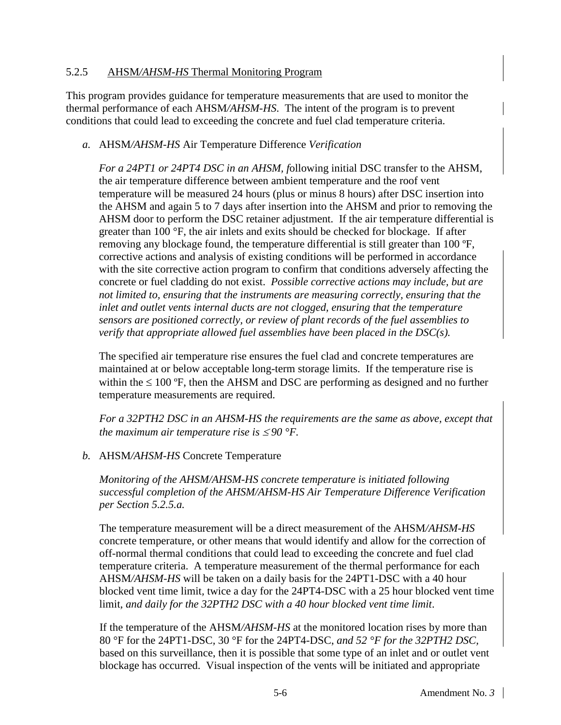#### 5.2.5 AHSM*/AHSM-HS* Thermal Monitoring Program

This program provides guidance for temperature measurements that are used to monitor the thermal performance of each AHSM*/AHSM-HS*. The intent of the program is to prevent conditions that could lead to exceeding the concrete and fuel clad temperature criteria.

#### *a.* AHSM*/AHSM-HS* Air Temperature Difference *Verification*

*For a 24PT1 or 24PT4 DSC in an AHSM, f*ollowing initial DSC transfer to the AHSM, the air temperature difference between ambient temperature and the roof vent temperature will be measured 24 hours (plus or minus 8 hours) after DSC insertion into the AHSM and again 5 to 7 days after insertion into the AHSM and prior to removing the AHSM door to perform the DSC retainer adjustment. If the air temperature differential is greater than 100 °F, the air inlets and exits should be checked for blockage. If after removing any blockage found, the temperature differential is still greater than 100 ºF, corrective actions and analysis of existing conditions will be performed in accordance with the site corrective action program to confirm that conditions adversely affecting the concrete or fuel cladding do not exist. *Possible corrective actions may include, but are not limited to, ensuring that the instruments are measuring correctly, ensuring that the inlet and outlet vents internal ducts are not clogged, ensuring that the temperature sensors are positioned correctly, or review of plant records of the fuel assemblies to verify that appropriate allowed fuel assemblies have been placed in the DSC(s).*

The specified air temperature rise ensures the fuel clad and concrete temperatures are maintained at or below acceptable long-term storage limits. If the temperature rise is within the  $\leq 100$  °F, then the AHSM and DSC are performing as designed and no further temperature measurements are required.

*For a 32PTH2 DSC in an AHSM-HS the requirements are the same as above, except that the maximum air temperature rise is*  $\leq 90$  °F.

## *b.* AHSM*/AHSM-HS* Concrete Temperature

*Monitoring of the AHSM/AHSM-HS concrete temperature is initiated following successful completion of the AHSM/AHSM-HS Air Temperature Difference Verification per Section 5.2.5.a.*

The temperature measurement will be a direct measurement of the AHSM*/AHSM-HS* concrete temperature, or other means that would identify and allow for the correction of off-normal thermal conditions that could lead to exceeding the concrete and fuel clad temperature criteria. A temperature measurement of the thermal performance for each AHSM*/AHSM-HS* will be taken on a daily basis for the 24PT1-DSC with a 40 hour blocked vent time limit*,* twice a day for the 24PT4-DSC with a 25 hour blocked vent time limit*, and daily for the 32PTH2 DSC with a 40 hour blocked vent time limit*.

If the temperature of the AHSM*/AHSM-HS* at the monitored location rises by more than 80 °F for the 24PT1-DSC*,* 30 °F for the 24PT4-DSC, *and 52 °F for the 32PTH2 DSC,* based on this surveillance, then it is possible that some type of an inlet and or outlet vent blockage has occurred. Visual inspection of the vents will be initiated and appropriate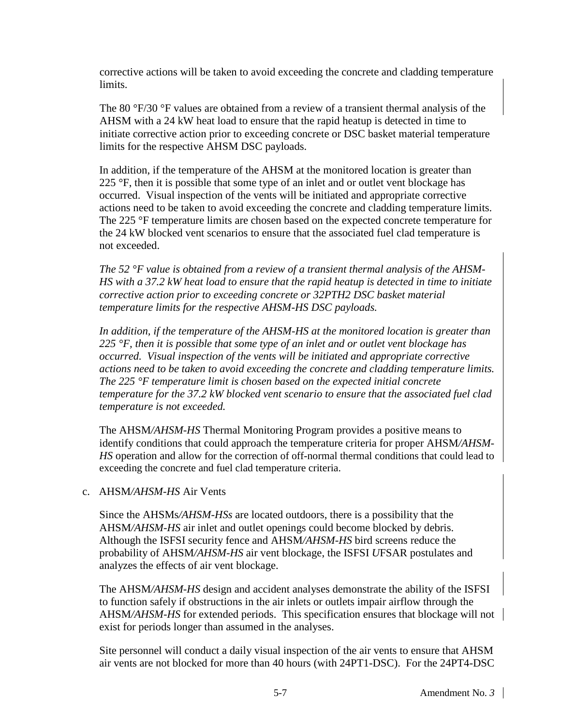corrective actions will be taken to avoid exceeding the concrete and cladding temperature limits.

The 80 °F/30 °F values are obtained from a review of a transient thermal analysis of the AHSM with a 24 kW heat load to ensure that the rapid heatup is detected in time to initiate corrective action prior to exceeding concrete or DSC basket material temperature limits for the respective AHSM DSC payloads.

In addition, if the temperature of the AHSM at the monitored location is greater than 225 °F, then it is possible that some type of an inlet and or outlet vent blockage has occurred. Visual inspection of the vents will be initiated and appropriate corrective actions need to be taken to avoid exceeding the concrete and cladding temperature limits. The 225 °F temperature limits are chosen based on the expected concrete temperature for the 24 kW blocked vent scenarios to ensure that the associated fuel clad temperature is not exceeded.

*The 52 °F value is obtained from a review of a transient thermal analysis of the AHSM-HS with a 37.2 kW heat load to ensure that the rapid heatup is detected in time to initiate corrective action prior to exceeding concrete or 32PTH2 DSC basket material temperature limits for the respective AHSM-HS DSC payloads.*

*In addition, if the temperature of the AHSM-HS at the monitored location is greater than 225 °F, then it is possible that some type of an inlet and or outlet vent blockage has occurred. Visual inspection of the vents will be initiated and appropriate corrective actions need to be taken to avoid exceeding the concrete and cladding temperature limits. The 225 °F temperature limit is chosen based on the expected initial concrete temperature for the 37.2 kW blocked vent scenario to ensure that the associated fuel clad temperature is not exceeded.* 

The AHSM*/AHSM-HS* Thermal Monitoring Program provides a positive means to identify conditions that could approach the temperature criteria for proper AHSM*/AHSM-HS* operation and allow for the correction of off-normal thermal conditions that could lead to exceeding the concrete and fuel clad temperature criteria.

#### c. AHSM*/AHSM-HS* Air Vents

Since the AHSMs*/AHSM-HSs* are located outdoors, there is a possibility that the AHSM*/AHSM-HS* air inlet and outlet openings could become blocked by debris. Although the ISFSI security fence and AHSM*/AHSM-HS* bird screens reduce the probability of AHSM*/AHSM-HS* air vent blockage, the ISFSI *U*FSAR postulates and analyzes the effects of air vent blockage.

The AHSM*/AHSM-HS* design and accident analyses demonstrate the ability of the ISFSI to function safely if obstructions in the air inlets or outlets impair airflow through the AHSM*/AHSM-HS* for extended periods. This specification ensures that blockage will not exist for periods longer than assumed in the analyses.

Site personnel will conduct a daily visual inspection of the air vents to ensure that AHSM air vents are not blocked for more than 40 hours (with 24PT1-DSC). For the 24PT4-DSC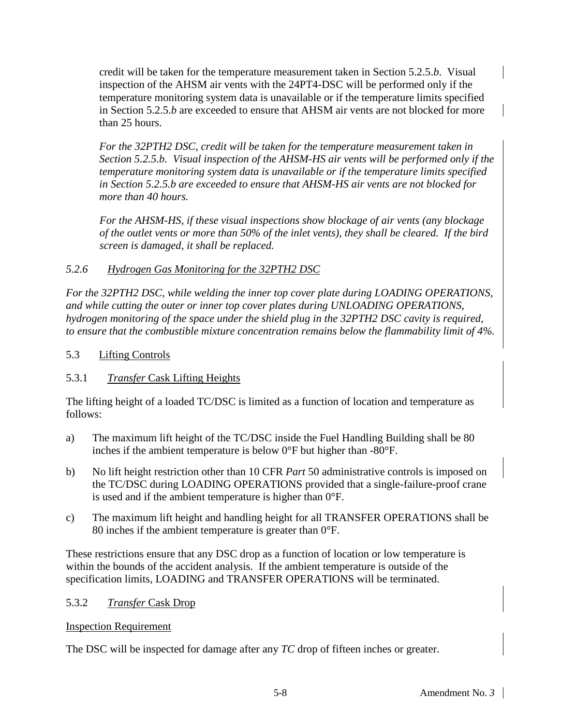credit will be taken for the temperature measurement taken in Section 5.2.5.*b*. Visual inspection of the AHSM air vents with the 24PT4-DSC will be performed only if the temperature monitoring system data is unavailable or if the temperature limits specified in Section 5.2.5.*b* are exceeded to ensure that AHSM air vents are not blocked for more than 25 hours.

*For the 32PTH2 DSC, credit will be taken for the temperature measurement taken in Section 5.2.5.b. Visual inspection of the AHSM-HS air vents will be performed only if the temperature monitoring system data is unavailable or if the temperature limits specified in Section 5.2.5.b are exceeded to ensure that AHSM-HS air vents are not blocked for more than 40 hours.*

*For the AHSM-HS, if these visual inspections show blockage of air vents (any blockage of the outlet vents or more than 50% of the inlet vents), they shall be cleared. If the bird screen is damaged, it shall be replaced.*

## *5.2.6 Hydrogen Gas Monitoring for the 32PTH2 DSC*

*For the 32PTH2 DSC, while welding the inner top cover plate during LOADING OPERATIONS, and while cutting the outer or inner top cover plates during UNLOADING OPERATIONS, hydrogen monitoring of the space under the shield plug in the 32PTH2 DSC cavity is required, to ensure that the combustible mixture concentration remains below the flammability limit of 4%.*

## 5.3 Lifting Controls

## 5.3.1 *Transfer* Cask Lifting Heights

The lifting height of a loaded TC/DSC is limited as a function of location and temperature as follows:

- a) The maximum lift height of the TC/DSC inside the Fuel Handling Building shall be 80 inches if the ambient temperature is below 0°F but higher than -80°F.
- b) No lift height restriction other than 10 CFR *Part* 50 administrative controls is imposed on the TC/DSC during LOADING OPERATIONS provided that a single-failure-proof crane is used and if the ambient temperature is higher than 0°F.
- c) The maximum lift height and handling height for all TRANSFER OPERATIONS shall be 80 inches if the ambient temperature is greater than 0°F.

These restrictions ensure that any DSC drop as a function of location or low temperature is within the bounds of the accident analysis. If the ambient temperature is outside of the specification limits, LOADING and TRANSFER OPERATIONS will be terminated.

## 5.3.2 *Transfer* Cask Drop

## Inspection Requirement

The DSC will be inspected for damage after any *TC* drop of fifteen inches or greater.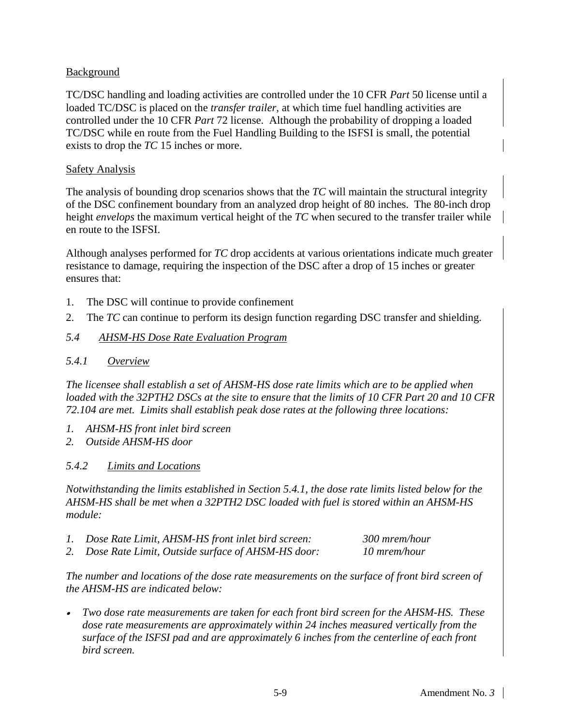## Background

TC/DSC handling and loading activities are controlled under the 10 CFR *Part* 50 license until a loaded TC/DSC is placed on the *transfer trailer*, at which time fuel handling activities are controlled under the 10 CFR *Part* 72 license. Although the probability of dropping a loaded TC/DSC while en route from the Fuel Handling Building to the ISFSI is small, the potential exists to drop the *TC* 15 inches or more.

#### **Safety Analysis**

The analysis of bounding drop scenarios shows that the *TC* will maintain the structural integrity of the DSC confinement boundary from an analyzed drop height of 80 inches. The 80-inch drop height *envelops* the maximum vertical height of the *TC* when secured to the transfer trailer while en route to the ISFSI.

Although analyses performed for *TC* drop accidents at various orientations indicate much greater resistance to damage, requiring the inspection of the DSC after a drop of 15 inches or greater ensures that:

- 1. The DSC will continue to provide confinement
- 2. The *TC* can continue to perform its design function regarding DSC transfer and shielding.

#### *5.4 AHSM-HS Dose Rate Evaluation Program*

#### *5.4.1 Overview*

*The licensee shall establish a set of AHSM-HS dose rate limits which are to be applied when loaded with the 32PTH2 DSCs at the site to ensure that the limits of 10 CFR Part 20 and 10 CFR 72.104 are met. Limits shall establish peak dose rates at the following three locations:*

- *1. AHSM-HS front inlet bird screen*
- *2. Outside AHSM-HS door*

#### *5.4.2 Limits and Locations*

*Notwithstanding the limits established in Section 5.4.1, the dose rate limits listed below for the AHSM-HS shall be met when a 32PTH2 DSC loaded with fuel is stored within an AHSM-HS module:*

- *1. Dose Rate Limit, AHSM-HS front inlet bird screen: 300 mrem/hour*
- *2. Dose Rate Limit, Outside surface of AHSM-HS door: 10 mrem/hour*

*The number and locations of the dose rate measurements on the surface of front bird screen of the AHSM-HS are indicated below:*

• *Two dose rate measurements are taken for each front bird screen for the AHSM-HS. These dose rate measurements are approximately within 24 inches measured vertically from the surface of the ISFSI pad and are approximately 6 inches from the centerline of each front bird screen.*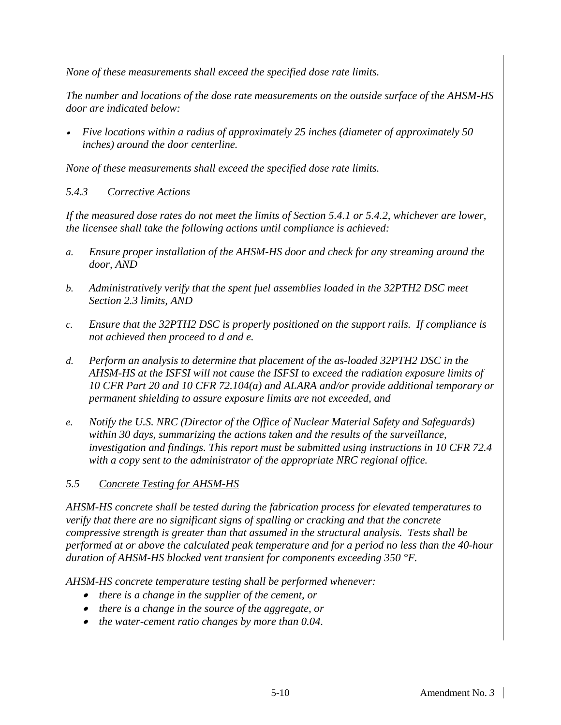*None of these measurements shall exceed the specified dose rate limits.*

*The number and locations of the dose rate measurements on the outside surface of the AHSM-HS door are indicated below:*

• *Five locations within a radius of approximately 25 inches (diameter of approximately 50 inches) around the door centerline.*

*None of these measurements shall exceed the specified dose rate limits.*

#### *5.4.3 Corrective Actions*

*If the measured dose rates do not meet the limits of Section 5.4.1 or 5.4.2, whichever are lower, the licensee shall take the following actions until compliance is achieved:*

- *a. Ensure proper installation of the AHSM-HS door and check for any streaming around the door, AND*
- *b. Administratively verify that the spent fuel assemblies loaded in the 32PTH2 DSC meet Section 2.3 limits, AND*
- *c. Ensure that the 32PTH2 DSC is properly positioned on the support rails. If compliance is not achieved then proceed to d and e.*
- *d. Perform an analysis to determine that placement of the as-loaded 32PTH2 DSC in the AHSM-HS at the ISFSI will not cause the ISFSI to exceed the radiation exposure limits of 10 CFR Part 20 and 10 CFR 72.104(a) and ALARA and/or provide additional temporary or permanent shielding to assure exposure limits are not exceeded, and*
- *e. Notify the U.S. NRC (Director of the Office of Nuclear Material Safety and Safeguards) within 30 days, summarizing the actions taken and the results of the surveillance, investigation and findings. This report must be submitted using instructions in 10 CFR 72.4 with a copy sent to the administrator of the appropriate NRC regional office.*

## *5.5 Concrete Testing for AHSM-HS*

*AHSM-HS concrete shall be tested during the fabrication process for elevated temperatures to verify that there are no significant signs of spalling or cracking and that the concrete compressive strength is greater than that assumed in the structural analysis. Tests shall be performed at or above the calculated peak temperature and for a period no less than the 40*-*hour duration of AHSM-HS blocked vent transient for components exceeding 350 °F.*

*AHSM-HS concrete temperature testing shall be performed whenever:*

- *there is a change in the supplier of the cement, or*
- *there is a change in the source of the aggregate, or*
- *the water-cement ratio changes by more than 0.04.*